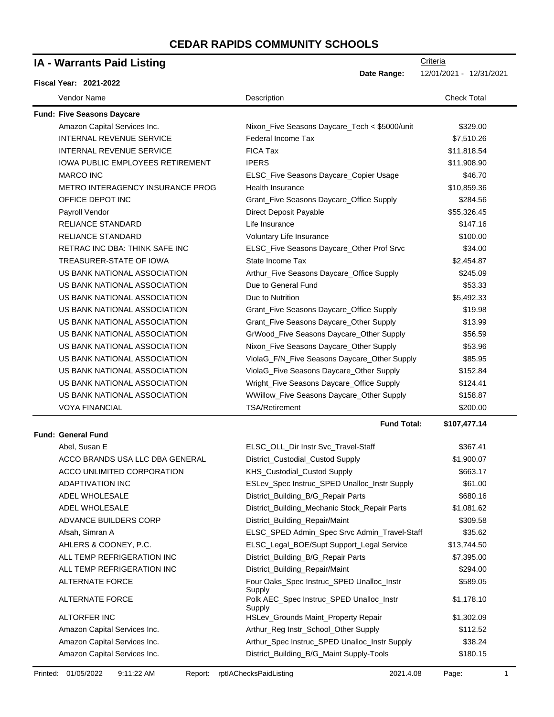| IA - Warrants Paid Listing              | Criteria                                                     |                         |
|-----------------------------------------|--------------------------------------------------------------|-------------------------|
| <b>Fiscal Year: 2021-2022</b>           | Date Range:                                                  | 12/01/2021 - 12/31/2021 |
| Vendor Name                             | Description                                                  | <b>Check Total</b>      |
| <b>Fund: Five Seasons Daycare</b>       |                                                              |                         |
| Amazon Capital Services Inc.            | Nixon_Five Seasons Daycare_Tech < \$5000/unit                | \$329.00                |
| INTERNAL REVENUE SERVICE                | Federal Income Tax                                           | \$7,510.26              |
| <b>INTERNAL REVENUE SERVICE</b>         | <b>FICA Tax</b>                                              | \$11,818.54             |
| <b>IOWA PUBLIC EMPLOYEES RETIREMENT</b> | <b>IPERS</b>                                                 | \$11,908.90             |
| <b>MARCO INC</b>                        | ELSC_Five Seasons Daycare_Copier Usage                       | \$46.70                 |
| METRO INTERAGENCY INSURANCE PROG        | Health Insurance                                             | \$10,859.36             |
| OFFICE DEPOT INC                        | Grant_Five Seasons Daycare_Office Supply                     | \$284.56                |
| Payroll Vendor                          | Direct Deposit Payable                                       | \$55,326.45             |
| <b>RELIANCE STANDARD</b>                | Life Insurance                                               | \$147.16                |
| <b>RELIANCE STANDARD</b>                | Voluntary Life Insurance                                     | \$100.00                |
| <b>RETRAC INC DBA: THINK SAFE INC</b>   | ELSC_Five Seasons Daycare_Other Prof Srvc                    | \$34.00                 |
| TREASURER-STATE OF IOWA                 | State Income Tax                                             | \$2,454.87              |
| US BANK NATIONAL ASSOCIATION            | Arthur_Five Seasons Daycare_Office Supply                    | \$245.09                |
| US BANK NATIONAL ASSOCIATION            | Due to General Fund                                          | \$53.33                 |
| US BANK NATIONAL ASSOCIATION            | Due to Nutrition                                             | \$5,492.33              |
| US BANK NATIONAL ASSOCIATION            | Grant_Five Seasons Daycare_Office Supply                     | \$19.98                 |
| US BANK NATIONAL ASSOCIATION            | Grant_Five Seasons Daycare_Other Supply                      | \$13.99                 |
| US BANK NATIONAL ASSOCIATION            | GrWood_Five Seasons Daycare_Other Supply                     | \$56.59                 |
| US BANK NATIONAL ASSOCIATION            | Nixon_Five Seasons Daycare_Other Supply                      | \$53.96                 |
| US BANK NATIONAL ASSOCIATION            | ViolaG_F/N_Five Seasons Daycare_Other Supply                 | \$85.95                 |
| US BANK NATIONAL ASSOCIATION            | ViolaG_Five Seasons Daycare_Other Supply                     | \$152.84                |
| US BANK NATIONAL ASSOCIATION            | Wright_Five Seasons Daycare_Office Supply                    | \$124.41                |
| US BANK NATIONAL ASSOCIATION            | WWillow_Five Seasons Daycare_Other Supply                    | \$158.87                |
| <b>VOYA FINANCIAL</b>                   | <b>TSA/Retirement</b>                                        | \$200.00                |
|                                         | <b>Fund Total:</b>                                           | \$107,477.14            |
| <b>Fund: General Fund</b>               |                                                              |                         |
| Abel, Susan E                           | ELSC_OLL_Dir Instr Svc_Travel-Staff                          | \$367.41                |
| ACCO BRANDS USA LLC DBA GENERAL         | District_Custodial_Custod Supply                             | \$1,900.07              |
| ACCO UNLIMITED CORPORATION              | KHS_Custodial_Custod Supply                                  | \$663.17                |
| ADAPTIVATION INC                        | ESLev_Spec Instruc_SPED Unalloc_Instr Supply                 | \$61.00                 |
| ADEL WHOLESALE                          | District_Building_B/G_Repair Parts                           | \$680.16                |
| ADEL WHOLESALE                          | District_Building_Mechanic Stock_Repair Parts                | \$1,081.62              |
| ADVANCE BUILDERS CORP                   | District_Building_Repair/Maint                               | \$309.58                |
| Afsah, Simran A                         | ELSC_SPED Admin_Spec Srvc Admin_Travel-Staff                 | \$35.62                 |
| AHLERS & COONEY, P.C.                   | ELSC_Legal_BOE/Supt Support_Legal Service                    | \$13,744.50             |
| ALL TEMP REFRIGERATION INC              | District_Building_B/G_Repair Parts                           | \$7,395.00              |
| ALL TEMP REFRIGERATION INC              | District_Building_Repair/Maint                               | \$294.00                |
| <b>ALTERNATE FORCE</b>                  | Four Oaks_Spec Instruc_SPED Unalloc_Instr                    | \$589.05                |
| ALTERNATE FORCE                         | Supply<br>Polk AEC_Spec Instruc_SPED Unalloc_Instr<br>Supply | \$1,178.10              |
| ALTORFER INC                            | HSLev_Grounds Maint_Property Repair                          | \$1,302.09              |
| Amazon Capital Services Inc.            | Arthur_Reg Instr_School_Other Supply                         | \$112.52                |
| Amazon Capital Services Inc.            | Arthur_Spec Instruc_SPED Unalloc_Instr Supply                | \$38.24                 |
| Amazon Capital Services Inc.            | District_Building_B/G_Maint Supply-Tools                     | \$180.15                |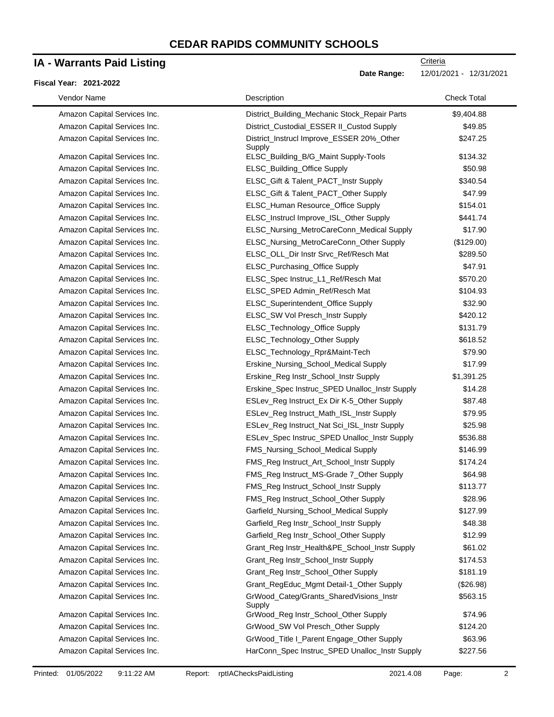# **IA - Warrants Paid Listing**

#### **Fiscal Year: 2021-2022**

-

| Vendor Name                  | Description                                         | <b>Check Total</b> |
|------------------------------|-----------------------------------------------------|--------------------|
| Amazon Capital Services Inc. | District_Building_Mechanic Stock_Repair Parts       | \$9,404.88         |
| Amazon Capital Services Inc. | District_Custodial_ESSER II_Custod Supply           | \$49.85            |
| Amazon Capital Services Inc. | District_Instrucl Improve_ESSER 20%_Other<br>Supply | \$247.25           |
| Amazon Capital Services Inc. | ELSC_Building_B/G_Maint Supply-Tools                | \$134.32           |
| Amazon Capital Services Inc. | ELSC_Building_Office Supply                         | \$50.98            |
| Amazon Capital Services Inc. | ELSC_Gift & Talent_PACT_Instr Supply                | \$340.54           |
| Amazon Capital Services Inc. | ELSC_Gift & Talent_PACT_Other Supply                | \$47.99            |
| Amazon Capital Services Inc. | ELSC_Human Resource_Office Supply                   | \$154.01           |
| Amazon Capital Services Inc. | ELSC_Instrucl Improve_ISL_Other Supply              | \$441.74           |
| Amazon Capital Services Inc. | ELSC_Nursing_MetroCareConn_Medical Supply           | \$17.90            |
| Amazon Capital Services Inc. | ELSC_Nursing_MetroCareConn_Other Supply             | (\$129.00)         |
| Amazon Capital Services Inc. | ELSC_OLL_Dir Instr Srvc_Ref/Resch Mat               | \$289.50           |
| Amazon Capital Services Inc. | ELSC_Purchasing_Office Supply                       | \$47.91            |
| Amazon Capital Services Inc. | ELSC_Spec Instruc_L1_Ref/Resch Mat                  | \$570.20           |
| Amazon Capital Services Inc. | ELSC_SPED Admin_Ref/Resch Mat                       | \$104.93           |
| Amazon Capital Services Inc. | ELSC_Superintendent_Office Supply                   | \$32.90            |
| Amazon Capital Services Inc. | ELSC_SW Vol Presch_Instr Supply                     | \$420.12           |
| Amazon Capital Services Inc. | ELSC_Technology_Office Supply                       | \$131.79           |
| Amazon Capital Services Inc. | ELSC_Technology_Other Supply                        | \$618.52           |
| Amazon Capital Services Inc. | ELSC_Technology_Rpr&Maint-Tech                      | \$79.90            |
| Amazon Capital Services Inc. | Erskine_Nursing_School_Medical Supply               | \$17.99            |
| Amazon Capital Services Inc. | Erskine_Reg Instr_School_Instr Supply               | \$1,391.25         |
| Amazon Capital Services Inc. | Erskine_Spec Instruc_SPED Unalloc_Instr Supply      | \$14.28            |
| Amazon Capital Services Inc. | ESLev_Reg Instruct_Ex Dir K-5_Other Supply          | \$87.48            |
| Amazon Capital Services Inc. | ESLev_Reg Instruct_Math_ISL_Instr Supply            | \$79.95            |
| Amazon Capital Services Inc. | ESLev_Reg Instruct_Nat Sci_ISL_Instr Supply         | \$25.98            |
| Amazon Capital Services Inc. | ESLev_Spec Instruc_SPED Unalloc_Instr Supply        | \$536.88           |
| Amazon Capital Services Inc. | FMS_Nursing_School_Medical Supply                   | \$146.99           |
| Amazon Capital Services Inc. | FMS_Reg Instruct_Art_School_Instr Supply            | \$174.24           |
| Amazon Capital Services Inc. | FMS_Reg Instruct_MS-Grade 7_Other Supply            | \$64.98            |
| Amazon Capital Services Inc. | FMS_Reg Instruct_School_Instr Supply                | \$113.77           |
| Amazon Capital Services Inc. | FMS_Reg Instruct_School_Other Supply                | \$28.96            |
| Amazon Capital Services Inc. | Garfield_Nursing_School_Medical Supply              | \$127.99           |
| Amazon Capital Services Inc. | Garfield_Reg Instr_School_Instr Supply              | \$48.38            |
| Amazon Capital Services Inc. | Garfield_Reg Instr_School_Other Supply              | \$12.99            |
| Amazon Capital Services Inc. | Grant_Reg Instr_Health&PE_School_Instr Supply       | \$61.02            |
| Amazon Capital Services Inc. | Grant_Reg Instr_School_Instr Supply                 | \$174.53           |
| Amazon Capital Services Inc. | Grant_Reg Instr_School_Other Supply                 | \$181.19           |
| Amazon Capital Services Inc. | Grant_RegEduc_Mgmt Detail-1_Other Supply            | (\$26.98)          |
| Amazon Capital Services Inc. | GrWood_Categ/Grants_SharedVisions_Instr<br>Supply   | \$563.15           |
| Amazon Capital Services Inc. | GrWood_Reg Instr_School_Other Supply                | \$74.96            |
| Amazon Capital Services Inc. | GrWood_SW Vol Presch_Other Supply                   | \$124.20           |
| Amazon Capital Services Inc. | GrWood_Title I_Parent Engage_Other Supply           | \$63.96            |
| Amazon Capital Services Inc. | HarConn_Spec Instruc_SPED Unalloc_Instr Supply      | \$227.56           |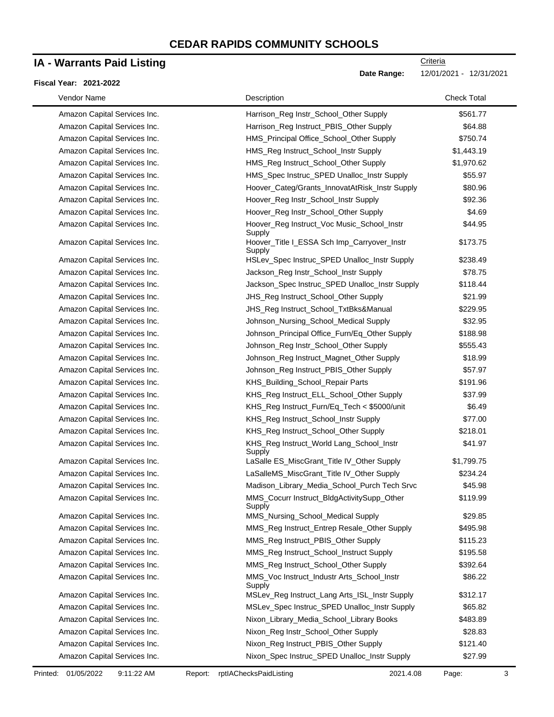# **IA - Warrants Paid Listing**

### **Fiscal Year: 2021-2022**

| Vendor Name                  | Description                                           | <b>Check Total</b> |
|------------------------------|-------------------------------------------------------|--------------------|
| Amazon Capital Services Inc. | Harrison_Reg Instr_School_Other Supply                | \$561.77           |
| Amazon Capital Services Inc. | Harrison_Reg Instruct_PBIS_Other Supply               | \$64.88            |
| Amazon Capital Services Inc. | HMS_Principal Office_School_Other Supply              | \$750.74           |
| Amazon Capital Services Inc. | HMS_Reg Instruct_School_Instr Supply                  | \$1,443.19         |
| Amazon Capital Services Inc. | HMS_Reg Instruct_School_Other Supply                  | \$1,970.62         |
| Amazon Capital Services Inc. | HMS_Spec Instruc_SPED Unalloc_Instr Supply            | \$55.97            |
| Amazon Capital Services Inc. | Hoover_Categ/Grants_InnovatAtRisk_Instr Supply        | \$80.96            |
| Amazon Capital Services Inc. | Hoover_Reg Instr_School_Instr Supply                  | \$92.36            |
| Amazon Capital Services Inc. | Hoover_Reg Instr_School_Other Supply                  | \$4.69             |
| Amazon Capital Services Inc. | Hoover_Reg Instruct_Voc Music_School_Instr<br>Supply  | \$44.95            |
| Amazon Capital Services Inc. | Hoover_Title I_ESSA Sch Imp_Carryover_Instr<br>Supply | \$173.75           |
| Amazon Capital Services Inc. | HSLev_Spec Instruc_SPED Unalloc_Instr Supply          | \$238.49           |
| Amazon Capital Services Inc. | Jackson_Reg Instr_School_Instr Supply                 | \$78.75            |
| Amazon Capital Services Inc. | Jackson_Spec Instruc_SPED Unalloc_Instr Supply        | \$118.44           |
| Amazon Capital Services Inc. | JHS_Reg Instruct_School_Other Supply                  | \$21.99            |
| Amazon Capital Services Inc. | JHS_Reg Instruct_School_TxtBks&Manual                 | \$229.95           |
| Amazon Capital Services Inc. | Johnson_Nursing_School_Medical Supply                 | \$32.95            |
| Amazon Capital Services Inc. | Johnson_Principal Office_Furn/Eq_Other Supply         | \$188.98           |
| Amazon Capital Services Inc. | Johnson_Reg Instr_School_Other Supply                 | \$555.43           |
| Amazon Capital Services Inc. | Johnson_Reg Instruct_Magnet_Other Supply              | \$18.99            |
| Amazon Capital Services Inc. | Johnson_Reg Instruct_PBIS_Other Supply                | \$57.97            |
| Amazon Capital Services Inc. | KHS_Building_School_Repair Parts                      | \$191.96           |
| Amazon Capital Services Inc. | KHS_Reg Instruct_ELL_School_Other Supply              | \$37.99            |
| Amazon Capital Services Inc. | KHS_Reg Instruct_Furn/Eq_Tech < \$5000/unit           | \$6.49             |
| Amazon Capital Services Inc. | KHS_Reg Instruct_School_Instr Supply                  | \$77.00            |
| Amazon Capital Services Inc. | KHS_Reg Instruct_School_Other Supply                  | \$218.01           |
| Amazon Capital Services Inc. | KHS_Reg Instruct_World Lang_School_Instr<br>Supply    | \$41.97            |
| Amazon Capital Services Inc. | LaSalle ES_MiscGrant_Title IV_Other Supply            | \$1,799.75         |
| Amazon Capital Services Inc. | LaSalleMS_MiscGrant_Title IV_Other Supply             | \$234.24           |
| Amazon Capital Services Inc. | Madison Library Media School Purch Tech Srvc          | \$45.98            |
| Amazon Capital Services Inc. | MMS_Cocurr Instruct_BldgActivitySupp_Other<br>Supply  | \$119.99           |
| Amazon Capital Services Inc. | MMS_Nursing_School_Medical Supply                     | \$29.85            |
| Amazon Capital Services Inc. | MMS_Reg Instruct_Entrep Resale_Other Supply           | \$495.98           |
| Amazon Capital Services Inc. | MMS_Reg Instruct_PBIS_Other Supply                    | \$115.23           |
| Amazon Capital Services Inc. | MMS_Reg Instruct_School_Instruct Supply               | \$195.58           |
| Amazon Capital Services Inc. | MMS_Reg Instruct_School_Other Supply                  | \$392.64           |
| Amazon Capital Services Inc. | MMS_Voc Instruct_Industr Arts_School_Instr<br>Supply  | \$86.22            |
| Amazon Capital Services Inc. | MSLev_Reg Instruct_Lang Arts_ISL_Instr Supply         | \$312.17           |
| Amazon Capital Services Inc. | MSLev_Spec Instruc_SPED Unalloc_Instr Supply          | \$65.82            |
| Amazon Capital Services Inc. | Nixon_Library_Media_School_Library Books              | \$483.89           |
| Amazon Capital Services Inc. | Nixon_Reg Instr_School_Other Supply                   | \$28.83            |
| Amazon Capital Services Inc. | Nixon_Reg Instruct_PBIS_Other Supply                  | \$121.40           |
| Amazon Capital Services Inc. | Nixon_Spec Instruc_SPED Unalloc_Instr Supply          | \$27.99            |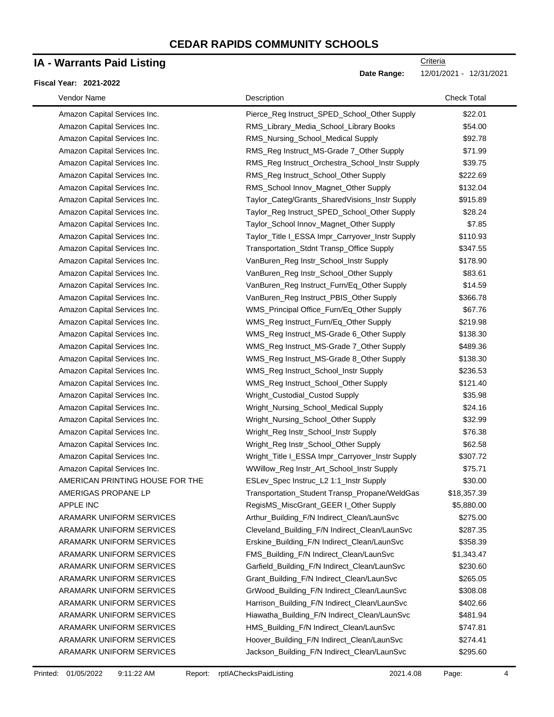### **IA - Warrants Paid Listing**

#### **Fiscal Year: 2021-2022**

**Date Range:** 12/01/2021 - 12/31/2021

| Vendor Name                     | Description                                     | <b>Check Total</b> |
|---------------------------------|-------------------------------------------------|--------------------|
| Amazon Capital Services Inc.    | Pierce_Reg Instruct_SPED_School_Other Supply    | \$22.01            |
| Amazon Capital Services Inc.    | RMS_Library_Media_School_Library Books          | \$54.00            |
| Amazon Capital Services Inc.    | RMS_Nursing_School_Medical Supply               | \$92.78            |
| Amazon Capital Services Inc.    | RMS_Reg Instruct_MS-Grade 7_Other Supply        | \$71.99            |
| Amazon Capital Services Inc.    | RMS_Reg Instruct_Orchestra_School_Instr Supply  | \$39.75            |
| Amazon Capital Services Inc.    | RMS_Reg Instruct_School_Other Supply            | \$222.69           |
| Amazon Capital Services Inc.    | RMS_School Innov_Magnet_Other Supply            | \$132.04           |
| Amazon Capital Services Inc.    | Taylor_Categ/Grants_SharedVisions_Instr Supply  | \$915.89           |
| Amazon Capital Services Inc.    | Taylor_Reg Instruct_SPED_School_Other Supply    | \$28.24            |
| Amazon Capital Services Inc.    | Taylor_School Innov_Magnet_Other Supply         | \$7.85             |
| Amazon Capital Services Inc.    | Taylor_Title I_ESSA Impr_Carryover_Instr Supply | \$110.93           |
| Amazon Capital Services Inc.    | Transportation_Stdnt Transp_Office Supply       | \$347.55           |
| Amazon Capital Services Inc.    | VanBuren_Reg Instr_School_Instr Supply          | \$178.90           |
| Amazon Capital Services Inc.    | VanBuren_Reg Instr_School_Other Supply          | \$83.61            |
| Amazon Capital Services Inc.    | VanBuren_Reg Instruct_Furn/Eq_Other Supply      | \$14.59            |
| Amazon Capital Services Inc.    | VanBuren_Reg Instruct_PBIS_Other Supply         | \$366.78           |
| Amazon Capital Services Inc.    | WMS_Principal Office_Furn/Eq_Other Supply       | \$67.76            |
| Amazon Capital Services Inc.    | WMS_Reg Instruct_Furn/Eq_Other Supply           | \$219.98           |
| Amazon Capital Services Inc.    | WMS_Reg Instruct_MS-Grade 6_Other Supply        | \$138.30           |
| Amazon Capital Services Inc.    | WMS_Reg Instruct_MS-Grade 7_Other Supply        | \$489.36           |
| Amazon Capital Services Inc.    | WMS_Reg Instruct_MS-Grade 8_Other Supply        | \$138.30           |
| Amazon Capital Services Inc.    | WMS_Reg Instruct_School_Instr Supply            | \$236.53           |
| Amazon Capital Services Inc.    | WMS_Reg Instruct_School_Other Supply            | \$121.40           |
| Amazon Capital Services Inc.    | Wright_Custodial_Custod Supply                  | \$35.98            |
| Amazon Capital Services Inc.    | Wright_Nursing_School_Medical Supply            | \$24.16            |
| Amazon Capital Services Inc.    | Wright_Nursing_School_Other Supply              | \$32.99            |
| Amazon Capital Services Inc.    | Wright_Reg Instr_School_Instr Supply            | \$76.38            |
| Amazon Capital Services Inc.    | Wright_Reg Instr_School_Other Supply            | \$62.58            |
| Amazon Capital Services Inc.    | Wright_Title I_ESSA Impr_Carryover_Instr Supply | \$307.72           |
| Amazon Capital Services Inc.    | WWillow_Reg Instr_Art_School_Instr Supply       | \$75.71            |
| AMERICAN PRINTING HOUSE FOR THE | ESLev_Spec Instruc_L2 1:1_Instr Supply          | \$30.00            |
| AMERIGAS PROPANE LP             | Transportation_Student Transp_Propane/WeldGas   | \$18,357.39        |
| <b>APPLE INC</b>                | RegisMS_MiscGrant_GEER I_Other Supply           | \$5,880.00         |
| ARAMARK UNIFORM SERVICES        | Arthur_Building_F/N Indirect_Clean/LaunSvc      | \$275.00           |
| ARAMARK UNIFORM SERVICES        | Cleveland_Building_F/N Indirect_Clean/LaunSvc   | \$287.35           |
| ARAMARK UNIFORM SERVICES        | Erskine_Building_F/N Indirect_Clean/LaunSvc     | \$358.39           |
| ARAMARK UNIFORM SERVICES        | FMS_Building_F/N Indirect_Clean/LaunSvc         | \$1,343.47         |
| ARAMARK UNIFORM SERVICES        | Garfield_Building_F/N Indirect_Clean/LaunSvc    | \$230.60           |
| <b>ARAMARK UNIFORM SERVICES</b> | Grant_Building_F/N Indirect_Clean/LaunSvc       | \$265.05           |
| <b>ARAMARK UNIFORM SERVICES</b> | GrWood_Building_F/N Indirect_Clean/LaunSvc      | \$308.08           |
| ARAMARK UNIFORM SERVICES        | Harrison_Building_F/N Indirect_Clean/LaunSvc    | \$402.66           |
| ARAMARK UNIFORM SERVICES        | Hiawatha_Building_F/N Indirect_Clean/LaunSvc    | \$481.94           |
| ARAMARK UNIFORM SERVICES        | HMS_Building_F/N Indirect_Clean/LaunSvc         | \$747.81           |
| ARAMARK UNIFORM SERVICES        | Hoover_Building_F/N Indirect_Clean/LaunSvc      | \$274.41           |
| ARAMARK UNIFORM SERVICES        | Jackson_Building_F/N Indirect_Clean/LaunSvc     | \$295.60           |
|                                 |                                                 |                    |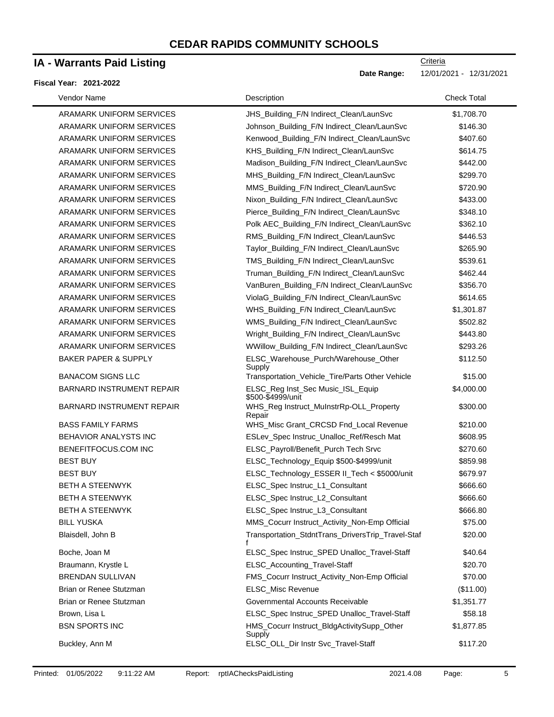### **IA - Warrants Paid Listing**

#### **Fiscal Year: 2021-2022**

**Date Range:** 12/01/2021 - 12/31/2021

| Vendor Name                      | Description                                            | <b>Check Total</b> |
|----------------------------------|--------------------------------------------------------|--------------------|
| ARAMARK UNIFORM SERVICES         | JHS_Building_F/N Indirect_Clean/LaunSvc                | \$1,708.70         |
| ARAMARK UNIFORM SERVICES         | Johnson_Building_F/N Indirect_Clean/LaunSvc            | \$146.30           |
| ARAMARK UNIFORM SERVICES         | Kenwood_Building_F/N Indirect_Clean/LaunSvc            | \$407.60           |
| ARAMARK UNIFORM SERVICES         | KHS_Building_F/N Indirect_Clean/LaunSvc                | \$614.75           |
| ARAMARK UNIFORM SERVICES         | Madison_Building_F/N Indirect_Clean/LaunSvc            | \$442.00           |
| ARAMARK UNIFORM SERVICES         | MHS_Building_F/N Indirect_Clean/LaunSvc                | \$299.70           |
| ARAMARK UNIFORM SERVICES         | MMS_Building_F/N Indirect_Clean/LaunSvc                | \$720.90           |
| ARAMARK UNIFORM SERVICES         | Nixon_Building_F/N Indirect_Clean/LaunSvc              | \$433.00           |
| ARAMARK UNIFORM SERVICES         | Pierce_Building_F/N Indirect_Clean/LaunSvc             | \$348.10           |
| ARAMARK UNIFORM SERVICES         | Polk AEC_Building_F/N Indirect_Clean/LaunSvc           | \$362.10           |
| ARAMARK UNIFORM SERVICES         | RMS_Building_F/N Indirect_Clean/LaunSvc                | \$446.53           |
| ARAMARK UNIFORM SERVICES         | Taylor_Building_F/N Indirect_Clean/LaunSvc             | \$265.90           |
| ARAMARK UNIFORM SERVICES         | TMS_Building_F/N Indirect_Clean/LaunSvc                | \$539.61           |
| ARAMARK UNIFORM SERVICES         | Truman_Building_F/N Indirect_Clean/LaunSvc             | \$462.44           |
| ARAMARK UNIFORM SERVICES         | VanBuren_Building_F/N Indirect_Clean/LaunSvc           | \$356.70           |
| ARAMARK UNIFORM SERVICES         | ViolaG_Building_F/N Indirect_Clean/LaunSvc             | \$614.65           |
| ARAMARK UNIFORM SERVICES         | WHS_Building_F/N Indirect_Clean/LaunSvc                | \$1,301.87         |
| ARAMARK UNIFORM SERVICES         | WMS_Building_F/N Indirect_Clean/LaunSvc                | \$502.82           |
| ARAMARK UNIFORM SERVICES         | Wright_Building_F/N Indirect_Clean/LaunSvc             | \$443.80           |
| ARAMARK UNIFORM SERVICES         | WWillow_Building_F/N Indirect_Clean/LaunSvc            | \$293.26           |
| <b>BAKER PAPER &amp; SUPPLY</b>  | ELSC_Warehouse_Purch/Warehouse_Other                   | \$112.50           |
|                                  | Supply                                                 |                    |
| <b>BANACOM SIGNS LLC</b>         | Transportation_Vehicle_Tire/Parts Other Vehicle        | \$15.00            |
| <b>BARNARD INSTRUMENT REPAIR</b> | ELSC_Reg Inst_Sec Music_ISL_Equip<br>\$500-\$4999/unit | \$4,000.00         |
| <b>BARNARD INSTRUMENT REPAIR</b> | WHS_Reg Instruct_MuInstrRp-OLL_Property<br>Repair      | \$300.00           |
| <b>BASS FAMILY FARMS</b>         | WHS_Misc Grant_CRCSD Fnd_Local Revenue                 | \$210.00           |
| BEHAVIOR ANALYSTS INC            | ESLev_Spec Instruc_Unalloc_Ref/Resch Mat               | \$608.95           |
| BENEFITFOCUS.COM INC             | ELSC_Payroll/Benefit_Purch Tech Srvc                   | \$270.60           |
| <b>BEST BUY</b>                  | ELSC_Technology_Equip \$500-\$4999/unit                | \$859.98           |
| <b>BEST BUY</b>                  | ELSC_Technology_ESSER II_Tech < \$5000/unit            | \$679.97           |
| <b>BETH A STEENWYK</b>           | ELSC_Spec Instruc_L1_Consultant                        | \$666.60           |
| BETH A STEENWYK                  | ELSC_Spec Instruc_L2_Consultant                        | \$666.60           |
| <b>BETH A STEENWYK</b>           | ELSC_Spec Instruc_L3_Consultant                        | \$666.80           |
| <b>BILL YUSKA</b>                | MMS_Cocurr Instruct_Activity_Non-Emp Official          | \$75.00            |
| Blaisdell, John B                | Transportation_StdntTrans_DriversTrip_Travel-Staf<br>f | \$20.00            |
| Boche, Joan M                    | ELSC_Spec Instruc_SPED Unalloc_Travel-Staff            | \$40.64            |
| Braumann, Krystle L              | ELSC_Accounting_Travel-Staff                           | \$20.70            |
| <b>BRENDAN SULLIVAN</b>          | FMS_Cocurr Instruct_Activity_Non-Emp Official          | \$70.00            |
| Brian or Renee Stutzman          | ELSC_Misc Revenue                                      | (\$11.00)          |
| Brian or Renee Stutzman          | Governmental Accounts Receivable                       | \$1,351.77         |
| Brown, Lisa L                    | ELSC_Spec Instruc_SPED Unalloc_Travel-Staff            | \$58.18            |
| <b>BSN SPORTS INC</b>            | HMS_Cocurr Instruct_BldgActivitySupp_Other<br>Supply   | \$1,877.85         |
| Buckley, Ann M                   | ELSC_OLL_Dir Instr Svc_Travel-Staff                    | \$117.20           |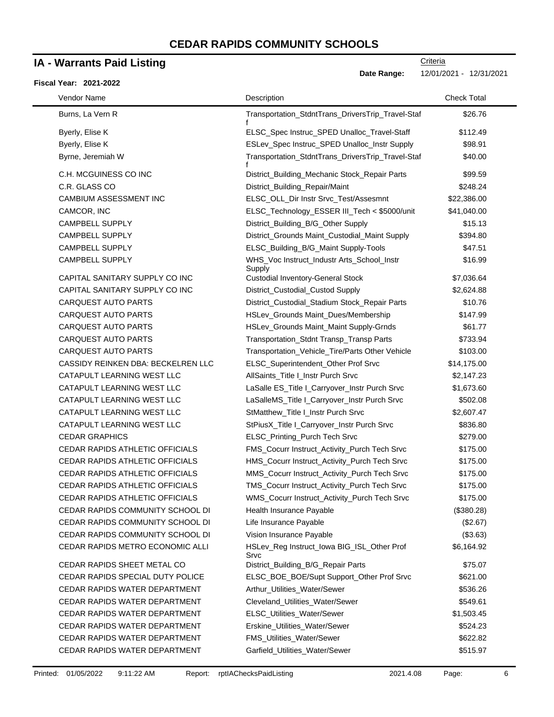### **IA - Warrants Paid Listing**

#### **Fiscal Year: 2021-2022**

**Date Range:** 12/01/2021 - 12/31/2021

| Vendor Name                            | Description                                          | <b>Check Total</b> |
|----------------------------------------|------------------------------------------------------|--------------------|
| Burns, La Vern R                       | Transportation_StdntTrans_DriversTrip_Travel-Staf    | \$26.76            |
| Byerly, Elise K                        | ELSC_Spec Instruc_SPED Unalloc_Travel-Staff          | \$112.49           |
| Byerly, Elise K                        | ESLev_Spec Instruc_SPED Unalloc_Instr Supply         | \$98.91            |
| Byrne, Jeremiah W                      | Transportation_StdntTrans_DriversTrip_Travel-Staf    | \$40.00            |
| C.H. MCGUINESS CO INC                  | District_Building_Mechanic Stock_Repair Parts        | \$99.59            |
| C.R. GLASS CO                          | District_Building_Repair/Maint                       | \$248.24           |
| CAMBIUM ASSESSMENT INC                 | ELSC_OLL_Dir Instr Srvc_Test/Assesmnt                | \$22,386.00        |
| CAMCOR, INC                            | ELSC_Technology_ESSER III_Tech < \$5000/unit         | \$41,040.00        |
| <b>CAMPBELL SUPPLY</b>                 | District_Building_B/G_Other Supply                   | \$15.13            |
| <b>CAMPBELL SUPPLY</b>                 | District_Grounds Maint_Custodial_Maint Supply        | \$394.80           |
| CAMPBELL SUPPLY                        | ELSC_Building_B/G_Maint Supply-Tools                 | \$47.51            |
| <b>CAMPBELL SUPPLY</b>                 | WHS_Voc Instruct_Industr Arts_School_Instr<br>Supply | \$16.99            |
| CAPITAL SANITARY SUPPLY CO INC         | <b>Custodial Inventory-General Stock</b>             | \$7,036.64         |
| CAPITAL SANITARY SUPPLY CO INC         | District_Custodial_Custod Supply                     | \$2,624.88         |
| CARQUEST AUTO PARTS                    | District_Custodial_Stadium Stock_Repair Parts        | \$10.76            |
| <b>CARQUEST AUTO PARTS</b>             | HSLev_Grounds Maint_Dues/Membership                  | \$147.99           |
| <b>CARQUEST AUTO PARTS</b>             | HSLev_Grounds Maint_Maint Supply-Grnds               | \$61.77            |
| <b>CARQUEST AUTO PARTS</b>             | Transportation_Stdnt Transp_Transp Parts             | \$733.94           |
| <b>CARQUEST AUTO PARTS</b>             | Transportation_Vehicle_Tire/Parts Other Vehicle      | \$103.00           |
| CASSIDY REINKEN DBA: BECKELREN LLC     | ELSC_Superintendent_Other Prof Srvc                  | \$14,175.00        |
| CATAPULT LEARNING WEST LLC             | AllSaints_Title I_Instr Purch Srvc                   | \$2,147.23         |
| CATAPULT LEARNING WEST LLC             | LaSalle ES_Title I_Carryover_Instr Purch Srvc        | \$1,673.60         |
| CATAPULT LEARNING WEST LLC             | LaSalleMS_Title I_Carryover_Instr Purch Srvc         | \$502.08           |
| CATAPULT LEARNING WEST LLC             | StMatthew_Title I_Instr Purch Srvc                   | \$2,607.47         |
| CATAPULT LEARNING WEST LLC             | StPiusX_Title I_Carryover_Instr Purch Srvc           | \$836.80           |
| <b>CEDAR GRAPHICS</b>                  | ELSC_Printing_Purch Tech Srvc                        | \$279.00           |
| <b>CEDAR RAPIDS ATHLETIC OFFICIALS</b> | FMS_Cocurr Instruct_Activity_Purch Tech Srvc         | \$175.00           |
| CEDAR RAPIDS ATHLETIC OFFICIALS        | HMS_Cocurr Instruct_Activity_Purch Tech Srvc         | \$175.00           |
| CEDAR RAPIDS ATHLETIC OFFICIALS        | MMS_Cocurr Instruct_Activity_Purch Tech Srvc         | \$175.00           |
| <b>CEDAR RAPIDS ATHLETIC OFFICIALS</b> | TMS_Cocurr Instruct_Activity_Purch Tech Srvc         | \$175.00           |
| <b>CEDAR RAPIDS ATHLETIC OFFICIALS</b> | WMS_Cocurr Instruct_Activity_Purch Tech Srvc         | \$175.00           |
| CEDAR RAPIDS COMMUNITY SCHOOL DI       | Health Insurance Payable                             | (\$380.28)         |
| CEDAR RAPIDS COMMUNITY SCHOOL DI       | Life Insurance Payable                               | (\$2.67)           |
| CEDAR RAPIDS COMMUNITY SCHOOL DI       | Vision Insurance Payable                             | (\$3.63)           |
| CEDAR RAPIDS METRO ECONOMIC ALLI       | HSLev_Reg Instruct_lowa BIG_ISL_Other Prof<br>Srvc   | \$6,164.92         |
| CEDAR RAPIDS SHEET METAL CO            | District_Building_B/G_Repair Parts                   | \$75.07            |
| CEDAR RAPIDS SPECIAL DUTY POLICE       | ELSC_BOE_BOE/Supt Support_Other Prof Srvc            | \$621.00           |
| <b>CEDAR RAPIDS WATER DEPARTMENT</b>   | Arthur_Utilities_Water/Sewer                         | \$536.26           |
| CEDAR RAPIDS WATER DEPARTMENT          | Cleveland_Utilities_Water/Sewer                      | \$549.61           |
| CEDAR RAPIDS WATER DEPARTMENT          | ELSC_Utilities_Water/Sewer                           | \$1,503.45         |
| CEDAR RAPIDS WATER DEPARTMENT          | Erskine_Utilities_Water/Sewer                        | \$524.23           |
| CEDAR RAPIDS WATER DEPARTMENT          | FMS_Utilities_Water/Sewer                            | \$622.82           |
| CEDAR RAPIDS WATER DEPARTMENT          | Garfield_Utilities_Water/Sewer                       | \$515.97           |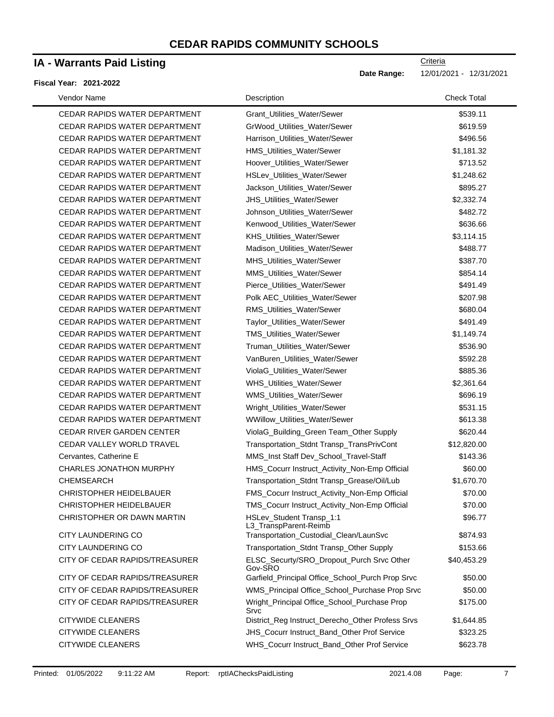### **IA - Warrants Paid Listing**

#### **Fiscal Year: 2021-2022**

| Vendor Name                          | Description                                          | <b>Check Total</b> |
|--------------------------------------|------------------------------------------------------|--------------------|
| <b>CEDAR RAPIDS WATER DEPARTMENT</b> | Grant_Utilities_Water/Sewer                          | \$539.11           |
| CEDAR RAPIDS WATER DEPARTMENT        | GrWood_Utilities_Water/Sewer                         | \$619.59           |
| CEDAR RAPIDS WATER DEPARTMENT        | Harrison_Utilities_Water/Sewer                       | \$496.56           |
| CEDAR RAPIDS WATER DEPARTMENT        | HMS_Utilities_Water/Sewer                            | \$1,181.32         |
| CEDAR RAPIDS WATER DEPARTMENT        | Hoover_Utilities_Water/Sewer                         | \$713.52           |
| CEDAR RAPIDS WATER DEPARTMENT        | HSLev_Utilities_Water/Sewer                          | \$1,248.62         |
| CEDAR RAPIDS WATER DEPARTMENT        | Jackson_Utilities_Water/Sewer                        | \$895.27           |
| CEDAR RAPIDS WATER DEPARTMENT        | JHS_Utilities_Water/Sewer                            | \$2,332.74         |
| CEDAR RAPIDS WATER DEPARTMENT        | Johnson_Utilities_Water/Sewer                        | \$482.72           |
| CEDAR RAPIDS WATER DEPARTMENT        | Kenwood_Utilities_Water/Sewer                        | \$636.66           |
| CEDAR RAPIDS WATER DEPARTMENT        | KHS_Utilities_Water/Sewer                            | \$3,114.15         |
| CEDAR RAPIDS WATER DEPARTMENT        | Madison_Utilities_Water/Sewer                        | \$488.77           |
| CEDAR RAPIDS WATER DEPARTMENT        | MHS_Utilities_Water/Sewer                            | \$387.70           |
| CEDAR RAPIDS WATER DEPARTMENT        | MMS_Utilities_Water/Sewer                            | \$854.14           |
| CEDAR RAPIDS WATER DEPARTMENT        | Pierce_Utilities_Water/Sewer                         | \$491.49           |
| CEDAR RAPIDS WATER DEPARTMENT        | Polk AEC_Utilities_Water/Sewer                       | \$207.98           |
| CEDAR RAPIDS WATER DEPARTMENT        | RMS_Utilities_Water/Sewer                            | \$680.04           |
| CEDAR RAPIDS WATER DEPARTMENT        | Taylor_Utilities_Water/Sewer                         | \$491.49           |
| CEDAR RAPIDS WATER DEPARTMENT        | TMS_Utilities_Water/Sewer                            | \$1,149.74         |
| CEDAR RAPIDS WATER DEPARTMENT        | Truman_Utilities_Water/Sewer                         | \$536.90           |
| CEDAR RAPIDS WATER DEPARTMENT        | VanBuren_Utilities_Water/Sewer                       | \$592.28           |
| CEDAR RAPIDS WATER DEPARTMENT        | ViolaG_Utilities_Water/Sewer                         | \$885.36           |
| CEDAR RAPIDS WATER DEPARTMENT        | WHS_Utilities_Water/Sewer                            | \$2,361.64         |
| CEDAR RAPIDS WATER DEPARTMENT        | WMS_Utilities_Water/Sewer                            | \$696.19           |
| CEDAR RAPIDS WATER DEPARTMENT        | Wright_Utilities_Water/Sewer                         | \$531.15           |
| CEDAR RAPIDS WATER DEPARTMENT        | WWillow_Utilities_Water/Sewer                        | \$613.38           |
| <b>CEDAR RIVER GARDEN CENTER</b>     | ViolaG_Building_Green Team_Other Supply              | \$620.44           |
| CEDAR VALLEY WORLD TRAVEL            | Transportation_Stdnt Transp_TransPrivCont            | \$12,820.00        |
| Cervantes, Catherine E               | MMS_Inst Staff Dev_School_Travel-Staff               | \$143.36           |
| <b>CHARLES JONATHON MURPHY</b>       | HMS_Cocurr Instruct_Activity_Non-Emp Official        | \$60.00            |
| <b>CHEMSEARCH</b>                    | Transportation_Stdnt Transp_Grease/Oil/Lub           | \$1,670.70         |
| <b>CHRISTOPHER HEIDELBAUER</b>       | FMS_Cocurr Instruct_Activity_Non-Emp Official        | \$70.00            |
| CHRISTOPHER HEIDELBAUER              | TMS_Cocurr Instruct_Activity_Non-Emp Official        | \$70.00            |
| CHRISTOPHER OR DAWN MARTIN           | HSLev_Student Transp_1:1<br>L3_TranspParent-Reimb    | \$96.77            |
| <b>CITY LAUNDERING CO</b>            | Transportation_Custodial_Clean/LaunSvc               | \$874.93           |
| <b>CITY LAUNDERING CO</b>            | Transportation_Stdnt Transp_Other Supply             | \$153.66           |
| CITY OF CEDAR RAPIDS/TREASURER       | ELSC_Securty/SRO_Dropout_Purch Srvc Other<br>Gov-SRO | \$40,453.29        |
| CITY OF CEDAR RAPIDS/TREASURER       | Garfield_Principal Office_School_Purch Prop Srvc     | \$50.00            |
| CITY OF CEDAR RAPIDS/TREASURER       | WMS_Principal Office_School_Purchase Prop Srvc       | \$50.00            |
| CITY OF CEDAR RAPIDS/TREASURER       | Wright_Principal Office_School_Purchase Prop<br>Srvc | \$175.00           |
| <b>CITYWIDE CLEANERS</b>             | District_Reg Instruct_Derecho_Other Profess Srvs     | \$1,644.85         |
| <b>CITYWIDE CLEANERS</b>             | JHS_Cocurr Instruct_Band_Other Prof Service          | \$323.25           |
| <b>CITYWIDE CLEANERS</b>             | WHS_Cocurr Instruct_Band_Other Prof Service          | \$623.78           |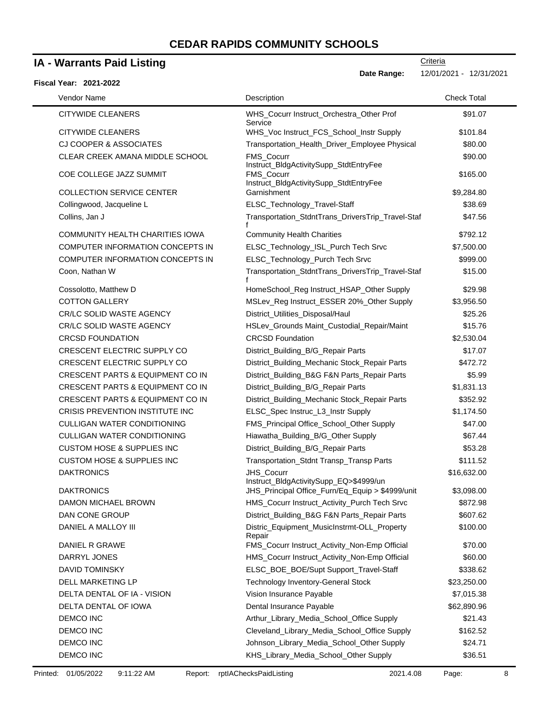### **IA - Warrants Paid Listing**

#### **Fiscal Year: 2021-2022**

**Date Range:** 12/01/2021 - 12/31/2021

| Vendor Name                                 | Description                                                 | <b>Check Total</b> |
|---------------------------------------------|-------------------------------------------------------------|--------------------|
| <b>CITYWIDE CLEANERS</b>                    | WHS Cocurr Instruct Orchestra Other Prof<br>Service         | \$91.07            |
| <b>CITYWIDE CLEANERS</b>                    | WHS_Voc Instruct_FCS_School_Instr Supply                    | \$101.84           |
| <b>CJ COOPER &amp; ASSOCIATES</b>           | Transportation_Health_Driver_Employee Physical              | \$80.00            |
| CLEAR CREEK AMANA MIDDLE SCHOOL             | FMS_Cocurr                                                  | \$90.00            |
| COE COLLEGE JAZZ SUMMIT                     | Instruct_BldgActivitySupp_StdtEntryFee<br><b>FMS Cocurr</b> | \$165.00           |
|                                             | Instruct_BldgActivitySupp_StdtEntryFee                      |                    |
| <b>COLLECTION SERVICE CENTER</b>            | Garnishment                                                 | \$9,284.80         |
| Collingwood, Jacqueline L                   | ELSC_Technology_Travel-Staff                                | \$38.69            |
| Collins, Jan J                              | Transportation_StdntTrans_DriversTrip_Travel-Staf           | \$47.56            |
| COMMUNITY HEALTH CHARITIES IOWA             | <b>Community Health Charities</b>                           | \$792.12           |
| COMPUTER INFORMATION CONCEPTS IN            | ELSC_Technology_ISL_Purch Tech Srvc                         | \$7,500.00         |
| COMPUTER INFORMATION CONCEPTS IN            | ELSC_Technology_Purch Tech Srvc                             | \$999.00           |
| Coon, Nathan W                              | Transportation_StdntTrans_DriversTrip_Travel-Staf           | \$15.00            |
| Cossolotto, Matthew D                       | HomeSchool_Reg Instruct_HSAP_Other Supply                   | \$29.98            |
| <b>COTTON GALLERY</b>                       | MSLev_Reg Instruct_ESSER 20%_Other Supply                   | \$3,956.50         |
| CR/LC SOLID WASTE AGENCY                    | District_Utilities_Disposal/Haul                            | \$25.26            |
| CR/LC SOLID WASTE AGENCY                    | HSLev_Grounds Maint_Custodial_Repair/Maint                  | \$15.76            |
| <b>CRCSD FOUNDATION</b>                     | <b>CRCSD Foundation</b>                                     | \$2,530.04         |
| CRESCENT ELECTRIC SUPPLY CO                 | District_Building_B/G_Repair Parts                          | \$17.07            |
| CRESCENT ELECTRIC SUPPLY CO                 | District_Building_Mechanic Stock_Repair Parts               | \$472.72           |
| <b>CRESCENT PARTS &amp; EQUIPMENT CO IN</b> | District_Building_B&G F&N Parts_Repair Parts                | \$5.99             |
| <b>CRESCENT PARTS &amp; EQUIPMENT CO IN</b> | District_Building_B/G_Repair Parts                          | \$1,831.13         |
| <b>CRESCENT PARTS &amp; EQUIPMENT CO IN</b> | District_Building_Mechanic Stock_Repair Parts               | \$352.92           |
| CRISIS PREVENTION INSTITUTE INC             | ELSC_Spec Instruc_L3_Instr Supply                           | \$1,174.50         |
| <b>CULLIGAN WATER CONDITIONING</b>          | FMS_Principal Office_School_Other Supply                    | \$47.00            |
| <b>CULLIGAN WATER CONDITIONING</b>          | Hiawatha_Building_B/G_Other Supply                          | \$67.44            |
| <b>CUSTOM HOSE &amp; SUPPLIES INC</b>       | District_Building_B/G_Repair Parts                          | \$53.28            |
| <b>CUSTOM HOSE &amp; SUPPLIES INC</b>       | Transportation_Stdnt Transp_Transp Parts                    | \$111.52           |
| <b>DAKTRONICS</b>                           | JHS_Cocurr<br>Instruct_BldgActivitySupp_EQ>\$4999/un        | \$16,632.00        |
| <b>DAKTRONICS</b>                           | JHS_Principal Office_Furn/Eq_Equip > \$4999/unit            | \$3,098.00         |
| DAMON MICHAEL BROWN                         | HMS_Cocurr Instruct_Activity_Purch Tech Srvc                | \$872.98           |
| DAN CONE GROUP                              | District_Building_B&G F&N Parts_Repair Parts                | \$607.62           |
| DANIEL A MALLOY III                         | Distric_Equipment_MusicInstrmt-OLL_Property<br>Repair       | \$100.00           |
| DANIEL R GRAWE                              | FMS_Cocurr Instruct_Activity_Non-Emp Official               | \$70.00            |
| DARRYL JONES                                | HMS_Cocurr Instruct_Activity_Non-Emp Official               | \$60.00            |
| <b>DAVID TOMINSKY</b>                       | ELSC_BOE_BOE/Supt Support_Travel-Staff                      | \$338.62           |
| DELL MARKETING LP                           | Technology Inventory-General Stock                          | \$23,250.00        |
| DELTA DENTAL OF IA - VISION                 | Vision Insurance Payable                                    | \$7,015.38         |
| DELTA DENTAL OF IOWA                        | Dental Insurance Payable                                    | \$62,890.96        |
| DEMCO INC                                   | Arthur_Library_Media_School_Office Supply                   | \$21.43            |
| DEMCO INC                                   | Cleveland_Library_Media_School_Office Supply                | \$162.52           |
| DEMCO INC                                   | Johnson_Library_Media_School_Other Supply                   | \$24.71            |
| DEMCO INC                                   | KHS_Library_Media_School_Other Supply                       | \$36.51            |
|                                             |                                                             |                    |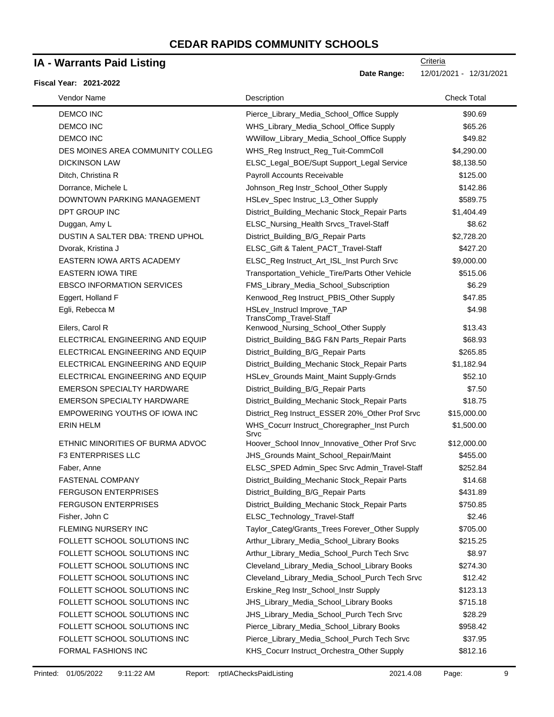### **IA - Warrants Paid Listing**

#### **Fiscal Year: 2021-2022**

| Vendor Name                       | Description                                          | <b>Check Total</b> |
|-----------------------------------|------------------------------------------------------|--------------------|
| <b>DEMCO INC</b>                  | Pierce_Library_Media_School_Office Supply            | \$90.69            |
| <b>DEMCO INC</b>                  | WHS_Library_Media_School_Office Supply               | \$65.26            |
| <b>DEMCO INC</b>                  | WWillow_Library_Media_School_Office Supply           | \$49.82            |
| DES MOINES AREA COMMUNITY COLLEG  | WHS_Reg Instruct_Reg_Tuit-CommColl                   | \$4,290.00         |
| <b>DICKINSON LAW</b>              | ELSC_Legal_BOE/Supt Support_Legal Service            | \$8,138.50         |
| Ditch, Christina R                | Payroll Accounts Receivable                          | \$125.00           |
| Dorrance, Michele L               | Johnson_Reg Instr_School_Other Supply                | \$142.86           |
| DOWNTOWN PARKING MANAGEMENT       | HSLev_Spec Instruc_L3_Other Supply                   | \$589.75           |
| DPT GROUP INC                     | District_Building_Mechanic Stock_Repair Parts        | \$1,404.49         |
| Duggan, Amy L                     | ELSC_Nursing_Health Srvcs_Travel-Staff               | \$8.62             |
| DUSTIN A SALTER DBA: TREND UPHOL  | District_Building_B/G_Repair Parts                   | \$2,728.20         |
| Dvorak, Kristina J                | ELSC_Gift & Talent_PACT_Travel-Staff                 | \$427.20           |
| EASTERN IOWA ARTS ACADEMY         | ELSC_Reg Instruct_Art_ISL_Inst Purch Srvc            | \$9,000.00         |
| <b>EASTERN IOWA TIRE</b>          | Transportation_Vehicle_Tire/Parts Other Vehicle      | \$515.06           |
| <b>EBSCO INFORMATION SERVICES</b> | FMS_Library_Media_School_Subscription                | \$6.29             |
| Eggert, Holland F                 | Kenwood_Reg Instruct_PBIS_Other Supply               | \$47.85            |
| Egli, Rebecca M                   | HSLev_Instrucl Improve_TAP<br>TransComp_Travel-Staff | \$4.98             |
| Eilers, Carol R                   | Kenwood_Nursing_School_Other Supply                  | \$13.43            |
| ELECTRICAL ENGINEERING AND EQUIP  | District_Building_B&G F&N Parts_Repair Parts         | \$68.93            |
| ELECTRICAL ENGINEERING AND EQUIP  | District_Building_B/G_Repair Parts                   | \$265.85           |
| ELECTRICAL ENGINEERING AND EQUIP  | District_Building_Mechanic Stock_Repair Parts        | \$1,182.94         |
| ELECTRICAL ENGINEERING AND EQUIP  | HSLev_Grounds Maint_Maint Supply-Grnds               | \$52.10            |
| <b>EMERSON SPECIALTY HARDWARE</b> | District_Building_B/G_Repair Parts                   | \$7.50             |
| EMERSON SPECIALTY HARDWARE        | District_Building_Mechanic Stock_Repair Parts        | \$18.75            |
| EMPOWERING YOUTHS OF IOWA INC     | District_Reg Instruct_ESSER 20%_Other Prof Srvc      | \$15,000.00        |
| <b>ERIN HELM</b>                  | WHS_Cocurr Instruct_Choregrapher_Inst Purch<br>Srvc  | \$1,500.00         |
| ETHNIC MINORITIES OF BURMA ADVOC  | Hoover_School Innov_Innovative_Other Prof Srvc       | \$12,000.00        |
| <b>F3 ENTERPRISES LLC</b>         | JHS_Grounds Maint_School_Repair/Maint                | \$455.00           |
| Faber, Anne                       | ELSC_SPED Admin_Spec Srvc Admin_Travel-Staff         | \$252.84           |
| <b>FASTENAL COMPANY</b>           | District_Building_Mechanic Stock_Repair Parts        | \$14.68            |
| <b>FERGUSON ENTERPRISES</b>       | District_Building_B/G_Repair Parts                   | \$431.89           |
| <b>FERGUSON ENTERPRISES</b>       | District_Building_Mechanic Stock_Repair Parts        | \$750.85           |
| Fisher, John C                    | ELSC_Technology_Travel-Staff                         | \$2.46             |
| FLEMING NURSERY INC               | Taylor_Categ/Grants_Trees Forever_Other Supply       | \$705.00           |
| FOLLETT SCHOOL SOLUTIONS INC      | Arthur_Library_Media_School_Library Books            | \$215.25           |
| FOLLETT SCHOOL SOLUTIONS INC      | Arthur_Library_Media_School_Purch Tech Srvc          | \$8.97             |
| FOLLETT SCHOOL SOLUTIONS INC      | Cleveland_Library_Media_School_Library Books         | \$274.30           |
| FOLLETT SCHOOL SOLUTIONS INC      | Cleveland_Library_Media_School_Purch Tech Srvc       | \$12.42            |
| FOLLETT SCHOOL SOLUTIONS INC      | Erskine_Reg Instr_School_Instr Supply                | \$123.13           |
| FOLLETT SCHOOL SOLUTIONS INC      | JHS_Library_Media_School_Library Books               | \$715.18           |
| FOLLETT SCHOOL SOLUTIONS INC      | JHS_Library_Media_School_Purch Tech Srvc             | \$28.29            |
| FOLLETT SCHOOL SOLUTIONS INC      | Pierce_Library_Media_School_Library Books            | \$958.42           |
| FOLLETT SCHOOL SOLUTIONS INC      | Pierce_Library_Media_School_Purch Tech Srvc          | \$37.95            |
| FORMAL FASHIONS INC               | KHS_Cocurr Instruct_Orchestra_Other Supply           | \$812.16           |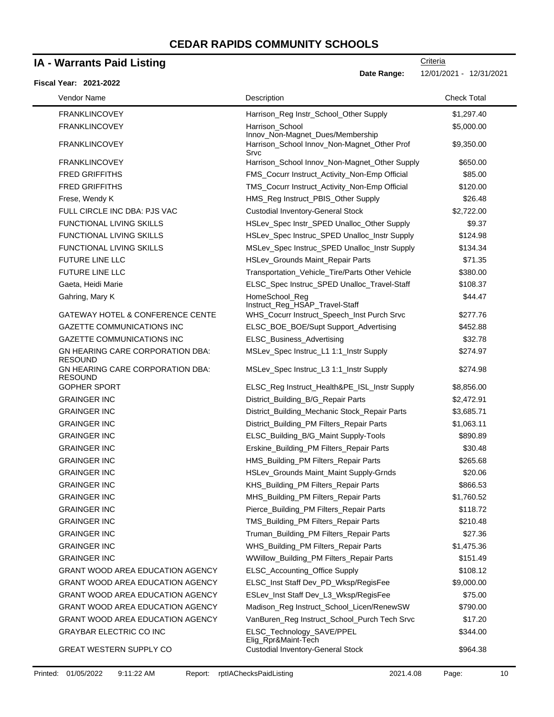### **IA - Warrants Paid Listing**

#### **Fiscal Year: 2021-2022**

**Criteria Date Range:** 12/01/2021 - 12/31/2021

FRANKLINCOVEY **Example 2018** Harrison\_Reg Instr\_School\_Other Supply \$1,297.40 FRANKLINCOVEY **Harrison** School Innov\_Non-Magnet\_Dues/Membership \$5,000.00 FRANKLINCOVEY Harrison\_School Innov\_Non-Magnet\_Other Prof Srvc \$9,350.00 FRANKLINCOVEY **EXALLINCOVEY** 1990 1000 Harrison\_School Innov\_Non-Magnet\_Other Supply \$650.00 FRED GRIFFITHS **FMS\_Cocurr Instruct\_Activity\_Non-Emp Official** \$85.00 FRED GRIFFITHS TMS\_Cocurr Instruct\_Activity\_Non-Emp Official \$120.00 Frese, Wendy K HMS\_Reg Instruct\_PBIS\_Other Supply \$26.48 FULL CIRCLE INC DBA: PJS VAC Custodial Inventory-General Stock \$2,722.00 FUNCTIONAL LIVING SKILLS HSLev\_Spec Instr\_SPED Unalloc\_Other Supply \$9.37 FUNCTIONAL LIVING SKILLS **HSLev\_Spec Instruc\_SPED Unalloc\_Instr Supply** \$124.98 FUNCTIONAL LIVING SKILLS MSLev\_Spec Instruc\_SPED Unalloc\_Instr Supply \$134.34 FUTURE LINE LLC **FUTURE LINE LECULARY STIMUS** HSLev\_Grounds Maint\_Repair Parts **\$71.35** FUTURE LINE LLC **Transportation\_Vehicle\_Tire/Parts Other Vehicle** \$380.00 Gaeta, Heidi Marie **ELSC\_Spec Instruc\_SPED Unalloc\_Travel-Staff** \$108.37 Gahring, Mary K **HomeSchool\_Reg** Instruct\_Reg\_HSAP\_Travel-Staff \$44.47 GATEWAY HOTEL & CONFERENCE CENTE WHS\_Cocurr Instruct\_Speech\_Inst Purch Srvc \$277.76 GAZETTE COMMUNICATIONS INC **ELSC\_BOE\_BOE/Supt Support\_Advertising \$452.88** GAZETTE COMMUNICATIONS INC **ELSC\_Business\_Advertising 632.78** GN HEARING CARE CORPORATION DBA: RESOUND MSLev Spec Instruc L1 1:1 Instr Supply \$274.97 GN HEARING CARE CORPORATION DBA: RESOUND MSLev\_Spec Instruc\_L3 1:1\_Instr Supply \$274.98 GOPHER SPORT **ELSC\_Reg Instruct\_Health&PE\_ISL\_Instr Supply** \$8,856.00 GRAINGER INC **CONTACT CONTROLLER INCLUSTED** District Building B/G\_Repair Parts \$2,472.91 GRAINGER INC **CONTAINGLICE INCLUST** District Building Mechanic Stock Repair Parts \$3,685.71 GRAINGER INC **CONTAINGLER INC** District\_Building\_PM Filters\_Repair Parts \$1,063.11 GRAINGER INC **ELSC\_Building\_B/G\_Maint Supply-Tools** \$890.89 GRAINGER INC **Erskine\_Building\_PM Filters\_Repair Parts** \$30.48 GRAINGER INC **GRAINGER INC HMS** Building PM Filters Repair Parts \$265.68 GRAINGER INC **CONSIDER INCURREGATA CONSTRUCTS** HSLev\_Grounds Maint\_Maint Supply-Grnds \$20.06 GRAINGER INC KHS\_Building\_PM Filters\_Repair Parts \$866.53 GRAINGER INC **Same Communist Communist Communist Communist Communist Communist Communist Communist Communist Communist Communist Communist Communist Communist Communist Communist Communist Communist Communist Communist Com** GRAINGER INC **CONTAINGLIFY CONTROLLER INC.** Pierce Building PM Filters Repair Parts \$118.72 GRAINGER INC **TMS** Building PM Filters Repair Parts \$210.48 GRAINGER INC **Truman\_Building\_PM Filters\_Repair Parts** \$27.36 GRAINGER INC **Same Communist Communist Communist Communist Communist Communist Communist Communist Communist Communist Communist Communist Communist Communist Communist Communist Communist Communist Communist Communist Com** GRAINGER INC **CONTACT CONTROLLER INC.** WWILLING MINIMUM\_Building\_PM Filters\_Repair Parts \$151.49 GRANT WOOD AREA EDUCATION AGENCY LELSC Accounting Office Supply \$108.12 GRANT WOOD AREA EDUCATION AGENCY LELSC\_Inst Staff Dev\_PD\_Wksp/RegisFee \$9,000.00 GRANT WOOD AREA EDUCATION AGENCY THE SLevillast Staff Devillar Wisp/RegisFee \$75.00 GRANT WOOD AREA EDUCATION AGENCY Madison Reg Instruct School Licen/RenewSW \$790.00 GRANT WOOD AREA EDUCATION AGENCY VanBuren\_Reg Instruct\_School\_Purch Tech Srvc \$17.20 GRAYBAR ELECTRIC CO INC **ELSC** Technology SAVE/PPEL Elig\_Rpr&Maint-Tech \$344.00 GREAT WESTERN SUPPLY CO Custodial Inventory-General Stock \$964.38 Vendor Name **Description** Check Total Description Check Total Description Check Total Description Check Total Description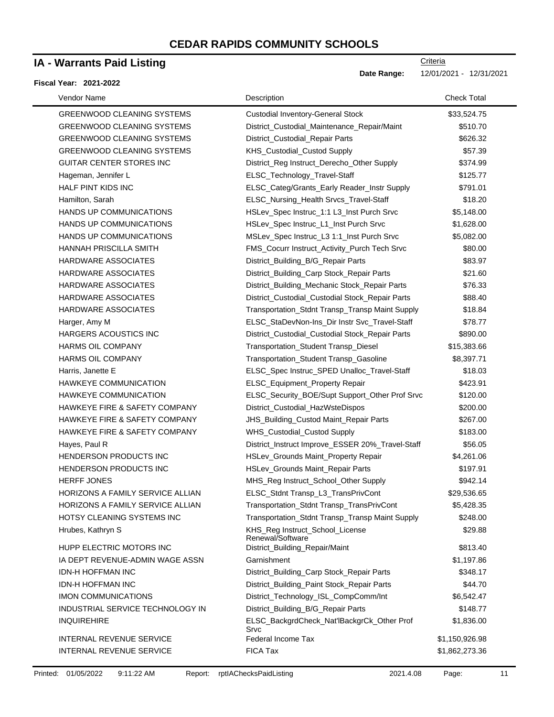### **IA - Warrants Paid Listing**

#### **Fiscal Year: 2021-2022**

| Vendor Name                             | Description                                         | <b>Check Total</b> |
|-----------------------------------------|-----------------------------------------------------|--------------------|
| <b>GREENWOOD CLEANING SYSTEMS</b>       | <b>Custodial Inventory-General Stock</b>            | \$33,524.75        |
| <b>GREENWOOD CLEANING SYSTEMS</b>       | District_Custodial_Maintenance_Repair/Maint         | \$510.70           |
| <b>GREENWOOD CLEANING SYSTEMS</b>       | District_Custodial_Repair Parts                     | \$626.32           |
| <b>GREENWOOD CLEANING SYSTEMS</b>       | KHS_Custodial_Custod Supply                         | \$57.39            |
| <b>GUITAR CENTER STORES INC</b>         | District_Reg Instruct_Derecho_Other Supply          | \$374.99           |
| Hageman, Jennifer L                     | ELSC_Technology_Travel-Staff                        | \$125.77           |
| <b>HALF PINT KIDS INC</b>               | ELSC_Categ/Grants_Early Reader_Instr Supply         | \$791.01           |
| Hamilton, Sarah                         | ELSC_Nursing_Health Srvcs_Travel-Staff              | \$18.20            |
| HANDS UP COMMUNICATIONS                 | HSLev_Spec Instruc_1:1 L3_Inst Purch Srvc           | \$5,148.00         |
| HANDS UP COMMUNICATIONS                 | HSLev_Spec Instruc_L1_Inst Purch Srvc               | \$1,628.00         |
| HANDS UP COMMUNICATIONS                 | MSLev_Spec Instruc_L3 1:1_Inst Purch Srvc           | \$5,082.00         |
| HANNAH PRISCILLA SMITH                  | FMS_Cocurr Instruct_Activity_Purch Tech Srvc        | \$80.00            |
| HARDWARE ASSOCIATES                     | District_Building_B/G_Repair Parts                  | \$83.97            |
| HARDWARE ASSOCIATES                     | District_Building_Carp Stock_Repair Parts           | \$21.60            |
| <b>HARDWARE ASSOCIATES</b>              | District_Building_Mechanic Stock_Repair Parts       | \$76.33            |
| HARDWARE ASSOCIATES                     | District_Custodial_Custodial Stock_Repair Parts     | \$88.40            |
| HARDWARE ASSOCIATES                     | Transportation_Stdnt Transp_Transp Maint Supply     | \$18.84            |
| Harger, Amy M                           | ELSC_StaDevNon-Ins_Dir Instr Svc_Travel-Staff       | \$78.77            |
| <b>HARGERS ACOUSTICS INC</b>            | District_Custodial_Custodial Stock_Repair Parts     | \$890.00           |
| <b>HARMS OIL COMPANY</b>                | Transportation_Student Transp_Diesel                | \$15,383.66        |
| <b>HARMS OIL COMPANY</b>                | Transportation_Student Transp_Gasoline              | \$8,397.71         |
| Harris, Janette E                       | ELSC_Spec Instruc_SPED Unalloc_Travel-Staff         | \$18.03            |
| HAWKEYE COMMUNICATION                   | ELSC_Equipment_Property Repair                      | \$423.91           |
| HAWKEYE COMMUNICATION                   | ELSC_Security_BOE/Supt Support_Other Prof Srvc      | \$120.00           |
| HAWKEYE FIRE & SAFETY COMPANY           | District_Custodial_HazWsteDispos                    | \$200.00           |
| HAWKEYE FIRE & SAFETY COMPANY           | JHS_Building_Custod Maint_Repair Parts              | \$267.00           |
| HAWKEYE FIRE & SAFETY COMPANY           | WHS_Custodial_Custod Supply                         | \$183.00           |
| Hayes, Paul R                           | District_Instruct Improve_ESSER 20%_Travel-Staff    | \$56.05            |
| HENDERSON PRODUCTS INC                  | HSLev_Grounds Maint_Property Repair                 | \$4,261.06         |
| HENDERSON PRODUCTS INC                  | HSLev_Grounds Maint_Repair Parts                    | \$197.91           |
| <b>HERFF JONES</b>                      | MHS_Reg Instruct_School_Other Supply                | \$942.14           |
| <b>HORIZONS A FAMILY SERVICE ALLIAN</b> | ELSC_Stdnt Transp_L3_TransPrivCont                  | \$29,536.65        |
| HORIZONS A FAMILY SERVICE ALLIAN        | Transportation_Stdnt Transp_TransPrivCont           | \$5,428.35         |
| HOTSY CLEANING SYSTEMS INC              | Transportation_Stdnt Transp_Transp Maint Supply     | \$248.00           |
| Hrubes, Kathryn S                       | KHS_Reg Instruct_School_License<br>Renewal/Software | \$29.88            |
| HUPP ELECTRIC MOTORS INC                | District_Building_Repair/Maint                      | \$813.40           |
| IA DEPT REVENUE-ADMIN WAGE ASSN         | Garnishment                                         | \$1,197.86         |
| <b>IDN-H HOFFMAN INC</b>                | District_Building_Carp Stock_Repair Parts           | \$348.17           |
| <b>IDN-H HOFFMAN INC</b>                | District_Building_Paint Stock_Repair Parts          | \$44.70            |
| <b>IMON COMMUNICATIONS</b>              | District_Technology_ISL_CompComm/Int                | \$6,542.47         |
| INDUSTRIAL SERVICE TECHNOLOGY IN        | District_Building_B/G_Repair Parts                  | \$148.77           |
| <b>INQUIREHIRE</b>                      | ELSC_BackgrdCheck_Nat'lBackgrCk_Other Prof<br>Srvc  | \$1,836.00         |
| <b>INTERNAL REVENUE SERVICE</b>         | Federal Income Tax                                  | \$1,150,926.98     |
| INTERNAL REVENUE SERVICE                | FICA Tax                                            | \$1,862,273.36     |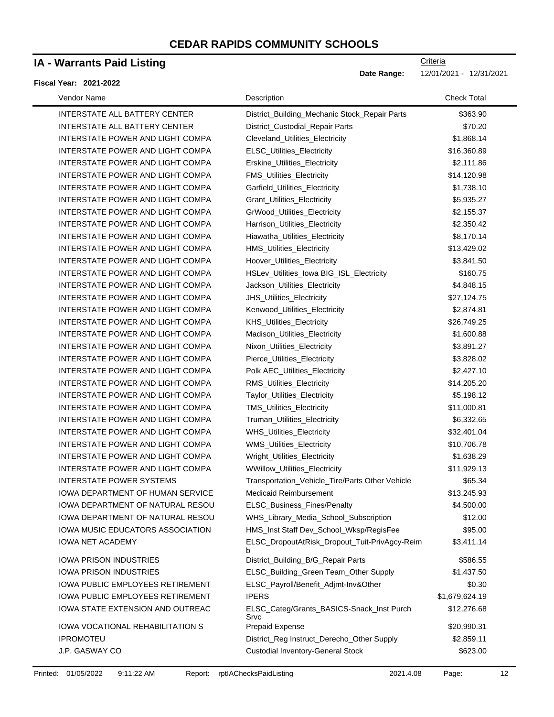# **IA - Warrants Paid Listing**

#### **Fiscal Year: 2021-2022**

-

| Vendor Name                             | Description                                        | <b>Check Total</b> |
|-----------------------------------------|----------------------------------------------------|--------------------|
| <b>INTERSTATE ALL BATTERY CENTER</b>    | District_Building_Mechanic Stock_Repair Parts      | \$363.90           |
| <b>INTERSTATE ALL BATTERY CENTER</b>    | District_Custodial_Repair Parts                    | \$70.20            |
| INTERSTATE POWER AND LIGHT COMPA        | Cleveland_Utilities_Electricity                    | \$1,868.14         |
| INTERSTATE POWER AND LIGHT COMPA        | ELSC_Utilities_Electricity                         | \$16,360.89        |
| INTERSTATE POWER AND LIGHT COMPA        | Erskine_Utilities_Electricity                      | \$2,111.86         |
| INTERSTATE POWER AND LIGHT COMPA        | <b>FMS_Utilities_Electricity</b>                   | \$14,120.98        |
| INTERSTATE POWER AND LIGHT COMPA        | Garfield_Utilities_Electricity                     | \$1,738.10         |
| INTERSTATE POWER AND LIGHT COMPA        | Grant_Utilities_Electricity                        | \$5,935.27         |
| INTERSTATE POWER AND LIGHT COMPA        | GrWood_Utilities_Electricity                       | \$2,155.37         |
| INTERSTATE POWER AND LIGHT COMPA        | Harrison_Utilities_Electricity                     | \$2,350.42         |
| INTERSTATE POWER AND LIGHT COMPA        | Hiawatha_Utilities_Electricity                     | \$8,170.14         |
| INTERSTATE POWER AND LIGHT COMPA        | HMS_Utilities_Electricity                          | \$13,429.02        |
| INTERSTATE POWER AND LIGHT COMPA        | Hoover_Utilities_Electricity                       | \$3,841.50         |
| INTERSTATE POWER AND LIGHT COMPA        | HSLev_Utilities_lowa BIG_ISL_Electricity           | \$160.75           |
| INTERSTATE POWER AND LIGHT COMPA        | Jackson_Utilities_Electricity                      | \$4,848.15         |
| INTERSTATE POWER AND LIGHT COMPA        | JHS_Utilities_Electricity                          | \$27,124.75        |
| INTERSTATE POWER AND LIGHT COMPA        | Kenwood_Utilities_Electricity                      | \$2,874.81         |
| INTERSTATE POWER AND LIGHT COMPA        | KHS_Utilities_Electricity                          | \$26,749.25        |
| INTERSTATE POWER AND LIGHT COMPA        | Madison_Utilities_Electricity                      | \$1,600.88         |
| INTERSTATE POWER AND LIGHT COMPA        | Nixon_Utilities_Electricity                        | \$3,891.27         |
| INTERSTATE POWER AND LIGHT COMPA        | Pierce_Utilities_Electricity                       | \$3,828.02         |
| INTERSTATE POWER AND LIGHT COMPA        | Polk AEC_Utilities_Electricity                     | \$2,427.10         |
| INTERSTATE POWER AND LIGHT COMPA        | RMS_Utilities_Electricity                          | \$14,205.20        |
| INTERSTATE POWER AND LIGHT COMPA        | Taylor_Utilities_Electricity                       | \$5,198.12         |
| INTERSTATE POWER AND LIGHT COMPA        | TMS_Utilities_Electricity                          | \$11,000.81        |
| INTERSTATE POWER AND LIGHT COMPA        | Truman_Utilities_Electricity                       | \$6,332.65         |
| INTERSTATE POWER AND LIGHT COMPA        | WHS_Utilities_Electricity                          | \$32,401.04        |
| INTERSTATE POWER AND LIGHT COMPA        | WMS_Utilities_Electricity                          | \$10,706.78        |
| INTERSTATE POWER AND LIGHT COMPA        | Wright_Utilities_Electricity                       | \$1,638.29         |
| INTERSTATE POWER AND LIGHT COMPA        | <b>WWillow_Utilities_Electricity</b>               | \$11,929.13        |
| <b>INTERSTATE POWER SYSTEMS</b>         | Transportation_Vehicle_Tire/Parts Other Vehicle    | \$65.34            |
| <b>IOWA DEPARTMENT OF HUMAN SERVICE</b> | <b>Medicaid Reimbursement</b>                      | \$13,245.93        |
| IOWA DEPARTMENT OF NATURAL RESOU        | ELSC_Business_Fines/Penalty                        | \$4,500.00         |
| <b>IOWA DEPARTMENT OF NATURAL RESOU</b> | WHS_Library_Media_School_Subscription              | \$12.00            |
| IOWA MUSIC EDUCATORS ASSOCIATION        | HMS_Inst Staff Dev_School_Wksp/RegisFee            | \$95.00            |
| <b>IOWA NET ACADEMY</b>                 | ELSC_DropoutAtRisk_Dropout_Tuit-PrivAgcy-Reim<br>b | \$3,411.14         |
| IOWA PRISON INDUSTRIES                  | District_Building_B/G_Repair Parts                 | \$586.55           |
| <b>IOWA PRISON INDUSTRIES</b>           | ELSC_Building_Green Team_Other Supply              | \$1,437.50         |
| <b>IOWA PUBLIC EMPLOYEES RETIREMENT</b> | ELSC_Payroll/Benefit_Adjmt-Inv&Other               | \$0.30             |
| <b>IOWA PUBLIC EMPLOYEES RETIREMENT</b> | <b>IPERS</b>                                       | \$1,679,624.19     |
| IOWA STATE EXTENSION AND OUTREAC        | ELSC_Categ/Grants_BASICS-Snack_Inst Purch<br>Srvc  | \$12,276.68        |
| IOWA VOCATIONAL REHABILITATION S        | <b>Prepaid Expense</b>                             | \$20,990.31        |
| <b>IPROMOTEU</b>                        | District_Reg Instruct_Derecho_Other Supply         | \$2,859.11         |
| J.P. GASWAY CO                          | <b>Custodial Inventory-General Stock</b>           | \$623.00           |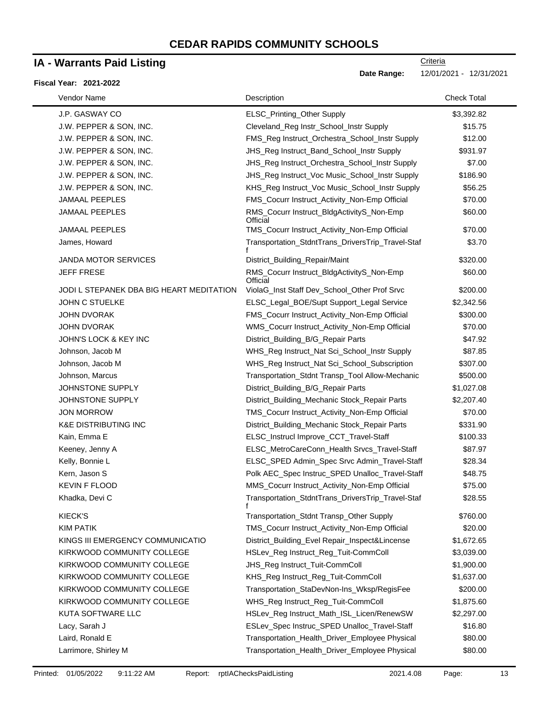### **IA - Warrants Paid Listing**

#### **Fiscal Year: 2021-2022**

| Vendor Name                              | Description                                           | <b>Check Total</b> |
|------------------------------------------|-------------------------------------------------------|--------------------|
| J.P. GASWAY CO                           | ELSC_Printing_Other Supply                            | \$3,392.82         |
| J.W. PEPPER & SON, INC.                  | Cleveland_Reg Instr_School_Instr Supply               | \$15.75            |
| J.W. PEPPER & SON, INC.                  | FMS_Reg Instruct_Orchestra_School_Instr Supply        | \$12.00            |
| J.W. PEPPER & SON, INC.                  | JHS_Reg Instruct_Band_School_Instr Supply             | \$931.97           |
| J.W. PEPPER & SON, INC.                  | JHS_Reg Instruct_Orchestra_School_Instr Supply        | \$7.00             |
| J.W. PEPPER & SON, INC.                  | JHS_Reg Instruct_Voc Music_School_Instr Supply        | \$186.90           |
| J.W. PEPPER & SON, INC.                  | KHS_Reg Instruct_Voc Music_School_Instr Supply        | \$56.25            |
| <b>JAMAAL PEEPLES</b>                    | FMS_Cocurr Instruct_Activity_Non-Emp Official         | \$70.00            |
| <b>JAMAAL PEEPLES</b>                    | RMS_Cocurr Instruct_BldgActivityS_Non-Emp<br>Official | \$60.00            |
| <b>JAMAAL PEEPLES</b>                    | TMS_Cocurr Instruct_Activity_Non-Emp Official         | \$70.00            |
| James, Howard                            | Transportation_StdntTrans_DriversTrip_Travel-Staf     | \$3.70             |
| <b>JANDA MOTOR SERVICES</b>              | District_Building_Repair/Maint                        | \$320.00           |
| <b>JEFF FRESE</b>                        | RMS_Cocurr Instruct_BldgActivityS_Non-Emp<br>Official | \$60.00            |
| JODI L STEPANEK DBA BIG HEART MEDITATION | ViolaG_Inst Staff Dev_School_Other Prof Srvc          | \$200.00           |
| <b>JOHN C STUELKE</b>                    | ELSC_Legal_BOE/Supt Support_Legal Service             | \$2,342.56         |
| <b>JOHN DVORAK</b>                       | FMS_Cocurr Instruct_Activity_Non-Emp Official         | \$300.00           |
| <b>JOHN DVORAK</b>                       | WMS_Cocurr Instruct_Activity_Non-Emp Official         | \$70.00            |
| <b>JOHN'S LOCK &amp; KEY INC</b>         | District_Building_B/G_Repair Parts                    | \$47.92            |
| Johnson, Jacob M                         | WHS_Reg Instruct_Nat Sci_School_Instr Supply          | \$87.85            |
| Johnson, Jacob M                         | WHS_Reg Instruct_Nat Sci_School_Subscription          | \$307.00           |
| Johnson, Marcus                          | Transportation_Stdnt Transp_Tool Allow-Mechanic       | \$500.00           |
| JOHNSTONE SUPPLY                         | District_Building_B/G_Repair Parts                    | \$1,027.08         |
| JOHNSTONE SUPPLY                         | District_Building_Mechanic Stock_Repair Parts         | \$2,207.40         |
| <b>JON MORROW</b>                        | TMS_Cocurr Instruct_Activity_Non-Emp Official         | \$70.00            |
| <b>K&amp;E DISTRIBUTING INC</b>          | District_Building_Mechanic Stock_Repair Parts         | \$331.90           |
| Kain, Emma E                             | ELSC_Instrucl Improve_CCT_Travel-Staff                | \$100.33           |
| Keeney, Jenny A                          | ELSC_MetroCareConn_Health Srvcs_Travel-Staff          | \$87.97            |
| Kelly, Bonnie L                          | ELSC_SPED Admin_Spec Srvc Admin_Travel-Staff          | \$28.34            |
| Kern, Jason S                            | Polk AEC_Spec Instruc_SPED Unalloc_Travel-Staff       | \$48.75            |
| <b>KEVIN F FLOOD</b>                     | MMS_Cocurr Instruct_Activity_Non-Emp Official         | \$75.00            |
| Khadka, Devi C                           | Transportation_StdntTrans_DriversTrip_Travel-Staf     | \$28.55            |
| <b>KIECK'S</b>                           | Transportation_Stdnt Transp_Other Supply              | \$760.00           |
| <b>KIM PATIK</b>                         | TMS_Cocurr Instruct_Activity_Non-Emp Official         | \$20.00            |
| KINGS III EMERGENCY COMMUNICATIO         | District_Building_Evel Repair_Inspect&Lincense        | \$1,672.65         |
| KIRKWOOD COMMUNITY COLLEGE               | HSLev_Reg Instruct_Reg_Tuit-CommColl                  | \$3,039.00         |
| KIRKWOOD COMMUNITY COLLEGE               | JHS_Reg Instruct_Tuit-CommColl                        | \$1,900.00         |
| KIRKWOOD COMMUNITY COLLEGE               | KHS_Reg Instruct_Reg_Tuit-CommColl                    | \$1,637.00         |
| KIRKWOOD COMMUNITY COLLEGE               | Transportation_StaDevNon-Ins_Wksp/RegisFee            | \$200.00           |
| KIRKWOOD COMMUNITY COLLEGE               | WHS_Reg Instruct_Reg_Tuit-CommColl                    | \$1,875.60         |
| KUTA SOFTWARE LLC                        | HSLev_Reg Instruct_Math_ISL_Licen/RenewSW             | \$2,297.00         |
| Lacy, Sarah J                            | ESLev_Spec Instruc_SPED Unalloc_Travel-Staff          | \$16.80            |
| Laird, Ronald E                          | Transportation_Health_Driver_Employee Physical        | \$80.00            |
| Larrimore, Shirley M                     | Transportation_Health_Driver_Employee Physical        | \$80.00            |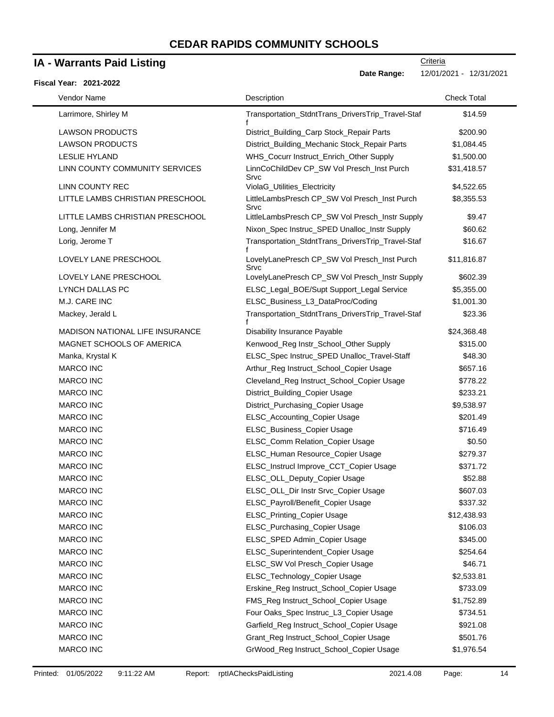### **IA - Warrants Paid Listing**

#### **Fiscal Year: 2021-2022**

Date Range: 12/01/2021 - 12/31/2021

| Vendor Name            |                                  | Description                                           | <b>Check Total</b> |
|------------------------|----------------------------------|-------------------------------------------------------|--------------------|
| Larrimore, Shirley M   |                                  | Transportation_StdntTrans_DriversTrip_Travel-Staf     | \$14.59            |
|                        |                                  |                                                       |                    |
| <b>LAWSON PRODUCTS</b> |                                  | District_Building_Carp Stock_Repair Parts             | \$200.90           |
| <b>LAWSON PRODUCTS</b> |                                  | District_Building_Mechanic Stock_Repair Parts         | \$1,084.45         |
| <b>LESLIE HYLAND</b>   |                                  | WHS_Cocurr Instruct_Enrich_Other Supply               | \$1,500.00         |
|                        | LINN COUNTY COMMUNITY SERVICES   | LinnCoChildDev CP_SW Vol Presch_Inst Purch<br>Srvc    | \$31,418.57        |
| <b>LINN COUNTY REC</b> |                                  | ViolaG_Utilities_Electricity                          | \$4,522.65         |
|                        | LITTLE LAMBS CHRISTIAN PRESCHOOL | LittleLambsPresch CP_SW Vol Presch_Inst Purch<br>Srvc | \$8,355.53         |
|                        | LITTLE LAMBS CHRISTIAN PRESCHOOL | LittleLambsPresch CP_SW Vol Presch_Instr Supply       | \$9.47             |
| Long, Jennifer M       |                                  | Nixon_Spec Instruc_SPED Unalloc_Instr Supply          | \$60.62            |
| Lorig, Jerome T        |                                  | Transportation_StdntTrans_DriversTrip_Travel-Staf     | \$16.67            |
|                        | LOVELY LANE PRESCHOOL            | LovelyLanePresch CP_SW Vol Presch_Inst Purch<br>Srvc  | \$11,816.87        |
|                        | LOVELY LANE PRESCHOOL            | LovelyLanePresch CP_SW Vol Presch_Instr Supply        | \$602.39           |
| LYNCH DALLAS PC        |                                  | ELSC_Legal_BOE/Supt Support_Legal Service             | \$5,355.00         |
| M.J. CARE INC          |                                  | ELSC_Business_L3_DataProc/Coding                      | \$1,001.30         |
| Mackey, Jerald L       |                                  | Transportation_StdntTrans_DriversTrip_Travel-Staf     | \$23.36            |
|                        | MADISON NATIONAL LIFE INSURANCE  | <b>Disability Insurance Payable</b>                   | \$24,368.48        |
|                        | MAGNET SCHOOLS OF AMERICA        | Kenwood_Reg Instr_School_Other Supply                 | \$315.00           |
| Manka, Krystal K       |                                  | ELSC_Spec Instruc_SPED Unalloc_Travel-Staff           | \$48.30            |
| <b>MARCO INC</b>       |                                  | Arthur_Reg Instruct_School_Copier Usage               | \$657.16           |
| <b>MARCO INC</b>       |                                  | Cleveland_Reg Instruct_School_Copier Usage            | \$778.22           |
| <b>MARCO INC</b>       |                                  | District_Building_Copier Usage                        | \$233.21           |
| <b>MARCO INC</b>       |                                  | District_Purchasing_Copier Usage                      | \$9,538.97         |
| <b>MARCO INC</b>       |                                  | ELSC_Accounting_Copier Usage                          | \$201.49           |
| <b>MARCO INC</b>       |                                  | ELSC_Business_Copier Usage                            | \$716.49           |
| <b>MARCO INC</b>       |                                  | ELSC_Comm Relation_Copier Usage                       | \$0.50             |
| <b>MARCO INC</b>       |                                  | ELSC_Human Resource_Copier Usage                      | \$279.37           |
| <b>MARCO INC</b>       |                                  | ELSC_Instrucl Improve_CCT_Copier Usage                | \$371.72           |
| <b>MARCO INC</b>       |                                  | ELSC_OLL_Deputy_Copier Usage                          | \$52.88            |
| <b>MARCO INC</b>       |                                  | ELSC_OLL_Dir Instr Srvc_Copier Usage                  | \$607.03           |
| <b>MARCO INC</b>       |                                  | ELSC_Payroll/Benefit_Copier Usage                     | \$337.32           |
| MARCO INC              |                                  | ELSC_Printing_Copier Usage                            | \$12,438.93        |
| MARCO INC              |                                  | ELSC_Purchasing_Copier Usage                          | \$106.03           |
| MARCO INC              |                                  | ELSC_SPED Admin_Copier Usage                          | \$345.00           |
| MARCO INC              |                                  | ELSC_Superintendent_Copier Usage                      | \$254.64           |
| MARCO INC              |                                  | ELSC_SW Vol Presch_Copier Usage                       | \$46.71            |
| MARCO INC              |                                  | ELSC_Technology_Copier Usage                          | \$2,533.81         |
| MARCO INC              |                                  | Erskine_Reg Instruct_School_Copier Usage              | \$733.09           |
| MARCO INC              |                                  | FMS_Reg Instruct_School_Copier Usage                  | \$1,752.89         |
| <b>MARCO INC</b>       |                                  | Four Oaks_Spec Instruc_L3_Copier Usage                | \$734.51           |
| MARCO INC              |                                  | Garfield_Reg Instruct_School_Copier Usage             | \$921.08           |
| MARCO INC              |                                  | Grant_Reg Instruct_School_Copier Usage                | \$501.76           |
| MARCO INC              |                                  | GrWood_Reg Instruct_School_Copier Usage               | \$1,976.54         |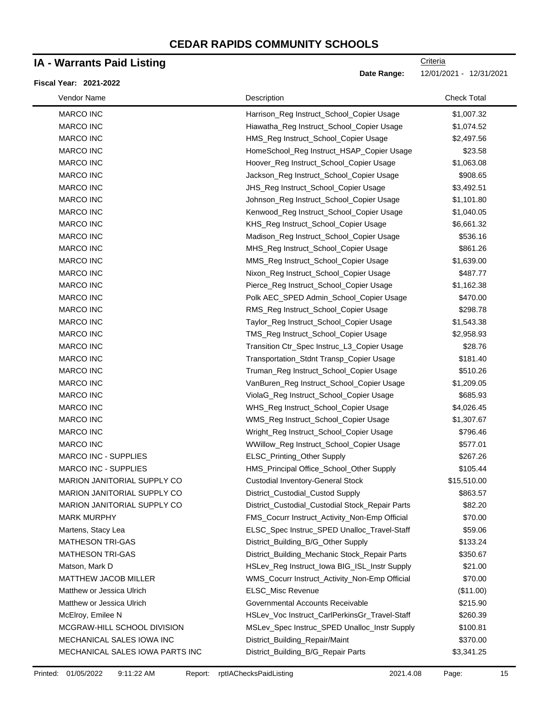### **IA - Warrants Paid Listing**

#### **Fiscal Year: 2021-2022**

**Criteria** 

**Date Range:** 12/01/2021 - 12/31/2021

| Vendor Name                     | Description                                     | <b>Check Total</b> |
|---------------------------------|-------------------------------------------------|--------------------|
| <b>MARCO INC</b>                | Harrison_Reg Instruct_School_Copier Usage       | \$1,007.32         |
| MARCO INC                       | Hiawatha_Reg Instruct_School_Copier Usage       | \$1,074.52         |
| MARCO INC                       | HMS_Reg Instruct_School_Copier Usage            | \$2,497.56         |
| <b>MARCO INC</b>                | HomeSchool_Reg Instruct_HSAP_Copier Usage       | \$23.58            |
| MARCO INC                       | Hoover_Reg Instruct_School_Copier Usage         | \$1,063.08         |
| MARCO INC                       | Jackson_Reg Instruct_School_Copier Usage        | \$908.65           |
| MARCO INC                       | JHS_Reg Instruct_School_Copier Usage            | \$3,492.51         |
| MARCO INC                       | Johnson_Reg Instruct_School_Copier Usage        | \$1,101.80         |
| MARCO INC                       | Kenwood_Reg Instruct_School_Copier Usage        | \$1,040.05         |
| <b>MARCO INC</b>                | KHS_Reg Instruct_School_Copier Usage            | \$6,661.32         |
| MARCO INC                       | Madison_Reg Instruct_School_Copier Usage        | \$536.16           |
| <b>MARCO INC</b>                | MHS_Reg Instruct_School_Copier Usage            | \$861.26           |
| MARCO INC                       | MMS_Reg Instruct_School_Copier Usage            | \$1,639.00         |
| MARCO INC                       | Nixon_Reg Instruct_School_Copier Usage          | \$487.77           |
| <b>MARCO INC</b>                | Pierce_Reg Instruct_School_Copier Usage         | \$1,162.38         |
| MARCO INC                       | Polk AEC_SPED Admin_School_Copier Usage         | \$470.00           |
| MARCO INC                       | RMS_Reg Instruct_School_Copier Usage            | \$298.78           |
| MARCO INC                       | Taylor_Reg Instruct_School_Copier Usage         | \$1,543.38         |
| MARCO INC                       | TMS_Reg Instruct_School_Copier Usage            | \$2,958.93         |
| <b>MARCO INC</b>                | Transition Ctr_Spec Instruc_L3_Copier Usage     | \$28.76            |
| <b>MARCO INC</b>                | Transportation_Stdnt Transp_Copier Usage        | \$181.40           |
| MARCO INC                       | Truman_Reg Instruct_School_Copier Usage         | \$510.26           |
| MARCO INC                       | VanBuren_Reg Instruct_School_Copier Usage       | \$1,209.05         |
| MARCO INC                       | ViolaG_Reg Instruct_School_Copier Usage         | \$685.93           |
| MARCO INC                       | WHS_Reg Instruct_School_Copier Usage            | \$4,026.45         |
| MARCO INC                       | WMS_Reg Instruct_School_Copier Usage            | \$1,307.67         |
| MARCO INC                       | Wright_Reg Instruct_School_Copier Usage         | \$796.46           |
| MARCO INC                       | WWillow_Reg Instruct_School_Copier Usage        | \$577.01           |
| MARCO INC - SUPPLIES            | ELSC_Printing_Other Supply                      | \$267.26           |
| MARCO INC - SUPPLIES            | HMS_Principal Office_School_Other Supply        | \$105.44           |
| MARION JANITORIAL SUPPLY CO     | <b>Custodial Inventory-General Stock</b>        | \$15,510.00        |
| MARION JANITORIAL SUPPLY CO     | District_Custodial_Custod Supply                | \$863.57           |
| MARION JANITORIAL SUPPLY CO     | District_Custodial_Custodial Stock_Repair Parts | \$82.20            |
| <b>MARK MURPHY</b>              | FMS_Cocurr Instruct_Activity_Non-Emp Official   | \$70.00            |
| Martens, Stacy Lea              | ELSC_Spec Instruc_SPED Unalloc_Travel-Staff     | \$59.06            |
| <b>MATHESON TRI-GAS</b>         | District_Building_B/G_Other Supply              | \$133.24           |
| <b>MATHESON TRI-GAS</b>         | District_Building_Mechanic Stock_Repair Parts   | \$350.67           |
| Matson, Mark D                  | HSLev_Reg Instruct_Iowa BIG_ISL_Instr Supply    | \$21.00            |
| MATTHEW JACOB MILLER            | WMS_Cocurr Instruct_Activity_Non-Emp Official   | \$70.00            |
| Matthew or Jessica Ulrich       | ELSC_Misc Revenue                               | (\$11.00)          |
| Matthew or Jessica Ulrich       | Governmental Accounts Receivable                | \$215.90           |
| McElroy, Emilee N               | HSLev_Voc Instruct_CarlPerkinsGr_Travel-Staff   | \$260.39           |
| MCGRAW-HILL SCHOOL DIVISION     | MSLev_Spec Instruc_SPED Unalloc_Instr Supply    | \$100.81           |
| MECHANICAL SALES IOWA INC       | District_Building_Repair/Maint                  | \$370.00           |
| MECHANICAL SALES IOWA PARTS INC | District_Building_B/G_Repair Parts              | \$3,341.25         |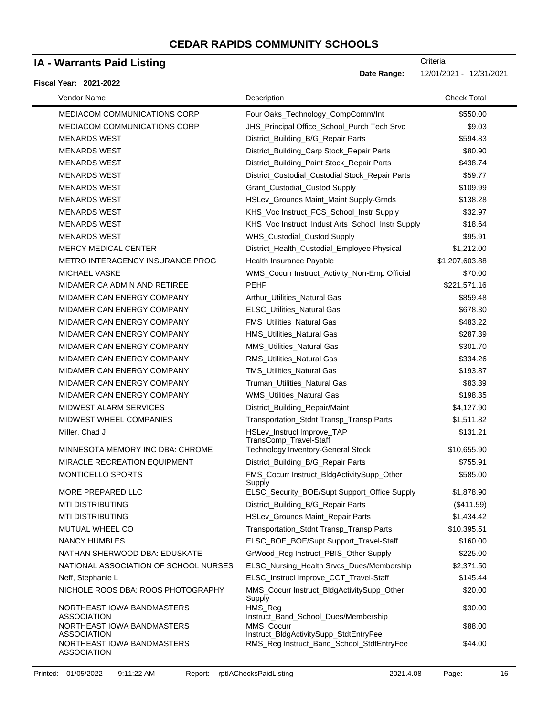### **IA - Warrants Paid Listing**

#### **Fiscal Year: 2021-2022**

| Vendor Name                                      | Description                                          | <b>Check Total</b> |
|--------------------------------------------------|------------------------------------------------------|--------------------|
| <b>MEDIACOM COMMUNICATIONS CORP</b>              | Four Oaks_Technology_CompComm/Int                    | \$550.00           |
| MEDIACOM COMMUNICATIONS CORP                     | JHS_Principal Office_School_Purch Tech Srvc          | \$9.03             |
| <b>MENARDS WEST</b>                              | District_Building_B/G_Repair Parts                   | \$594.83           |
| <b>MENARDS WEST</b>                              | District_Building_Carp Stock_Repair Parts            | \$80.90            |
| <b>MENARDS WEST</b>                              | District_Building_Paint Stock_Repair Parts           | \$438.74           |
| <b>MENARDS WEST</b>                              | District_Custodial_Custodial Stock_Repair Parts      | \$59.77            |
| <b>MENARDS WEST</b>                              | Grant_Custodial_Custod Supply                        | \$109.99           |
| <b>MENARDS WEST</b>                              | HSLev_Grounds Maint_Maint Supply-Grnds               | \$138.28           |
| <b>MENARDS WEST</b>                              | KHS_Voc Instruct_FCS_School_Instr Supply             | \$32.97            |
| <b>MENARDS WEST</b>                              | KHS_Voc Instruct_Indust Arts_School_Instr Supply     | \$18.64            |
| <b>MENARDS WEST</b>                              | WHS_Custodial_Custod Supply                          | \$95.91            |
| <b>MERCY MEDICAL CENTER</b>                      | District_Health_Custodial_Employee Physical          | \$1,212.00         |
| METRO INTERAGENCY INSURANCE PROG                 | Health Insurance Payable                             | \$1,207,603.88     |
| MICHAEL VASKE                                    | WMS_Cocurr Instruct_Activity_Non-Emp Official        | \$70.00            |
| MIDAMERICA ADMIN AND RETIREE                     | <b>PEHP</b>                                          | \$221,571.16       |
| MIDAMERICAN ENERGY COMPANY                       | Arthur_Utilities_Natural Gas                         | \$859.48           |
| MIDAMERICAN ENERGY COMPANY                       | ELSC_Utilities_Natural Gas                           | \$678.30           |
| <b>MIDAMERICAN ENERGY COMPANY</b>                | FMS_Utilities_Natural Gas                            | \$483.22           |
| <b>MIDAMERICAN ENERGY COMPANY</b>                | HMS_Utilities_Natural Gas                            | \$287.39           |
| MIDAMERICAN ENERGY COMPANY                       | MMS_Utilities_Natural Gas                            | \$301.70           |
| MIDAMERICAN ENERGY COMPANY                       | RMS_Utilities_Natural Gas                            | \$334.26           |
| MIDAMERICAN ENERGY COMPANY                       | <b>TMS_Utilities_Natural Gas</b>                     | \$193.87           |
| MIDAMERICAN ENERGY COMPANY                       | Truman_Utilities_Natural Gas                         | \$83.39            |
| MIDAMERICAN ENERGY COMPANY                       | WMS_Utilities_Natural Gas                            | \$198.35           |
| <b>MIDWEST ALARM SERVICES</b>                    | District_Building_Repair/Maint                       | \$4,127.90         |
| MIDWEST WHEEL COMPANIES                          | Transportation_Stdnt Transp_Transp Parts             | \$1,511.82         |
| Miller, Chad J                                   | HSLev_Instrucl Improve_TAP<br>TransComp_Travel-Staff | \$131.21           |
| MINNESOTA MEMORY INC DBA: CHROME                 | <b>Technology Inventory-General Stock</b>            | \$10,655.90        |
| MIRACLE RECREATION EQUIPMENT                     | District_Building_B/G_Repair Parts                   | \$755.91           |
| MONTICELLO SPORTS                                | FMS_Cocurr Instruct_BldgActivitySupp_Other<br>Supply | \$585.00           |
| MORE PREPARED LLC                                | ELSC_Security_BOE/Supt Support_Office Supply         | \$1,878.90         |
| <b>MTI DISTRIBUTING</b>                          | District_Building_B/G_Repair Parts                   | (\$411.59)         |
| <b>MTI DISTRIBUTING</b>                          | HSLev_Grounds Maint_Repair Parts                     | \$1,434.42         |
| MUTUAL WHEEL CO                                  | Transportation_Stdnt Transp_Transp Parts             | \$10,395.51        |
| <b>NANCY HUMBLES</b>                             | ELSC_BOE_BOE/Supt Support_Travel-Staff               | \$160.00           |
| NATHAN SHERWOOD DBA: EDUSKATE                    | GrWood_Reg Instruct_PBIS_Other Supply                | \$225.00           |
| NATIONAL ASSOCIATION OF SCHOOL NURSES            | ELSC_Nursing_Health Srvcs_Dues/Membership            | \$2,371.50         |
| Neff, Stephanie L                                | ELSC_Instrucl Improve_CCT_Travel-Staff               | \$145.44           |
| NICHOLE ROOS DBA: ROOS PHOTOGRAPHY               | MMS_Cocurr Instruct_BldgActivitySupp_Other<br>Supply | \$20.00            |
| NORTHEAST IOWA BANDMASTERS<br><b>ASSOCIATION</b> | HMS_Reg<br>Instruct_Band_School_Dues/Membership      | \$30.00            |
| NORTHEAST IOWA BANDMASTERS<br><b>ASSOCIATION</b> | MMS_Cocurr<br>Instruct_BldgActivitySupp_StdtEntryFee | \$88.00            |
| NORTHEAST IOWA BANDMASTERS<br>ASSOCIATION        | RMS_Reg Instruct_Band_School_StdtEntryFee            | \$44.00            |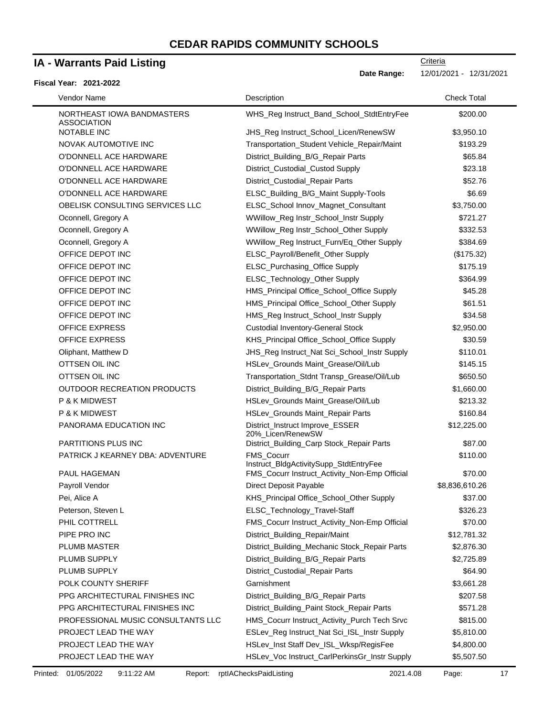### **IA - Warrants Paid Listing**

#### **Fiscal Year: 2021-2022**

Date Range: 12/01/2021 - 12/31/2021

| Vendor Name                                      | Description                                                 | <b>Check Total</b> |
|--------------------------------------------------|-------------------------------------------------------------|--------------------|
| NORTHEAST IOWA BANDMASTERS<br><b>ASSOCIATION</b> | WHS_Reg Instruct_Band_School_StdtEntryFee                   | \$200.00           |
| NOTABLE INC                                      | JHS_Reg Instruct_School_Licen/RenewSW                       | \$3,950.10         |
| NOVAK AUTOMOTIVE INC                             | Transportation_Student Vehicle_Repair/Maint                 | \$193.29           |
| O'DONNELL ACE HARDWARE                           | District_Building_B/G_Repair Parts                          | \$65.84            |
| O'DONNELL ACE HARDWARE                           | District_Custodial_Custod Supply                            | \$23.18            |
| O'DONNELL ACE HARDWARE                           | District_Custodial_Repair Parts                             | \$52.76            |
| O'DONNELL ACE HARDWARE                           | ELSC_Building_B/G_Maint Supply-Tools                        | \$6.69             |
| OBELISK CONSULTING SERVICES LLC                  | ELSC_School Innov_Magnet_Consultant                         | \$3,750.00         |
| Oconnell, Gregory A                              | WWillow_Reg Instr_School_Instr Supply                       | \$721.27           |
| Oconnell, Gregory A                              | WWillow_Reg Instr_School_Other Supply                       | \$332.53           |
| Oconnell, Gregory A                              | WWillow_Reg Instruct_Furn/Eq_Other Supply                   | \$384.69           |
| OFFICE DEPOT INC                                 | ELSC_Payroll/Benefit_Other Supply                           | (\$175.32)         |
| OFFICE DEPOT INC                                 | ELSC_Purchasing_Office Supply                               | \$175.19           |
| OFFICE DEPOT INC                                 | ELSC_Technology_Other Supply                                | \$364.99           |
| OFFICE DEPOT INC                                 | HMS_Principal Office_School_Office Supply                   | \$45.28            |
| OFFICE DEPOT INC                                 | HMS_Principal Office_School_Other Supply                    | \$61.51            |
| OFFICE DEPOT INC                                 | HMS_Reg Instruct_School_Instr Supply                        | \$34.58            |
| <b>OFFICE EXPRESS</b>                            | <b>Custodial Inventory-General Stock</b>                    | \$2,950.00         |
| <b>OFFICE EXPRESS</b>                            | KHS_Principal Office_School_Office Supply                   | \$30.59            |
| Oliphant, Matthew D                              | JHS_Reg Instruct_Nat Sci_School_Instr Supply                | \$110.01           |
| OTTSEN OIL INC                                   | HSLev_Grounds Maint_Grease/Oil/Lub                          | \$145.15           |
| OTTSEN OIL INC                                   | Transportation_Stdnt Transp_Grease/Oil/Lub                  | \$650.50           |
| <b>OUTDOOR RECREATION PRODUCTS</b>               | District_Building_B/G_Repair Parts                          | \$1,660.00         |
| P & K MIDWEST                                    | HSLev_Grounds Maint_Grease/Oil/Lub                          | \$213.32           |
| P & K MIDWEST                                    | HSLev_Grounds Maint_Repair Parts                            | \$160.84           |
| PANORAMA EDUCATION INC                           | District_Instruct Improve_ESSER<br>20%_Licen/RenewSW        | \$12,225.00        |
| PARTITIONS PLUS INC                              | District_Building_Carp Stock_Repair Parts                   | \$87.00            |
| PATRICK J KEARNEY DBA: ADVENTURE                 | <b>FMS Cocurr</b><br>Instruct_BldgActivitySupp_StdtEntryFee | \$110.00           |
| PAUL HAGEMAN                                     | FMS_Cocurr Instruct_Activity_Non-Emp Official               | \$70.00            |
| Payroll Vendor                                   | Direct Deposit Payable                                      | \$8,836,610.26     |
| Pei, Alice A                                     | KHS_Principal Office_School_Other Supply                    | \$37.00            |
| Peterson, Steven L                               | ELSC_Technology_Travel-Staff                                | \$326.23           |
| PHIL COTTRELL                                    | FMS_Cocurr Instruct_Activity_Non-Emp Official               | \$70.00            |
| PIPE PRO INC                                     | District_Building_Repair/Maint                              | \$12,781.32        |
| PLUMB MASTER                                     | District_Building_Mechanic Stock_Repair Parts               | \$2,876.30         |
| PLUMB SUPPLY                                     | District_Building_B/G_Repair Parts                          | \$2,725.89         |
| PLUMB SUPPLY                                     | District_Custodial_Repair Parts                             | \$64.90            |
| POLK COUNTY SHERIFF                              | Garnishment                                                 | \$3,661.28         |
| PPG ARCHITECTURAL FINISHES INC                   | District_Building_B/G_Repair Parts                          | \$207.58           |
| PPG ARCHITECTURAL FINISHES INC                   | District_Building_Paint Stock_Repair Parts                  | \$571.28           |
| PROFESSIONAL MUSIC CONSULTANTS LLC               | HMS_Cocurr Instruct_Activity_Purch Tech Srvc                | \$815.00           |
| PROJECT LEAD THE WAY                             | ESLev_Reg Instruct_Nat Sci_ISL_Instr Supply                 | \$5,810.00         |
| PROJECT LEAD THE WAY                             | HSLev_Inst Staff Dev_ISL_Wksp/RegisFee                      | \$4,800.00         |
| PROJECT LEAD THE WAY                             | HSLev_Voc Instruct_CarlPerkinsGr_Instr Supply               | \$5,507.50         |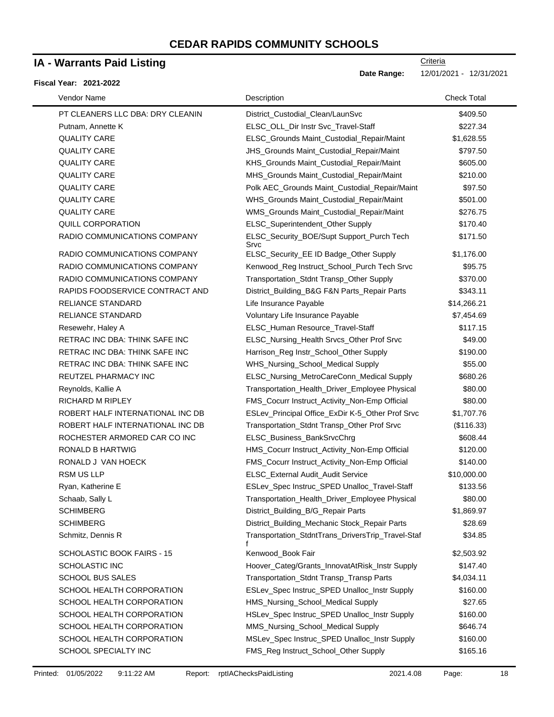### **IA - Warrants Paid Listing**

#### **Fiscal Year: 2021-2022**

| Vendor Name                      | Description                                            | <b>Check Total</b> |
|----------------------------------|--------------------------------------------------------|--------------------|
| PT CLEANERS LLC DBA: DRY CLEANIN | District_Custodial_Clean/LaunSvc                       | \$409.50           |
| Putnam, Annette K                | ELSC_OLL_Dir Instr Svc_Travel-Staff                    | \$227.34           |
| <b>QUALITY CARE</b>              | ELSC_Grounds Maint_Custodial_Repair/Maint              | \$1,628.55         |
| <b>QUALITY CARE</b>              | JHS_Grounds Maint_Custodial_Repair/Maint               | \$797.50           |
| <b>QUALITY CARE</b>              | KHS_Grounds Maint_Custodial_Repair/Maint               | \$605.00           |
| <b>QUALITY CARE</b>              | MHS_Grounds Maint_Custodial_Repair/Maint               | \$210.00           |
| <b>QUALITY CARE</b>              | Polk AEC_Grounds Maint_Custodial_Repair/Maint          | \$97.50            |
| <b>QUALITY CARE</b>              | WHS_Grounds Maint_Custodial_Repair/Maint               | \$501.00           |
| <b>QUALITY CARE</b>              | WMS_Grounds Maint_Custodial_Repair/Maint               | \$276.75           |
| <b>QUILL CORPORATION</b>         | ELSC_Superintendent_Other Supply                       | \$170.40           |
| RADIO COMMUNICATIONS COMPANY     | ELSC_Security_BOE/Supt Support_Purch Tech<br>Srvc      | \$171.50           |
| RADIO COMMUNICATIONS COMPANY     | ELSC_Security_EE ID Badge_Other Supply                 | \$1,176.00         |
| RADIO COMMUNICATIONS COMPANY     | Kenwood_Reg Instruct_School_Purch Tech Srvc            | \$95.75            |
| RADIO COMMUNICATIONS COMPANY     | Transportation_Stdnt Transp_Other Supply               | \$370.00           |
| RAPIDS FOODSERVICE CONTRACT AND  | District_Building_B&G F&N Parts_Repair Parts           | \$343.11           |
| <b>RELIANCE STANDARD</b>         | Life Insurance Payable                                 | \$14,266.21        |
| <b>RELIANCE STANDARD</b>         | Voluntary Life Insurance Payable                       | \$7,454.69         |
| Resewehr, Haley A                | ELSC_Human Resource_Travel-Staff                       | \$117.15           |
| RETRAC INC DBA: THINK SAFE INC   | ELSC_Nursing_Health Srvcs_Other Prof Srvc              | \$49.00            |
| RETRAC INC DBA: THINK SAFE INC   | Harrison_Reg Instr_School_Other Supply                 | \$190.00           |
| RETRAC INC DBA: THINK SAFE INC   | WHS_Nursing_School_Medical Supply                      | \$55.00            |
| REUTZEL PHARMACY INC             | ELSC_Nursing_MetroCareConn_Medical Supply              | \$680.26           |
| Reynolds, Kallie A               | Transportation_Health_Driver_Employee Physical         | \$80.00            |
| RICHARD M RIPLEY                 | FMS_Cocurr Instruct_Activity_Non-Emp Official          | \$80.00            |
| ROBERT HALF INTERNATIONAL INC DB | ESLev_Principal Office_ExDir K-5_Other Prof Srvc       | \$1,707.76         |
| ROBERT HALF INTERNATIONAL INC DB | Transportation_Stdnt Transp_Other Prof Srvc            | (\$116.33)         |
| ROCHESTER ARMORED CAR CO INC     | ELSC_Business_BankSrvcChrg                             | \$608.44           |
| <b>RONALD B HARTWIG</b>          | HMS_Cocurr Instruct_Activity_Non-Emp Official          | \$120.00           |
| RONALD J VAN HOECK               | FMS_Cocurr Instruct_Activity_Non-Emp Official          | \$140.00           |
| RSM US LLP                       | ELSC_External Audit_Audit Service                      | \$10,000.00        |
| Ryan, Katherine E                | ESLev_Spec Instruc_SPED Unalloc_Travel-Staff           | \$133.56           |
| Schaab, Sally L                  | Transportation_Health_Driver_Employee Physical         | \$80.00            |
| <b>SCHIMBERG</b>                 | District_Building_B/G_Repair Parts                     | \$1,869.97         |
| <b>SCHIMBERG</b>                 | District_Building_Mechanic Stock_Repair Parts          | \$28.69            |
| Schmitz, Dennis R                | Transportation_StdntTrans_DriversTrip_Travel-Staf<br>f | \$34.85            |
| SCHOLASTIC BOOK FAIRS - 15       | Kenwood_Book Fair                                      | \$2,503.92         |
| <b>SCHOLASTIC INC</b>            | Hoover_Categ/Grants_InnovatAtRisk_Instr Supply         | \$147.40           |
| <b>SCHOOL BUS SALES</b>          | Transportation_Stdnt Transp_Transp Parts               | \$4,034.11         |
| SCHOOL HEALTH CORPORATION        | ESLev_Spec Instruc_SPED Unalloc_Instr Supply           | \$160.00           |
| SCHOOL HEALTH CORPORATION        | HMS_Nursing_School_Medical Supply                      | \$27.65            |
| SCHOOL HEALTH CORPORATION        | HSLev_Spec Instruc_SPED Unalloc_Instr Supply           | \$160.00           |
| SCHOOL HEALTH CORPORATION        | MMS_Nursing_School_Medical Supply                      | \$646.74           |
| SCHOOL HEALTH CORPORATION        | MSLev_Spec Instruc_SPED Unalloc_Instr Supply           | \$160.00           |
| SCHOOL SPECIALTY INC             | FMS_Reg Instruct_School_Other Supply                   | \$165.16           |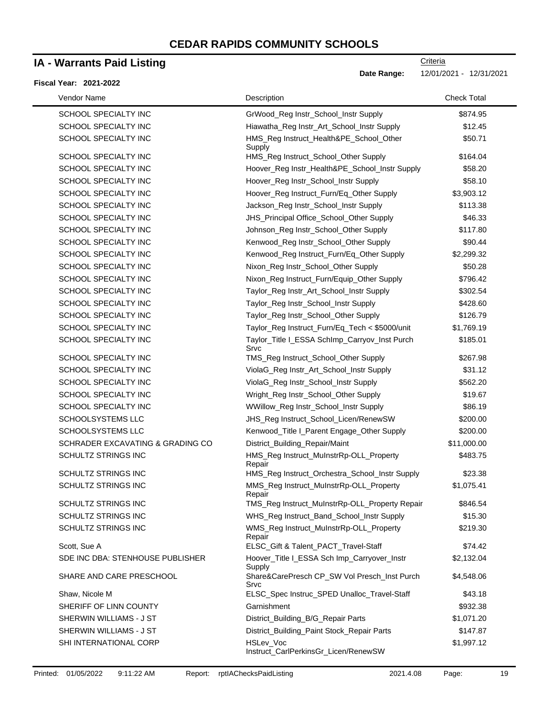# **IA - Warrants Paid Listing**

#### **Fiscal Year: 2021-2022**

| Vendor Name                      | Description                                              | <b>Check Total</b> |
|----------------------------------|----------------------------------------------------------|--------------------|
| <b>SCHOOL SPECIALTY INC</b>      | GrWood_Reg Instr_School_Instr Supply                     | \$874.95           |
| SCHOOL SPECIALTY INC             | Hiawatha_Reg Instr_Art_School_Instr Supply               | \$12.45            |
| <b>SCHOOL SPECIALTY INC</b>      | HMS_Reg Instruct_Health&PE_School_Other<br>Supply        | \$50.71            |
| SCHOOL SPECIALTY INC             | HMS_Reg Instruct_School_Other Supply                     | \$164.04           |
| SCHOOL SPECIALTY INC             | Hoover_Reg Instr_Health&PE_School_Instr Supply           | \$58.20            |
| SCHOOL SPECIALTY INC             | Hoover_Reg Instr_School_Instr Supply                     | \$58.10            |
| SCHOOL SPECIALTY INC             | Hoover_Reg Instruct_Furn/Eq_Other Supply                 | \$3,903.12         |
| SCHOOL SPECIALTY INC             | Jackson_Reg Instr_School_Instr Supply                    | \$113.38           |
| SCHOOL SPECIALTY INC             | JHS_Principal Office_School_Other Supply                 | \$46.33            |
| SCHOOL SPECIALTY INC             | Johnson_Reg Instr_School_Other Supply                    | \$117.80           |
| SCHOOL SPECIALTY INC             | Kenwood_Reg Instr_School_Other Supply                    | \$90.44            |
| SCHOOL SPECIALTY INC             | Kenwood_Reg Instruct_Furn/Eq_Other Supply                | \$2,299.32         |
| SCHOOL SPECIALTY INC             | Nixon_Reg Instr_School_Other Supply                      | \$50.28            |
| <b>SCHOOL SPECIALTY INC</b>      | Nixon_Reg Instruct_Furn/Equip_Other Supply               | \$796.42           |
| SCHOOL SPECIALTY INC             | Taylor_Reg Instr_Art_School_Instr Supply                 | \$302.54           |
| SCHOOL SPECIALTY INC             | Taylor_Reg Instr_School_Instr Supply                     | \$428.60           |
| SCHOOL SPECIALTY INC             | Taylor_Reg Instr_School_Other Supply                     | \$126.79           |
| <b>SCHOOL SPECIALTY INC</b>      | Taylor_Reg Instruct_Furn/Eq_Tech < \$5000/unit           | \$1,769.19         |
| <b>SCHOOL SPECIALTY INC</b>      | Taylor_Title I_ESSA SchImp_Carryov_Inst Purch<br>Srvc    | \$185.01           |
| SCHOOL SPECIALTY INC             | TMS_Reg Instruct_School_Other Supply                     | \$267.98           |
| SCHOOL SPECIALTY INC             | ViolaG_Reg Instr_Art_School_Instr Supply                 | \$31.12            |
| SCHOOL SPECIALTY INC             | ViolaG_Reg Instr_School_Instr Supply                     | \$562.20           |
| SCHOOL SPECIALTY INC             | Wright_Reg Instr_School_Other Supply                     | \$19.67            |
| SCHOOL SPECIALTY INC             | WWillow_Reg Instr_School_Instr Supply                    | \$86.19            |
| SCHOOLSYSTEMS LLC                | JHS_Reg Instruct_School_Licen/RenewSW                    | \$200.00           |
| SCHOOLSYSTEMS LLC                | Kenwood_Title I_Parent Engage_Other Supply               | \$200.00           |
| SCHRADER EXCAVATING & GRADING CO | District_Building_Repair/Maint                           | \$11,000.00        |
| SCHULTZ STRINGS INC              | HMS_Reg Instruct_MuInstrRp-OLL_Property<br>Repair        | \$483.75           |
| <b>SCHULTZ STRINGS INC</b>       | HMS_Reg Instruct_Orchestra_School_Instr Supply           | \$23.38            |
| <b>SCHULTZ STRINGS INC</b>       | MMS_Reg Instruct_MuInstrRp-OLL_Property<br>Repair        | \$1,075.41         |
| SCHULTZ STRINGS INC              | TMS_Reg Instruct_MuInstrRp-OLL_Property Repair           | \$846.54           |
| SCHULTZ STRINGS INC              | WHS_Reg Instruct_Band_School_Instr Supply                | \$15.30            |
| SCHULTZ STRINGS INC              | WMS_Reg Instruct_MuInstrRp-OLL_Property<br>Repair        | \$219.30           |
| Scott, Sue A                     | ELSC_Gift & Talent_PACT_Travel-Staff                     | \$74.42            |
| SDE INC DBA: STENHOUSE PUBLISHER | Hoover_Title I_ESSA Sch Imp_Carryover_Instr<br>Supply    | \$2,132.04         |
| SHARE AND CARE PRESCHOOL         | Share&CarePresch CP_SW Vol Presch_Inst Purch<br>Srvc     | \$4,548.06         |
| Shaw, Nicole M                   | ELSC_Spec Instruc_SPED Unalloc_Travel-Staff              | \$43.18            |
| SHERIFF OF LINN COUNTY           | Garnishment                                              | \$932.38           |
| SHERWIN WILLIAMS - J ST          | District_Building_B/G_Repair Parts                       | \$1,071.20         |
| SHERWIN WILLIAMS - J ST          | District_Building_Paint Stock_Repair Parts               | \$147.87           |
| SHI INTERNATIONAL CORP           | <b>HSLev Voc</b><br>Instruct_CarlPerkinsGr_Licen/RenewSW | \$1,997.12         |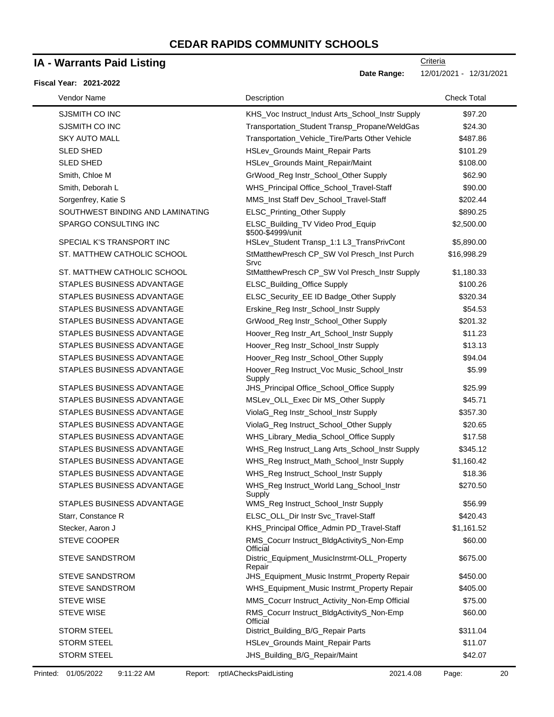### **IA - Warrants Paid Listing**

#### **Fiscal Year: 2021-2022**

| Vendor Name                      | Description                                            | <b>Check Total</b> |
|----------------------------------|--------------------------------------------------------|--------------------|
| SJSMITH CO INC                   | KHS_Voc Instruct_Indust Arts_School_Instr Supply       | \$97.20            |
| SJSMITH CO INC                   | Transportation_Student Transp_Propane/WeldGas          | \$24.30            |
| <b>SKY AUTO MALL</b>             | Transportation_Vehicle_Tire/Parts Other Vehicle        | \$487.86           |
| <b>SLED SHED</b>                 | HSLev_Grounds Maint_Repair Parts                       | \$101.29           |
| <b>SLED SHED</b>                 | HSLev_Grounds Maint_Repair/Maint                       | \$108.00           |
| Smith, Chloe M                   | GrWood_Reg Instr_School_Other Supply                   | \$62.90            |
| Smith, Deborah L                 | WHS_Principal Office_School_Travel-Staff               | \$90.00            |
| Sorgenfrey, Katie S              | MMS_Inst Staff Dev_School_Travel-Staff                 | \$202.44           |
| SOUTHWEST BINDING AND LAMINATING | ELSC_Printing_Other Supply                             | \$890.25           |
| SPARGO CONSULTING INC            | ELSC_Building_TV Video Prod_Equip<br>\$500-\$4999/unit | \$2,500.00         |
| SPECIAL K'S TRANSPORT INC        | HSLev_Student Transp_1:1 L3_TransPrivCont              | \$5,890.00         |
| ST. MATTHEW CATHOLIC SCHOOL      | StMatthewPresch CP_SW Vol Presch_Inst Purch<br>Srvc    | \$16,998.29        |
| ST. MATTHEW CATHOLIC SCHOOL      | StMatthewPresch CP_SW Vol Presch_Instr Supply          | \$1,180.33         |
| STAPLES BUSINESS ADVANTAGE       | ELSC_Building_Office Supply                            | \$100.26           |
| STAPLES BUSINESS ADVANTAGE       | ELSC_Security_EE ID Badge_Other Supply                 | \$320.34           |
| STAPLES BUSINESS ADVANTAGE       | Erskine_Reg Instr_School_Instr Supply                  | \$54.53            |
| STAPLES BUSINESS ADVANTAGE       | GrWood_Reg Instr_School_Other Supply                   | \$201.32           |
| STAPLES BUSINESS ADVANTAGE       | Hoover_Reg Instr_Art_School_Instr Supply               | \$11.23            |
| STAPLES BUSINESS ADVANTAGE       | Hoover_Reg Instr_School_Instr Supply                   | \$13.13            |
| STAPLES BUSINESS ADVANTAGE       | Hoover_Reg Instr_School_Other Supply                   | \$94.04            |
| STAPLES BUSINESS ADVANTAGE       | Hoover_Reg Instruct_Voc Music_School_Instr<br>Supply   | \$5.99             |
| STAPLES BUSINESS ADVANTAGE       | JHS_Principal Office_School_Office Supply              | \$25.99            |
| STAPLES BUSINESS ADVANTAGE       | MSLev_OLL_Exec Dir MS_Other Supply                     | \$45.71            |
| STAPLES BUSINESS ADVANTAGE       | ViolaG_Reg Instr_School_Instr Supply                   | \$357.30           |
| STAPLES BUSINESS ADVANTAGE       | ViolaG_Reg Instruct_School_Other Supply                | \$20.65            |
| STAPLES BUSINESS ADVANTAGE       | WHS_Library_Media_School_Office Supply                 | \$17.58            |
| STAPLES BUSINESS ADVANTAGE       | WHS_Reg Instruct_Lang Arts_School_Instr Supply         | \$345.12           |
| STAPLES BUSINESS ADVANTAGE       | WHS_Reg Instruct_Math_School_Instr Supply              | \$1,160.42         |
| STAPLES BUSINESS ADVANTAGE       | WHS_Reg Instruct_School_Instr Supply                   | \$18.36            |
| STAPLES BUSINESS ADVANTAGE       | WHS_Reg Instruct_World Lang_School_Instr<br>Supply     | \$270.50           |
| STAPLES BUSINESS ADVANTAGE       | WMS_Reg Instruct_School_Instr Supply                   | \$56.99            |
| Starr, Constance R               | ELSC_OLL_Dir Instr Svc_Travel-Staff                    | \$420.43           |
| Stecker, Aaron J                 | KHS_Principal Office_Admin PD_Travel-Staff             | \$1,161.52         |
| <b>STEVE COOPER</b>              | RMS_Cocurr Instruct_BldgActivityS_Non-Emp<br>Official  | \$60.00            |
| STEVE SANDSTROM                  | Distric Equipment MusicInstrmt-OLL Property<br>Repair  | \$675.00           |
| <b>STEVE SANDSTROM</b>           | JHS_Equipment_Music Instrmt_Property Repair            | \$450.00           |
| <b>STEVE SANDSTROM</b>           | WHS_Equipment_Music Instrmt_Property Repair            | \$405.00           |
| <b>STEVE WISE</b>                | MMS_Cocurr Instruct_Activity_Non-Emp Official          | \$75.00            |
| <b>STEVE WISE</b>                | RMS_Cocurr Instruct_BldgActivityS_Non-Emp<br>Official  | \$60.00            |
| <b>STORM STEEL</b>               | District_Building_B/G_Repair Parts                     | \$311.04           |
| <b>STORM STEEL</b>               | HSLev_Grounds Maint_Repair Parts                       | \$11.07            |
| <b>STORM STEEL</b>               | JHS_Building_B/G_Repair/Maint                          | \$42.07            |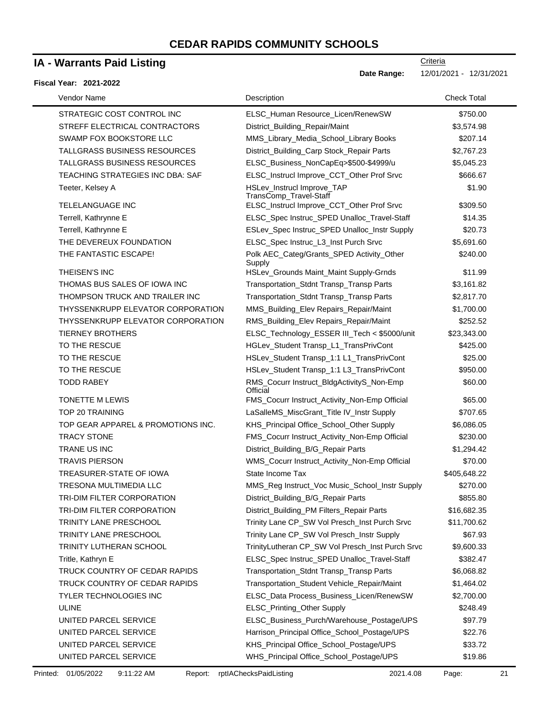### **IA - Warrants Paid Listing**

#### **Fiscal Year: 2021-2022**

| Vendor Name                         | Description                                           | <b>Check Total</b> |
|-------------------------------------|-------------------------------------------------------|--------------------|
| STRATEGIC COST CONTROL INC          | ELSC_Human Resource_Licen/RenewSW                     | \$750.00           |
| STREFF ELECTRICAL CONTRACTORS       | District_Building_Repair/Maint                        | \$3,574.98         |
| SWAMP FOX BOOKSTORE LLC             | MMS_Library_Media_School_Library Books                | \$207.14           |
| <b>TALLGRASS BUSINESS RESOURCES</b> | District_Building_Carp Stock_Repair Parts             | \$2,767.23         |
| TALLGRASS BUSINESS RESOURCES        | ELSC_Business_NonCapEq>\$500-\$4999/u                 | \$5,045.23         |
| TEACHING STRATEGIES INC DBA: SAF    | ELSC_Instrucl Improve_CCT_Other Prof Srvc             | \$666.67           |
| Teeter, Kelsey A                    | HSLev_Instrucl Improve_TAP<br>TransComp_Travel-Staff  | \$1.90             |
| TELELANGUAGE INC                    | ELSC_Instrucl Improve_CCT_Other Prof Srvc             | \$309.50           |
| Terrell, Kathrynne E                | ELSC_Spec Instruc_SPED Unalloc_Travel-Staff           | \$14.35            |
| Terrell, Kathrynne E                | ESLev_Spec Instruc_SPED Unalloc_Instr Supply          | \$20.73            |
| THE DEVEREUX FOUNDATION             | ELSC_Spec Instruc_L3_Inst Purch Srvc                  | \$5,691.60         |
| THE FANTASTIC ESCAPE!               | Polk AEC_Categ/Grants_SPED Activity_Other<br>Supply   | \$240.00           |
| THEISEN'S INC                       | HSLev_Grounds Maint_Maint Supply-Grnds                | \$11.99            |
| THOMAS BUS SALES OF IOWA INC        | Transportation_Stdnt Transp_Transp Parts              | \$3,161.82         |
| THOMPSON TRUCK AND TRAILER INC      | Transportation_Stdnt Transp_Transp Parts              | \$2,817.70         |
| THYSSENKRUPP ELEVATOR CORPORATION   | MMS_Building_Elev Repairs_Repair/Maint                | \$1,700.00         |
| THYSSENKRUPP ELEVATOR CORPORATION   | RMS_Building_Elev Repairs_Repair/Maint                | \$252.52           |
| <b>TIERNEY BROTHERS</b>             | ELSC_Technology_ESSER III_Tech < \$5000/unit          | \$23,343.00        |
| TO THE RESCUE                       | HGLev_Student Transp_L1_TransPrivCont                 | \$425.00           |
| TO THE RESCUE                       | HSLev_Student Transp_1:1 L1_TransPrivCont             | \$25.00            |
| TO THE RESCUE                       | HSLev_Student Transp_1:1 L3_TransPrivCont             | \$950.00           |
| <b>TODD RABEY</b>                   | RMS_Cocurr Instruct_BldgActivityS_Non-Emp<br>Official | \$60.00            |
| <b>TONETTE M LEWIS</b>              | FMS_Cocurr Instruct_Activity_Non-Emp Official         | \$65.00            |
| TOP 20 TRAINING                     | LaSalleMS_MiscGrant_Title IV_Instr Supply             | \$707.65           |
| TOP GEAR APPAREL & PROMOTIONS INC.  | KHS_Principal Office_School_Other Supply              | \$6,086.05         |
| <b>TRACY STONE</b>                  | FMS_Cocurr Instruct_Activity_Non-Emp Official         | \$230.00           |
| <b>TRANE US INC</b>                 | District_Building_B/G_Repair Parts                    | \$1,294.42         |
| <b>TRAVIS PIERSON</b>               | WMS_Cocurr Instruct_Activity_Non-Emp Official         | \$70.00            |
| TREASURER-STATE OF IOWA             | State Income Tax                                      | \$405,648.22       |
| TRESONA MULTIMEDIA LLC              | MMS_Reg Instruct_Voc Music_School_Instr Supply        | \$270.00           |
| TRI-DIM FILTER CORPORATION          | District_Building_B/G_Repair Parts                    | \$855.80           |
| TRI-DIM FILTER CORPORATION          | District_Building_PM Filters_Repair Parts             | \$16,682.35        |
| TRINITY LANE PRESCHOOL              | Trinity Lane CP_SW Vol Presch_Inst Purch Srvc         | \$11,700.62        |
| TRINITY LANE PRESCHOOL              | Trinity Lane CP_SW Vol Presch_Instr Supply            | \$67.93            |
| TRINITY LUTHERAN SCHOOL             | TrinityLutheran CP_SW Vol Presch_Inst Purch Srvc      | \$9,600.33         |
| Tritle, Kathryn E                   | ELSC_Spec Instruc_SPED Unalloc_Travel-Staff           | \$382.47           |
| TRUCK COUNTRY OF CEDAR RAPIDS       | Transportation_Stdnt Transp_Transp Parts              | \$6,068.82         |
| TRUCK COUNTRY OF CEDAR RAPIDS       | Transportation_Student Vehicle_Repair/Maint           | \$1,464.02         |
| TYLER TECHNOLOGIES INC              | ELSC_Data Process_Business_Licen/RenewSW              | \$2,700.00         |
| <b>ULINE</b>                        | ELSC_Printing_Other Supply                            | \$248.49           |
| UNITED PARCEL SERVICE               | ELSC_Business_Purch/Warehouse_Postage/UPS             | \$97.79            |
| UNITED PARCEL SERVICE               | Harrison_Principal Office_School_Postage/UPS          | \$22.76            |
| UNITED PARCEL SERVICE               | KHS_Principal Office_School_Postage/UPS               | \$33.72            |
| UNITED PARCEL SERVICE               | WHS_Principal Office_School_Postage/UPS               | \$19.86            |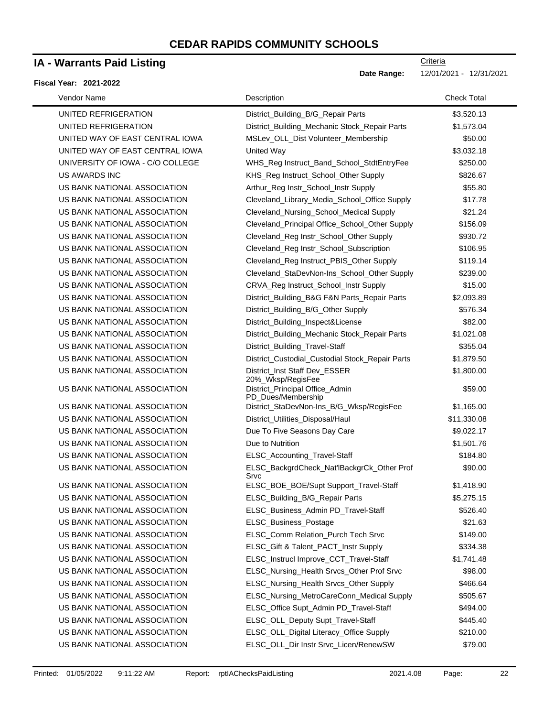### **IA - Warrants Paid Listing**

#### **Fiscal Year: 2021-2022**

| Vendor Name                      | Description                                           | <b>Check Total</b> |
|----------------------------------|-------------------------------------------------------|--------------------|
| UNITED REFRIGERATION             | District_Building_B/G_Repair Parts                    | \$3,520.13         |
| UNITED REFRIGERATION             | District_Building_Mechanic Stock_Repair Parts         | \$1,573.04         |
| UNITED WAY OF EAST CENTRAL IOWA  | MSLev_OLL_Dist Volunteer_Membership                   | \$50.00            |
| UNITED WAY OF EAST CENTRAL IOWA  | United Way                                            | \$3,032.18         |
| UNIVERSITY OF IOWA - C/O COLLEGE | WHS_Reg Instruct_Band_School_StdtEntryFee             | \$250.00           |
| US AWARDS INC                    | KHS_Reg Instruct_School_Other Supply                  | \$826.67           |
| US BANK NATIONAL ASSOCIATION     | Arthur_Reg Instr_School_Instr Supply                  | \$55.80            |
| US BANK NATIONAL ASSOCIATION     | Cleveland_Library_Media_School_Office Supply          | \$17.78            |
| US BANK NATIONAL ASSOCIATION     | Cleveland_Nursing_School_Medical Supply               | \$21.24            |
| US BANK NATIONAL ASSOCIATION     | Cleveland_Principal Office_School_Other Supply        | \$156.09           |
| US BANK NATIONAL ASSOCIATION     | Cleveland_Reg Instr_School_Other Supply               | \$930.72           |
| US BANK NATIONAL ASSOCIATION     | Cleveland_Reg Instr_School_Subscription               | \$106.95           |
| US BANK NATIONAL ASSOCIATION     | Cleveland_Reg Instruct_PBIS_Other Supply              | \$119.14           |
| US BANK NATIONAL ASSOCIATION     | Cleveland_StaDevNon-Ins_School_Other Supply           | \$239.00           |
| US BANK NATIONAL ASSOCIATION     | CRVA_Reg Instruct_School_Instr Supply                 | \$15.00            |
| US BANK NATIONAL ASSOCIATION     | District_Building_B&G F&N Parts_Repair Parts          | \$2,093.89         |
| US BANK NATIONAL ASSOCIATION     | District_Building_B/G_Other Supply                    | \$576.34           |
| US BANK NATIONAL ASSOCIATION     | District_Building_Inspect&License                     | \$82.00            |
| US BANK NATIONAL ASSOCIATION     | District_Building_Mechanic Stock_Repair Parts         | \$1,021.08         |
| US BANK NATIONAL ASSOCIATION     | District_Building_Travel-Staff                        | \$355.04           |
| US BANK NATIONAL ASSOCIATION     | District_Custodial_Custodial Stock_Repair Parts       | \$1,879.50         |
| US BANK NATIONAL ASSOCIATION     | District_Inst Staff Dev_ESSER<br>20%_Wksp/RegisFee    | \$1,800.00         |
| US BANK NATIONAL ASSOCIATION     | District_Principal Office_Admin<br>PD Dues/Membership | \$59.00            |
| US BANK NATIONAL ASSOCIATION     | District_StaDevNon-Ins_B/G_Wksp/RegisFee              | \$1,165.00         |
| US BANK NATIONAL ASSOCIATION     | District_Utilities_Disposal/Haul                      | \$11,330.08        |
| US BANK NATIONAL ASSOCIATION     | Due To Five Seasons Day Care                          | \$9,022.17         |
| US BANK NATIONAL ASSOCIATION     | Due to Nutrition                                      | \$1,501.76         |
| US BANK NATIONAL ASSOCIATION     | ELSC_Accounting_Travel-Staff                          | \$184.80           |
| US BANK NATIONAL ASSOCIATION     | ELSC_BackgrdCheck_Nat'lBackgrCk_Other Prof<br>Srvc    | \$90.00            |
| US BANK NATIONAL ASSOCIATION     | ELSC_BOE_BOE/Supt Support_Travel-Staff                | \$1,418.90         |
| US BANK NATIONAL ASSOCIATION     | ELSC_Building_B/G_Repair Parts                        | \$5,275.15         |
| US BANK NATIONAL ASSOCIATION     | ELSC_Business_Admin PD_Travel-Staff                   | \$526.40           |
| US BANK NATIONAL ASSOCIATION     | ELSC_Business_Postage                                 | \$21.63            |
| US BANK NATIONAL ASSOCIATION     | ELSC_Comm Relation_Purch Tech Srvc                    | \$149.00           |
| US BANK NATIONAL ASSOCIATION     | ELSC_Gift & Talent_PACT_Instr Supply                  | \$334.38           |
| US BANK NATIONAL ASSOCIATION     | ELSC_Instrucl Improve_CCT_Travel-Staff                | \$1,741.48         |
| US BANK NATIONAL ASSOCIATION     | ELSC_Nursing_Health Srvcs_Other Prof Srvc             | \$98.00            |
| US BANK NATIONAL ASSOCIATION     | ELSC_Nursing_Health Srvcs_Other Supply                | \$466.64           |
| US BANK NATIONAL ASSOCIATION     | ELSC_Nursing_MetroCareConn_Medical Supply             | \$505.67           |
| US BANK NATIONAL ASSOCIATION     | ELSC_Office Supt_Admin PD_Travel-Staff                | \$494.00           |
| US BANK NATIONAL ASSOCIATION     | ELSC_OLL_Deputy Supt_Travel-Staff                     | \$445.40           |
| US BANK NATIONAL ASSOCIATION     | ELSC_OLL_Digital Literacy_Office Supply               | \$210.00           |
| US BANK NATIONAL ASSOCIATION     | ELSC_OLL_Dir Instr Srvc_Licen/RenewSW                 | \$79.00            |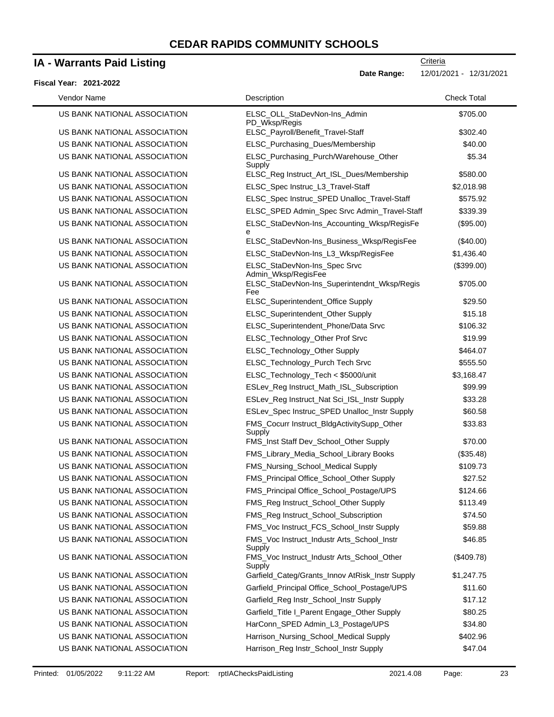### **IA - Warrants Paid Listing**

### **Fiscal Year: 2021-2022**

| Vendor Name                  | Description                                          | <b>Check Total</b> |
|------------------------------|------------------------------------------------------|--------------------|
| US BANK NATIONAL ASSOCIATION | ELSC_OLL_StaDevNon-Ins_Admin<br>PD_Wksp/Regis        | \$705.00           |
| US BANK NATIONAL ASSOCIATION | ELSC_Payroll/Benefit_Travel-Staff                    | \$302.40           |
| US BANK NATIONAL ASSOCIATION | ELSC_Purchasing_Dues/Membership                      | \$40.00            |
| US BANK NATIONAL ASSOCIATION | ELSC_Purchasing_Purch/Warehouse_Other<br>Supply      | \$5.34             |
| US BANK NATIONAL ASSOCIATION | ELSC_Reg Instruct_Art_ISL_Dues/Membership            | \$580.00           |
| US BANK NATIONAL ASSOCIATION | ELSC_Spec Instruc_L3_Travel-Staff                    | \$2,018.98         |
| US BANK NATIONAL ASSOCIATION | ELSC_Spec Instruc_SPED Unalloc_Travel-Staff          | \$575.92           |
| US BANK NATIONAL ASSOCIATION | ELSC_SPED Admin_Spec Srvc Admin_Travel-Staff         | \$339.39           |
| US BANK NATIONAL ASSOCIATION | ELSC_StaDevNon-Ins_Accounting_Wksp/RegisFe<br>е      | (\$95.00)          |
| US BANK NATIONAL ASSOCIATION | ELSC_StaDevNon-Ins_Business_Wksp/RegisFee            | (\$40.00)          |
| US BANK NATIONAL ASSOCIATION | ELSC_StaDevNon-Ins_L3_Wksp/RegisFee                  | \$1,436.40         |
| US BANK NATIONAL ASSOCIATION | ELSC_StaDevNon-Ins_Spec Srvc<br>Admin_Wksp/RegisFee  | (\$399.00)         |
| US BANK NATIONAL ASSOCIATION | ELSC_StaDevNon-Ins_Superintendnt_Wksp/Regis<br>Fee   | \$705.00           |
| US BANK NATIONAL ASSOCIATION | ELSC_Superintendent_Office Supply                    | \$29.50            |
| US BANK NATIONAL ASSOCIATION | ELSC_Superintendent_Other Supply                     | \$15.18            |
| US BANK NATIONAL ASSOCIATION | ELSC_Superintendent_Phone/Data Srvc                  | \$106.32           |
| US BANK NATIONAL ASSOCIATION | ELSC_Technology_Other Prof Srvc                      | \$19.99            |
| US BANK NATIONAL ASSOCIATION | ELSC_Technology_Other Supply                         | \$464.07           |
| US BANK NATIONAL ASSOCIATION | ELSC_Technology_Purch Tech Srvc                      | \$555.50           |
| US BANK NATIONAL ASSOCIATION | ELSC_Technology_Tech < \$5000/unit                   | \$3,168.47         |
| US BANK NATIONAL ASSOCIATION | ESLev_Reg Instruct_Math_ISL_Subscription             | \$99.99            |
| US BANK NATIONAL ASSOCIATION | ESLev_Reg Instruct_Nat Sci_ISL_Instr Supply          | \$33.28            |
| US BANK NATIONAL ASSOCIATION | ESLev_Spec Instruc_SPED Unalloc_Instr Supply         | \$60.58            |
| US BANK NATIONAL ASSOCIATION | FMS_Cocurr Instruct_BldgActivitySupp_Other<br>Supply | \$33.83            |
| US BANK NATIONAL ASSOCIATION | FMS_Inst Staff Dev_School_Other Supply               | \$70.00            |
| US BANK NATIONAL ASSOCIATION | FMS_Library_Media_School_Library Books               | (\$35.48)          |
| US BANK NATIONAL ASSOCIATION | FMS_Nursing_School_Medical Supply                    | \$109.73           |
| US BANK NATIONAL ASSOCIATION | FMS_Principal Office_School_Other Supply             | \$27.52            |
| US BANK NATIONAL ASSOCIATION | FMS_Principal Office_School_Postage/UPS              | \$124.66           |
| US BANK NATIONAL ASSOCIATION | FMS_Reg Instruct_School_Other Supply                 | \$113.49           |
| US BANK NATIONAL ASSOCIATION | FMS_Reg Instruct_School_Subscription                 | \$74.50            |
| US BANK NATIONAL ASSOCIATION | FMS_Voc Instruct_FCS_School_Instr Supply             | \$59.88            |
| US BANK NATIONAL ASSOCIATION | FMS_Voc Instruct_Industr Arts_School_Instr<br>Supply | \$46.85            |
| US BANK NATIONAL ASSOCIATION | FMS_Voc Instruct_Industr Arts_School_Other<br>Supply | (\$409.78)         |
| US BANK NATIONAL ASSOCIATION | Garfield_Categ/Grants_Innov AtRisk_Instr Supply      | \$1,247.75         |
| US BANK NATIONAL ASSOCIATION | Garfield_Principal Office_School_Postage/UPS         | \$11.60            |
| US BANK NATIONAL ASSOCIATION | Garfield_Reg Instr_School_Instr Supply               | \$17.12            |
| US BANK NATIONAL ASSOCIATION | Garfield_Title I_Parent Engage_Other Supply          | \$80.25            |
| US BANK NATIONAL ASSOCIATION | HarConn_SPED Admin_L3_Postage/UPS                    | \$34.80            |
| US BANK NATIONAL ASSOCIATION | Harrison_Nursing_School_Medical Supply               | \$402.96           |
| US BANK NATIONAL ASSOCIATION | Harrison_Reg Instr_School_Instr Supply               | \$47.04            |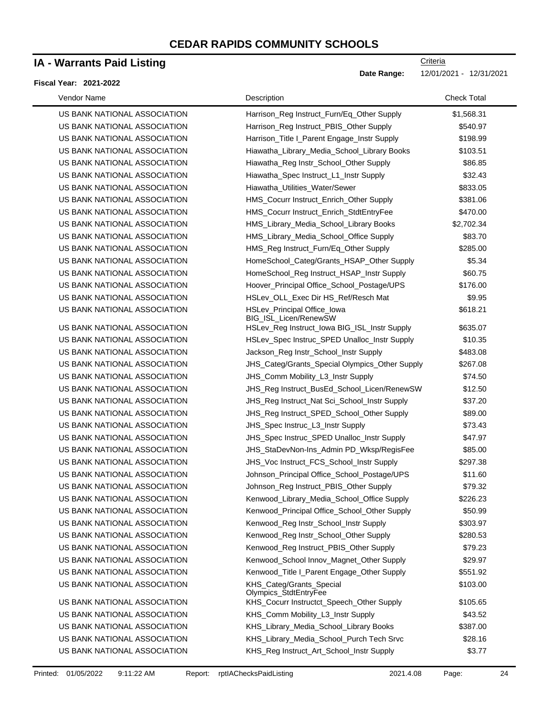### **IA - Warrants Paid Listing**

#### **Fiscal Year: 2021-2022**

| Vendor Name                  | Description                                                 | <b>Check Total</b> |
|------------------------------|-------------------------------------------------------------|--------------------|
| US BANK NATIONAL ASSOCIATION | Harrison_Reg Instruct_Furn/Eq_Other Supply                  | \$1,568.31         |
| US BANK NATIONAL ASSOCIATION | Harrison_Reg Instruct_PBIS_Other Supply                     | \$540.97           |
| US BANK NATIONAL ASSOCIATION | Harrison_Title I_Parent Engage_Instr Supply                 | \$198.99           |
| US BANK NATIONAL ASSOCIATION | Hiawatha_Library_Media_School_Library Books                 | \$103.51           |
| US BANK NATIONAL ASSOCIATION | Hiawatha_Reg Instr_School_Other Supply                      | \$86.85            |
| US BANK NATIONAL ASSOCIATION | Hiawatha_Spec Instruct_L1_Instr Supply                      | \$32.43            |
| US BANK NATIONAL ASSOCIATION | Hiawatha_Utilities_Water/Sewer                              | \$833.05           |
| US BANK NATIONAL ASSOCIATION | HMS_Cocurr Instruct_Enrich_Other Supply                     | \$381.06           |
| US BANK NATIONAL ASSOCIATION | HMS_Cocurr Instruct_Enrich_StdtEntryFee                     | \$470.00           |
| US BANK NATIONAL ASSOCIATION | HMS_Library_Media_School_Library Books                      | \$2,702.34         |
| US BANK NATIONAL ASSOCIATION | HMS_Library_Media_School_Office Supply                      | \$83.70            |
| US BANK NATIONAL ASSOCIATION | HMS_Reg Instruct_Furn/Eq_Other Supply                       | \$285.00           |
| US BANK NATIONAL ASSOCIATION | HomeSchool_Categ/Grants_HSAP_Other Supply                   | \$5.34             |
| US BANK NATIONAL ASSOCIATION | HomeSchool_Reg Instruct_HSAP_Instr Supply                   | \$60.75            |
| US BANK NATIONAL ASSOCIATION | Hoover_Principal Office_School_Postage/UPS                  | \$176.00           |
| US BANK NATIONAL ASSOCIATION | HSLev_OLL_Exec Dir HS_Ref/Resch Mat                         | \$9.95             |
| US BANK NATIONAL ASSOCIATION | <b>HSLev_Principal Office_lowa</b><br>BIG_ISL_Licen/RenewSW | \$618.21           |
| US BANK NATIONAL ASSOCIATION | HSLev_Reg Instruct_Iowa BIG_ISL_Instr Supply                | \$635.07           |
| US BANK NATIONAL ASSOCIATION | HSLev_Spec Instruc_SPED Unalloc_Instr Supply                | \$10.35            |
| US BANK NATIONAL ASSOCIATION | Jackson_Reg Instr_School_Instr Supply                       | \$483.08           |
| US BANK NATIONAL ASSOCIATION | JHS_Categ/Grants_Special Olympics_Other Supply              | \$267.08           |
| US BANK NATIONAL ASSOCIATION | JHS_Comm Mobility_L3_Instr Supply                           | \$74.50            |
| US BANK NATIONAL ASSOCIATION | JHS_Reg Instruct_BusEd_School_Licen/RenewSW                 | \$12.50            |
| US BANK NATIONAL ASSOCIATION | JHS_Reg Instruct_Nat Sci_School_Instr Supply                | \$37.20            |
| US BANK NATIONAL ASSOCIATION | JHS_Reg Instruct_SPED_School_Other Supply                   | \$89.00            |
| US BANK NATIONAL ASSOCIATION | JHS_Spec Instruc_L3_Instr Supply                            | \$73.43            |
| US BANK NATIONAL ASSOCIATION | JHS_Spec Instruc_SPED Unalloc_Instr Supply                  | \$47.97            |
| US BANK NATIONAL ASSOCIATION | JHS_StaDevNon-Ins_Admin PD_Wksp/RegisFee                    | \$85.00            |
| US BANK NATIONAL ASSOCIATION | JHS_Voc Instruct_FCS_School_Instr Supply                    | \$297.38           |
| US BANK NATIONAL ASSOCIATION | Johnson_Principal Office_School_Postage/UPS                 | \$11.60            |
| US BANK NATIONAL ASSOCIATION | Johnson_Reg Instruct_PBIS_Other Supply                      | \$79.32            |
| US BANK NATIONAL ASSOCIATION | Kenwood_Library_Media_School_Office Supply                  | \$226.23           |
| US BANK NATIONAL ASSOCIATION | Kenwood_Principal Office_School_Other Supply                | \$50.99            |
| US BANK NATIONAL ASSOCIATION | Kenwood_Reg Instr_School_Instr Supply                       | \$303.97           |
| US BANK NATIONAL ASSOCIATION | Kenwood_Reg Instr_School_Other Supply                       | \$280.53           |
| US BANK NATIONAL ASSOCIATION | Kenwood_Reg Instruct_PBIS_Other Supply                      | \$79.23            |
| US BANK NATIONAL ASSOCIATION | Kenwood_School Innov_Magnet_Other Supply                    | \$29.97            |
| US BANK NATIONAL ASSOCIATION | Kenwood_Title I_Parent Engage_Other Supply                  | \$551.92           |
| US BANK NATIONAL ASSOCIATION | KHS_Categ/Grants_Special<br>Olympics_StdtEntryFee           | \$103.00           |
| US BANK NATIONAL ASSOCIATION | KHS_Cocurr Instructct_Speech_Other Supply                   | \$105.65           |
| US BANK NATIONAL ASSOCIATION | KHS_Comm Mobility_L3_Instr Supply                           | \$43.52            |
| US BANK NATIONAL ASSOCIATION | KHS_Library_Media_School_Library Books                      | \$387.00           |
| US BANK NATIONAL ASSOCIATION | KHS_Library_Media_School_Purch Tech Srvc                    | \$28.16            |
| US BANK NATIONAL ASSOCIATION | KHS_Reg Instruct_Art_School_Instr Supply                    | \$3.77             |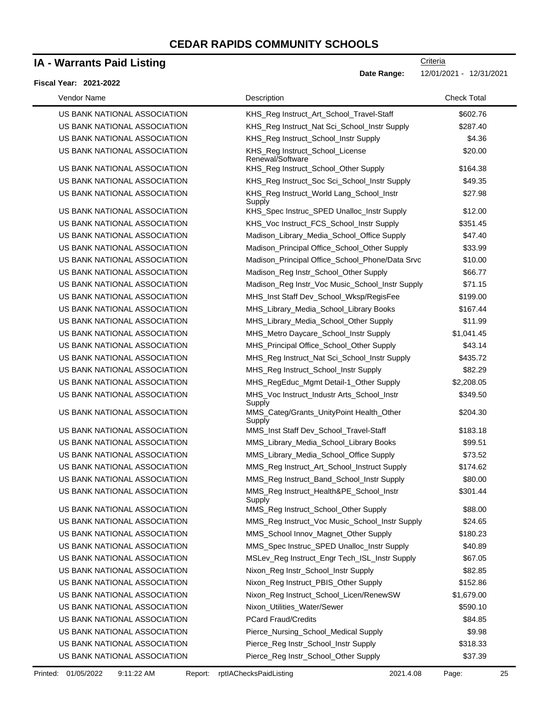### **IA - Warrants Paid Listing**

#### **Fiscal Year: 2021-2022**

| Vendor Name                  | Description                                          | <b>Check Total</b> |
|------------------------------|------------------------------------------------------|--------------------|
| US BANK NATIONAL ASSOCIATION | KHS_Reg Instruct_Art_School_Travel-Staff             | \$602.76           |
| US BANK NATIONAL ASSOCIATION | KHS_Reg Instruct_Nat Sci_School_Instr Supply         | \$287.40           |
| US BANK NATIONAL ASSOCIATION | KHS_Reg Instruct_School_Instr Supply                 | \$4.36             |
| US BANK NATIONAL ASSOCIATION | KHS_Reg Instruct_School_License<br>Renewal/Software  | \$20.00            |
| US BANK NATIONAL ASSOCIATION | KHS_Reg Instruct_School_Other Supply                 | \$164.38           |
| US BANK NATIONAL ASSOCIATION | KHS_Reg Instruct_Soc Sci_School_Instr Supply         | \$49.35            |
| US BANK NATIONAL ASSOCIATION | KHS_Reg Instruct_World Lang_School_Instr<br>Supply   | \$27.98            |
| US BANK NATIONAL ASSOCIATION | KHS_Spec Instruc_SPED Unalloc_Instr Supply           | \$12.00            |
| US BANK NATIONAL ASSOCIATION | KHS_Voc Instruct_FCS_School_Instr Supply             | \$351.45           |
| US BANK NATIONAL ASSOCIATION | Madison_Library_Media_School_Office Supply           | \$47.40            |
| US BANK NATIONAL ASSOCIATION | Madison_Principal Office_School_Other Supply         | \$33.99            |
| US BANK NATIONAL ASSOCIATION | Madison_Principal Office_School_Phone/Data Srvc      | \$10.00            |
| US BANK NATIONAL ASSOCIATION | Madison_Reg Instr_School_Other Supply                | \$66.77            |
| US BANK NATIONAL ASSOCIATION | Madison_Reg Instr_Voc Music_School_Instr Supply      | \$71.15            |
| US BANK NATIONAL ASSOCIATION | MHS_Inst Staff Dev_School_Wksp/RegisFee              | \$199.00           |
| US BANK NATIONAL ASSOCIATION | MHS_Library_Media_School_Library Books               | \$167.44           |
| US BANK NATIONAL ASSOCIATION | MHS_Library_Media_School_Other Supply                | \$11.99            |
| US BANK NATIONAL ASSOCIATION | MHS_Metro Daycare_School_Instr Supply                | \$1,041.45         |
| US BANK NATIONAL ASSOCIATION | MHS_Principal Office_School_Other Supply             | \$43.14            |
| US BANK NATIONAL ASSOCIATION | MHS_Reg Instruct_Nat Sci_School_Instr Supply         | \$435.72           |
| US BANK NATIONAL ASSOCIATION | MHS_Reg Instruct_School_Instr Supply                 | \$82.29            |
| US BANK NATIONAL ASSOCIATION | MHS_RegEduc_Mgmt Detail-1_Other Supply               | \$2,208.05         |
| US BANK NATIONAL ASSOCIATION | MHS_Voc Instruct_Industr Arts_School_Instr<br>Supply | \$349.50           |
| US BANK NATIONAL ASSOCIATION | MMS_Categ/Grants_UnityPoint Health_Other<br>Supply   | \$204.30           |
| US BANK NATIONAL ASSOCIATION | MMS_Inst Staff Dev_School_Travel-Staff               | \$183.18           |
| US BANK NATIONAL ASSOCIATION | MMS_Library_Media_School_Library Books               | \$99.51            |
| US BANK NATIONAL ASSOCIATION | MMS_Library_Media_School_Office Supply               | \$73.52            |
| US BANK NATIONAL ASSOCIATION | MMS_Reg Instruct_Art_School_Instruct Supply          | \$174.62           |
| US BANK NATIONAL ASSOCIATION | MMS_Reg Instruct_Band_School_Instr Supply            | \$80.00            |
| US BANK NATIONAL ASSOCIATION | MMS_Reg Instruct_Health&PE_School_Instr<br>Supply    | \$301.44           |
| US BANK NATIONAL ASSOCIATION | MMS_Reg Instruct_School_Other Supply                 | \$88.00            |
| US BANK NATIONAL ASSOCIATION | MMS_Reg Instruct_Voc Music_School_Instr Supply       | \$24.65            |
| US BANK NATIONAL ASSOCIATION | MMS_School Innov_Magnet_Other Supply                 | \$180.23           |
| US BANK NATIONAL ASSOCIATION | MMS_Spec Instruc_SPED Unalloc_Instr Supply           | \$40.89            |
| US BANK NATIONAL ASSOCIATION | MSLev_Reg Instruct_Engr Tech_ISL_Instr Supply        | \$67.05            |
| US BANK NATIONAL ASSOCIATION | Nixon_Reg Instr_School_Instr Supply                  | \$82.85            |
| US BANK NATIONAL ASSOCIATION | Nixon_Reg Instruct_PBIS_Other Supply                 | \$152.86           |
| US BANK NATIONAL ASSOCIATION | Nixon_Reg Instruct_School_Licen/RenewSW              | \$1,679.00         |
| US BANK NATIONAL ASSOCIATION | Nixon_Utilities_Water/Sewer                          | \$590.10           |
| US BANK NATIONAL ASSOCIATION | <b>PCard Fraud/Credits</b>                           | \$84.85            |
| US BANK NATIONAL ASSOCIATION | Pierce_Nursing_School_Medical Supply                 | \$9.98             |
| US BANK NATIONAL ASSOCIATION | Pierce_Reg Instr_School_Instr Supply                 | \$318.33           |
| US BANK NATIONAL ASSOCIATION | Pierce_Reg Instr_School_Other Supply                 | \$37.39            |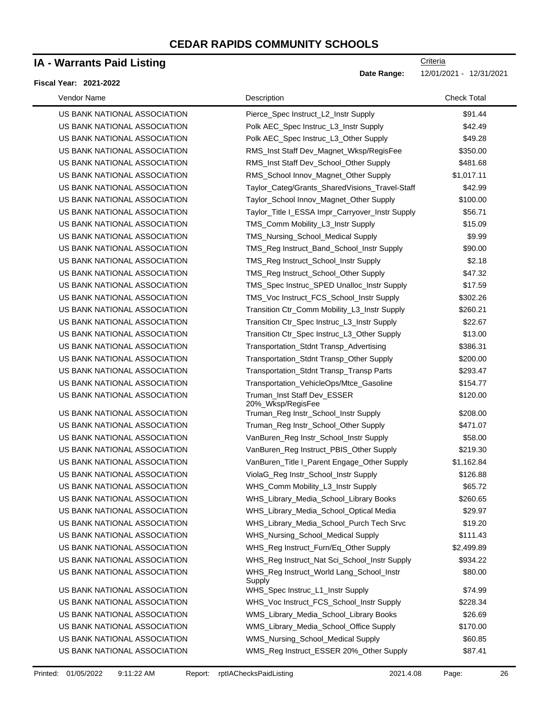### **IA - Warrants Paid Listing**

#### **Fiscal Year: 2021-2022**

**Criteria** 

**Date Range:** 12/01/2021 - 12/31/2021

| Vendor Name                  | Description                                        | <b>Check Total</b> |
|------------------------------|----------------------------------------------------|--------------------|
| US BANK NATIONAL ASSOCIATION | Pierce_Spec Instruct_L2_Instr Supply               | \$91.44            |
| US BANK NATIONAL ASSOCIATION | Polk AEC_Spec Instruc_L3_Instr Supply              | \$42.49            |
| US BANK NATIONAL ASSOCIATION | Polk AEC_Spec Instruc_L3_Other Supply              | \$49.28            |
| US BANK NATIONAL ASSOCIATION | RMS_Inst Staff Dev_Magnet_Wksp/RegisFee            | \$350.00           |
| US BANK NATIONAL ASSOCIATION | RMS_Inst Staff Dev_School_Other Supply             | \$481.68           |
| US BANK NATIONAL ASSOCIATION | RMS_School Innov_Magnet_Other Supply               | \$1,017.11         |
| US BANK NATIONAL ASSOCIATION | Taylor_Categ/Grants_SharedVisions_Travel-Staff     | \$42.99            |
| US BANK NATIONAL ASSOCIATION | Taylor_School Innov_Magnet_Other Supply            | \$100.00           |
| US BANK NATIONAL ASSOCIATION | Taylor_Title I_ESSA Impr_Carryover_Instr Supply    | \$56.71            |
| US BANK NATIONAL ASSOCIATION | TMS_Comm Mobility_L3_Instr Supply                  | \$15.09            |
| US BANK NATIONAL ASSOCIATION | TMS_Nursing_School_Medical Supply                  | \$9.99             |
| US BANK NATIONAL ASSOCIATION | TMS_Reg Instruct_Band_School_Instr Supply          | \$90.00            |
| US BANK NATIONAL ASSOCIATION | TMS_Reg Instruct_School_Instr Supply               | \$2.18             |
| US BANK NATIONAL ASSOCIATION | TMS_Reg Instruct_School_Other Supply               | \$47.32            |
| US BANK NATIONAL ASSOCIATION | TMS_Spec Instruc_SPED Unalloc_Instr Supply         | \$17.59            |
| US BANK NATIONAL ASSOCIATION | TMS_Voc Instruct_FCS_School_Instr Supply           | \$302.26           |
| US BANK NATIONAL ASSOCIATION | Transition Ctr_Comm Mobility_L3_Instr Supply       | \$260.21           |
| US BANK NATIONAL ASSOCIATION | Transition Ctr_Spec Instruc_L3_Instr Supply        | \$22.67            |
| US BANK NATIONAL ASSOCIATION | Transition Ctr_Spec Instruc_L3_Other Supply        | \$13.00            |
| US BANK NATIONAL ASSOCIATION | Transportation_Stdnt Transp_Advertising            | \$386.31           |
| US BANK NATIONAL ASSOCIATION | Transportation_Stdnt Transp_Other Supply           | \$200.00           |
| US BANK NATIONAL ASSOCIATION | Transportation_Stdnt Transp_Transp Parts           | \$293.47           |
| US BANK NATIONAL ASSOCIATION | Transportation_VehicleOps/Mtce_Gasoline            | \$154.77           |
| US BANK NATIONAL ASSOCIATION | Truman_Inst Staff Dev_ESSER<br>20%_Wksp/RegisFee   | \$120.00           |
| US BANK NATIONAL ASSOCIATION | Truman_Reg Instr_School_Instr Supply               | \$208.00           |
| US BANK NATIONAL ASSOCIATION | Truman_Reg Instr_School_Other Supply               | \$471.07           |
| US BANK NATIONAL ASSOCIATION | VanBuren_Reg Instr_School_Instr Supply             | \$58.00            |
| US BANK NATIONAL ASSOCIATION | VanBuren_Reg Instruct_PBIS_Other Supply            | \$219.30           |
| US BANK NATIONAL ASSOCIATION | VanBuren_Title I_Parent Engage_Other Supply        | \$1,162.84         |
| US BANK NATIONAL ASSOCIATION | ViolaG_Reg Instr_School_Instr Supply               | \$126.88           |
| US BANK NATIONAL ASSOCIATION | WHS_Comm Mobility_L3_Instr Supply                  | \$65.72            |
| US BANK NATIONAL ASSOCIATION | WHS_Library_Media_School_Library Books             | \$260.65           |
| US BANK NATIONAL ASSOCIATION | WHS_Library_Media_School_Optical Media             | \$29.97            |
| US BANK NATIONAL ASSOCIATION | WHS_Library_Media_School_Purch Tech Srvc           | \$19.20            |
| US BANK NATIONAL ASSOCIATION | WHS_Nursing_School_Medical Supply                  | \$111.43           |
| US BANK NATIONAL ASSOCIATION | WHS_Reg Instruct_Furn/Eq_Other Supply              | \$2,499.89         |
| US BANK NATIONAL ASSOCIATION | WHS_Reg Instruct_Nat Sci_School_Instr Supply       | \$934.22           |
| US BANK NATIONAL ASSOCIATION | WHS_Reg Instruct_World Lang_School_Instr<br>Supply | \$80.00            |
| US BANK NATIONAL ASSOCIATION | WHS_Spec Instruc_L1_Instr Supply                   | \$74.99            |
| US BANK NATIONAL ASSOCIATION | WHS_Voc Instruct_FCS_School_Instr Supply           | \$228.34           |
| US BANK NATIONAL ASSOCIATION | WMS_Library_Media_School_Library Books             | \$26.69            |
| US BANK NATIONAL ASSOCIATION | WMS_Library_Media_School_Office Supply             | \$170.00           |
| US BANK NATIONAL ASSOCIATION | WMS_Nursing_School_Medical Supply                  | \$60.85            |
| US BANK NATIONAL ASSOCIATION | WMS_Reg Instruct_ESSER 20%_Other Supply            | \$87.41            |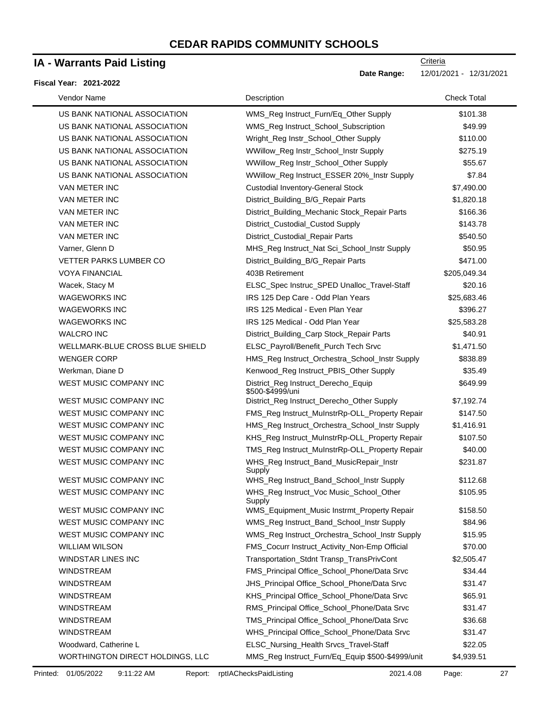### **IA - Warrants Paid Listing**

#### **Fiscal Year: 2021-2022**

| Vendor Name                      | Description                                             | <b>Check Total</b> |
|----------------------------------|---------------------------------------------------------|--------------------|
| US BANK NATIONAL ASSOCIATION     | WMS_Reg Instruct_Furn/Eq_Other Supply                   | \$101.38           |
| US BANK NATIONAL ASSOCIATION     | WMS_Reg Instruct_School_Subscription                    | \$49.99            |
| US BANK NATIONAL ASSOCIATION     | Wright_Reg Instr_School_Other Supply                    | \$110.00           |
| US BANK NATIONAL ASSOCIATION     | WWillow_Reg Instr_School_Instr Supply                   | \$275.19           |
| US BANK NATIONAL ASSOCIATION     | WWillow_Reg Instr_School_Other Supply                   | \$55.67            |
| US BANK NATIONAL ASSOCIATION     | WWillow_Reg Instruct_ESSER 20%_Instr Supply             | \$7.84             |
| VAN METER INC                    | <b>Custodial Inventory-General Stock</b>                | \$7,490.00         |
| VAN METER INC                    | District_Building_B/G_Repair Parts                      | \$1,820.18         |
| VAN METER INC                    | District_Building_Mechanic Stock_Repair Parts           | \$166.36           |
| VAN METER INC                    | District_Custodial_Custod Supply                        | \$143.78           |
| <b>VAN METER INC</b>             | District_Custodial_Repair Parts                         | \$540.50           |
| Varner, Glenn D                  | MHS_Reg Instruct_Nat Sci_School_Instr Supply            | \$50.95            |
| <b>VETTER PARKS LUMBER CO</b>    | District_Building_B/G_Repair Parts                      | \$471.00           |
| <b>VOYA FINANCIAL</b>            | 403B Retirement                                         | \$205,049.34       |
| Wacek, Stacy M                   | ELSC_Spec Instruc_SPED Unalloc_Travel-Staff             | \$20.16            |
| <b>WAGEWORKS INC</b>             | IRS 125 Dep Care - Odd Plan Years                       | \$25,683.46        |
| <b>WAGEWORKS INC</b>             | IRS 125 Medical - Even Plan Year                        | \$396.27           |
| <b>WAGEWORKS INC</b>             | IRS 125 Medical - Odd Plan Year                         | \$25,583.28        |
| <b>WALCRO INC</b>                | District_Building_Carp Stock_Repair Parts               | \$40.91            |
| WELLMARK-BLUE CROSS BLUE SHIELD  | ELSC_Payroll/Benefit_Purch Tech Srvc                    | \$1,471.50         |
| <b>WENGER CORP</b>               | HMS_Reg Instruct_Orchestra_School_Instr Supply          | \$838.89           |
| Werkman, Diane D                 | Kenwood_Reg Instruct_PBIS_Other Supply                  | \$35.49            |
| WEST MUSIC COMPANY INC           | District_Reg Instruct_Derecho_Equip<br>\$500-\$4999/uni | \$649.99           |
| WEST MUSIC COMPANY INC           | District_Reg Instruct_Derecho_Other Supply              | \$7,192.74         |
| WEST MUSIC COMPANY INC           | FMS_Reg Instruct_MuInstrRp-OLL_Property Repair          | \$147.50           |
| WEST MUSIC COMPANY INC           | HMS_Reg Instruct_Orchestra_School_Instr Supply          | \$1,416.91         |
| WEST MUSIC COMPANY INC           | KHS_Reg Instruct_MuInstrRp-OLL_Property Repair          | \$107.50           |
| <b>WEST MUSIC COMPANY INC</b>    | TMS_Reg Instruct_MuInstrRp-OLL_Property Repair          | \$40.00            |
| WEST MUSIC COMPANY INC           | WHS_Reg Instruct_Band_MusicRepair_Instr<br>Supply       | \$231.87           |
| <b>WEST MUSIC COMPANY INC</b>    | WHS_Reg Instruct_Band_School_Instr Supply               | \$112.68           |
| WEST MUSIC COMPANY INC           | WHS_Reg Instruct_Voc Music_School_Other<br>Supply       | \$105.95           |
| WEST MUSIC COMPANY INC           | WMS_Equipment_Music Instrmt_Property Repair             | \$158.50           |
| <b>WEST MUSIC COMPANY INC</b>    | WMS_Reg Instruct_Band_School_Instr Supply               | \$84.96            |
| WEST MUSIC COMPANY INC           | WMS_Reg Instruct_Orchestra_School_Instr Supply          | \$15.95            |
| <b>WILLIAM WILSON</b>            | FMS_Cocurr Instruct_Activity_Non-Emp Official           | \$70.00            |
| <b>WINDSTAR LINES INC</b>        | Transportation_Stdnt Transp_TransPrivCont               | \$2,505.47         |
| <b>WINDSTREAM</b>                | FMS_Principal Office_School_Phone/Data Srvc             | \$34.44            |
| <b>WINDSTREAM</b>                | JHS_Principal Office_School_Phone/Data Srvc             | \$31.47            |
| <b>WINDSTREAM</b>                | KHS_Principal Office_School_Phone/Data Srvc             | \$65.91            |
| <b>WINDSTREAM</b>                | RMS_Principal Office_School_Phone/Data Srvc             | \$31.47            |
| <b>WINDSTREAM</b>                | TMS_Principal Office_School_Phone/Data Srvc             | \$36.68            |
| <b>WINDSTREAM</b>                | WHS_Principal Office_School_Phone/Data Srvc             | \$31.47            |
| Woodward, Catherine L            | ELSC_Nursing_Health Srvcs_Travel-Staff                  | \$22.05            |
| WORTHINGTON DIRECT HOLDINGS, LLC | MMS_Reg Instruct_Furn/Eq_Equip \$500-\$4999/unit        | \$4,939.51         |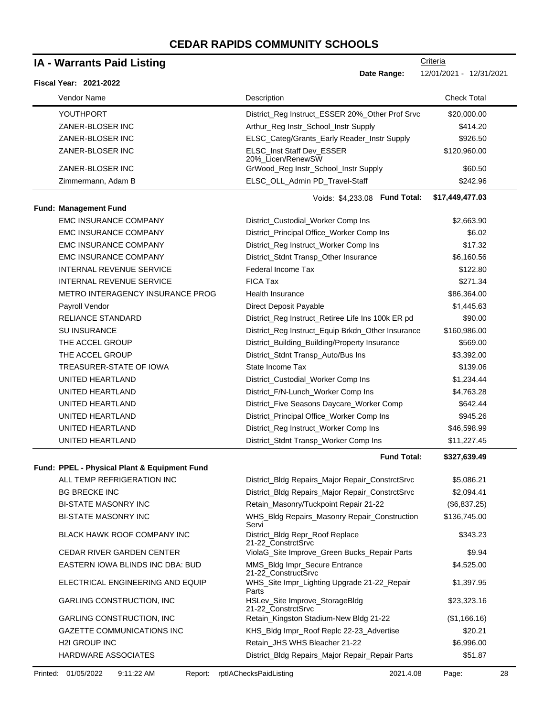#### YOUTHPORT THE REGISTION OF District Reg Instruct\_ESSER 20%\_Other Prof Srvc \$20,000.00 ZANER-BLOSER INC **Arthur** Reg Instr\_School\_Instr Supply \$414.20 ZANER-BLOSER INC **ELSC** Categ/Grants\_Early Reader\_Instr Supply \$926.50 ZANER-BLOSER INC **ELSC** Inst Staff Dev ESSER 20%\_Licen/RenewSW \$120,960.00 ZANER-BLOSER INC GrWood\_Reg Instr\_School\_Instr Supply \$60.50 Zimmermann, Adam B **ELSC\_OLL\_Admin PD\_Travel-Staff** \$242.96 **Fund Total: \$17,449,477.03 Fund: Management Fund** EMC INSURANCE COMPANY District\_Custodial\_Worker Comp Ins \$2,663.90 EMC INSURANCE COMPANY District\_Principal Office\_Worker Comp Ins \$6.02 EMC INSURANCE COMPANY District\_Reg Instruct\_Worker Comp Ins \$17.32 EMC INSURANCE COMPANY District\_Stdnt Transp\_Other Insurance \$6,160.56 INTERNAL REVENUE SERVICE Federal Income Tax \$122.80 INTERNAL REVENUE SERVICE FICA Tax \$271.34 METRO INTERAGENCY INSURANCE PROG Health Insurance the state of the state \$86,364.00 Payroll Vendor **Contract Of Contract Payable 2012** Direct Deposit Payable **31,445.63** RELIANCE STANDARD District\_Reg Instruct\_Retiree Life Ins 100k ER pd \$90.00 SU INSURANCE District\_Reg Instruct\_Equip Brkdn\_Other Insurance \$160,986.00 THE ACCEL GROUP **District\_Building\_Building/Property Insurance** \$569.00 THE ACCEL GROUP **District\_Stdnt Transp\_Auto/Bus Ins** \$3,392.00 TREASURER-STATE OF IOWA State Income Tax 3139.06 UNITED HEARTLAND **District\_Custodial\_Worker Comp Ins** \$1,234.44 UNITED HEARTLAND **District\_F/N-Lunch\_Worker Comp Ins** \$4,763.28 UNITED HEARTLAND **District\_Five Seasons Daycare\_Worker Comp** \$642.44 UNITED HEARTLAND **District\_Principal Office\_Worker Comp Ins** \$945.26 UNITED HEARTLAND **District\_Reg Instruct\_Worker Comp Ins** \$46,598.99 UNITED HEARTLAND District\_Stdnt Transp\_Worker Comp Ins \$11,227.45 **Fund Total: \$327,639.49 Fund: PPEL - Physical Plant & Equipment Fund** ALL TEMP REFRIGERATION INC District\_Bldg Repairs\_Major Repair\_ConstrctSrvc \$5,086.21 BG BRECKE INC **CONSTRUCT CONSTRUCT BETA** District\_Bldg Repairs\_Major Repair\_ConstrctSrvc \$2,094.41 BI-STATE MASONRY INC Retain\_Masonry/Tuckpoint Repair 21-22 (\$6,837.25) BI-STATE MASONRY INC WHS\_Bldg Repairs\_Masonry Repair\_Construction Servi \$136,745.00 BLACK HAWK ROOF COMPANY INC District Bldg Repr\_Roof Replace 21-22\_ConstrctSrvc CEDAR RIVER GARDEN CENTER ViolaG\_Site Improve\_Green Bucks\_Repair Parts \$9.94 EASTERN IOWA BLINDS INC DBA: BUD MMS\_Bldg Impr\_Secure Entrance 21-22\_ConstructSrvc ELECTRICAL ENGINEERING AND EQUIP WHS\_Site Impr\_Lighting Upgrade 21-22\_Repair Parts GARLING CONSTRUCTION, INC HSLev\_Site Improve\_StorageBldg 21-22\_ConstrctSrvc **IA - Warrants Paid Listing Fiscal Year: 2021-2022 Criteria Date Range:** 12/01/2021 - 12/31/2021 Vendor Name **Description** Check Total Description Check Total Description Check Total Description Check Total Description Voids: \$4,233.08

GARLING CONSTRUCTION, INC **Retain\_Kingston Stadium-New Bldg 21-22** (\$1,166.16) GAZETTE COMMUNICATIONS INC **KHS\_Bldg Impr\_Roof Replc 22-23\_Advertise** \$20.21 H2I GROUP INC **SECUTE:** Retain\_JHS WHS Bleacher 21-22 \$6,996.00 HARDWARE ASSOCIATES **District\_Bldg Repairs\_Major Repair** Parts \$51.87

\$343.23

\$4,525.00

\$1,397.95

\$23,323.16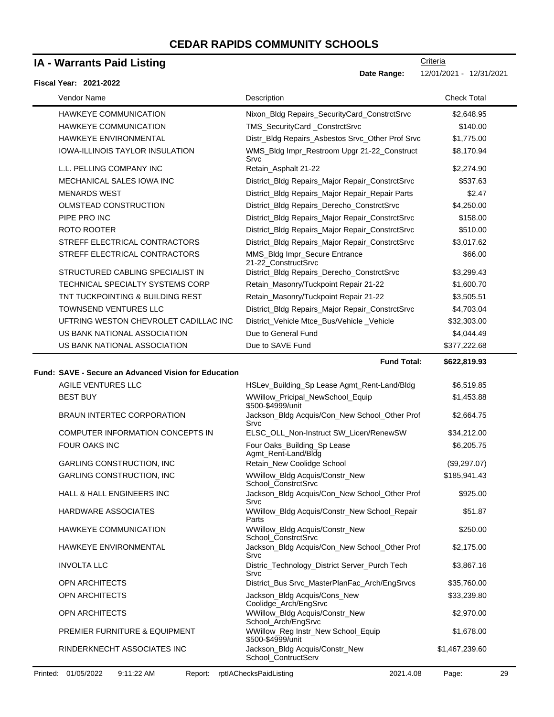### **IA - Warrants Paid Listing**

#### **Fiscal Year: 2021-2022**

**Date Range:** 12/01/2021 - 12/31/2021

**Criteria** 

| <b>Vendor Name</b>                     | Description                                          | Check Total  |  |
|----------------------------------------|------------------------------------------------------|--------------|--|
| <b>HAWKEYE COMMUNICATION</b>           | Nixon_Bldg Repairs_SecurityCard_ConstrctSrvc         | \$2,648.95   |  |
| <b>HAWKEYE COMMUNICATION</b>           | TMS_SecurityCard _ConstrctSrvc                       | \$140.00     |  |
| <b>HAWKEYE ENVIRONMENTAL</b>           | Distr_Bldg Repairs_Asbestos Srvc_Other Prof Srvc     | \$1,775.00   |  |
| <b>IOWA-ILLINOIS TAYLOR INSULATION</b> | WMS_Bldg Impr_Restroom Upgr 21-22_Construct<br>Srvc  | \$8,170.94   |  |
| L.L. PELLING COMPANY INC               | Retain Asphalt 21-22                                 | \$2,274.90   |  |
| MECHANICAL SALES IOWA INC              | District_Bldg Repairs_Major Repair_ConstrctSrvc      | \$537.63     |  |
| <b>MENARDS WEST</b>                    | District_Bldg Repairs_Major Repair_Repair Parts      | \$2.47       |  |
| OLMSTEAD CONSTRUCTION                  | District_Bldg Repairs_Derecho_ConstrctSrvc           | \$4,250.00   |  |
| PIPE PRO INC                           | District_Bldg Repairs_Major Repair_ConstrctSrvc      | \$158.00     |  |
| ROTO ROOTER                            | District_Bldg Repairs_Major Repair_ConstrctSrvc      | \$510.00     |  |
| STREFF ELECTRICAL CONTRACTORS          | District_Bldg Repairs_Major Repair_ConstrctSrvc      | \$3,017.62   |  |
| STREFF ELECTRICAL CONTRACTORS          | MMS_Bldg Impr_Secure Entrance<br>21-22 ConstructSrvc | \$66.00      |  |
| STRUCTURED CABLING SPECIALIST IN       | District_Bldg Repairs_Derecho_ConstrctSrvc           | \$3,299.43   |  |
| TECHNICAL SPECIALTY SYSTEMS CORP       | Retain_Masonry/Tuckpoint Repair 21-22                | \$1,600.70   |  |
| TNT TUCKPOINTING & BUILDING REST       | Retain_Masonry/Tuckpoint Repair 21-22                | \$3,505.51   |  |
| <b>TOWNSEND VENTURES LLC</b>           | District_Bldg Repairs_Major Repair_ConstrctSrvc      | \$4,703.04   |  |
| UFTRING WESTON CHEVROLET CADILLAC INC  | District_Vehicle Mtce_Bus/Vehicle_Vehicle            | \$32,303.00  |  |
| US BANK NATIONAL ASSOCIATION           | Due to General Fund                                  | \$4,044.49   |  |
| US BANK NATIONAL ASSOCIATION           | Due to SAVE Fund                                     | \$377,222.68 |  |
|                                        |                                                      |              |  |

**Fund Total: \$622,819.93 Fund: SAVE - Secure an Advanced Vision for Education** AGILE VENTURES LLC **All and Accord Accord HSLev\_Building\_Sp Lease Agmt\_Rent-Land/Bldg** \$6,519.85 BEST BUY **WELL ASSESSED ASSESSED ASSESSED** BEST BUY WWILLOW WWILLOW Pricipal\_NewSchool\_Equip \$500-\$4999/unit \$1,453.88 BRAUN INTERTEC CORPORATION Jackson\_Bldg Acquis/Con\_New School\_Other Prof Srvc \$2,664.75 COMPUTER INFORMATION CONCEPTS IN ELSC\_OLL\_Non-Instruct SW\_Licen/RenewSW \$34,212.00 FOUR OAKS INC **FOUR OAKS INC** Four Oaks\_Building\_Sp Lease Agmt\_Rent-Land/Bldg \$6,205.75 GARLING CONSTRUCTION, INC **Retain\_New Coolidge School** (\$9,297.07) GARLING CONSTRUCTION, INC WWillow Bldg Acquis/Constr\_New School\_ConstrctSrvc \$185,941.43 HALL & HALL ENGINEERS INC Jackson\_Bldg Acquis/Con\_New School\_Other Prof Srvc \$925.00 HARDWARE ASSOCIATES WWillow\_Bldg Acquis/Constr\_New School\_Repair Parts \$51.87 HAWKEYE COMMUNICATION WWillow\_Bldg Acquis/Constr\_New School\_ConstrctSrvc \$250.00 HAWKEYE ENVIRONMENTAL Jackson\_Bldg Acquis/Con\_New School\_Other Prof Srvc \$2,175.00 INVOLTA LLC Distric\_Technology\_District Server\_Purch Tech Srvc \$3,867.16 OPN ARCHITECTS **District\_Bus Srvc\_MasterPlanFac\_Arch/EngSrvcs** \$35,760.00 OPN ARCHITECTS **State of the COVID-STATE COVID-STATE COVID-NEW** Jackson\_Bldg Acquis/Cons\_New Coolidge\_Arch/EngSrvc \$33,239.80 OPN ARCHITECTS **WWILLOW** WWILLOW\_Bldg Acquis/Constr\_New School\_Arch/EngSrvc \$2,970.00 PREMIER FURNITURE & EQUIPMENT WWillow\_Reg Instr\_New School\_Equip \$500-\$4999/unit \$1,678.00 RINDERKNECHT ASSOCIATES INC **Jackson\_Bldg Acquis/Constr\_New** School\_ContructServ \$1,467,239.60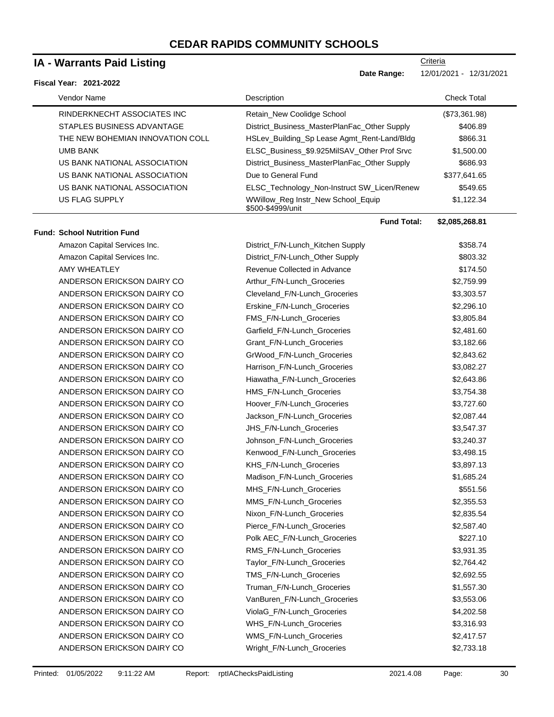### **IA - Warrants Paid Listing**

#### **Fiscal Year: 2021-2022**

| Vendor Name                        | Description                                             | <b>Check Total</b> |
|------------------------------------|---------------------------------------------------------|--------------------|
| RINDERKNECHT ASSOCIATES INC        | Retain_New Coolidge School                              | (\$73,361.98)      |
| STAPLES BUSINESS ADVANTAGE         | District_Business_MasterPlanFac_Other Supply            | \$406.89           |
| THE NEW BOHEMIAN INNOVATION COLL   | HSLev_Building_Sp Lease Agmt_Rent-Land/Bldg             | \$866.31           |
| <b>UMB BANK</b>                    | ELSC_Business_\$9.925MilSAV_Other Prof Srvc             | \$1,500.00         |
| US BANK NATIONAL ASSOCIATION       | District_Business_MasterPlanFac_Other Supply            | \$686.93           |
| US BANK NATIONAL ASSOCIATION       | Due to General Fund                                     | \$377,641.65       |
| US BANK NATIONAL ASSOCIATION       | ELSC_Technology_Non-Instruct SW_Licen/Renew             | \$549.65           |
| <b>US FLAG SUPPLY</b>              | WWillow_Reg Instr_New School_Equip<br>\$500-\$4999/unit | \$1,122.34         |
|                                    | <b>Fund Total:</b>                                      | \$2,085,268.81     |
| <b>Fund: School Nutrition Fund</b> |                                                         |                    |
| Amazon Capital Services Inc.       | District_F/N-Lunch_Kitchen Supply                       | \$358.74           |
| Amazon Capital Services Inc.       | District_F/N-Lunch_Other Supply                         | \$803.32           |
| AMY WHEATLEY                       | Revenue Collected in Advance                            | \$174.50           |
| ANDERSON ERICKSON DAIRY CO         | Arthur F/N-Lunch Groceries                              | \$2,759.99         |
| ANDERSON ERICKSON DAIRY CO         | Cleveland F/N-Lunch Groceries                           | \$3,303.57         |
| ANDERSON ERICKSON DAIRY CO         | Erskine_F/N-Lunch_Groceries                             | \$2,296.10         |
| ANDERSON ERICKSON DAIRY CO         | FMS_F/N-Lunch_Groceries                                 | \$3,805.84         |
| ANDERSON ERICKSON DAIRY CO         | Garfield_F/N-Lunch_Groceries                            | \$2,481.60         |
| ANDERSON ERICKSON DAIRY CO         | Grant F/N-Lunch Groceries                               | \$3,182.66         |
| ANDERSON ERICKSON DAIRY CO         | GrWood_F/N-Lunch_Groceries                              | \$2,843.62         |
| ANDERSON ERICKSON DAIRY CO         | Harrison_F/N-Lunch_Groceries                            | \$3,082.27         |
| ANDERSON ERICKSON DAIRY CO         | Hiawatha_F/N-Lunch_Groceries                            | \$2,643.86         |
| ANDERSON ERICKSON DAIRY CO         | HMS_F/N-Lunch_Groceries                                 | \$3,754.38         |
| ANDERSON ERICKSON DAIRY CO         | Hoover_F/N-Lunch_Groceries                              | \$3,727.60         |
| ANDERSON ERICKSON DAIRY CO         | Jackson_F/N-Lunch_Groceries                             | \$2,087.44         |
| ANDERSON ERICKSON DAIRY CO         | JHS_F/N-Lunch_Groceries                                 | \$3,547.37         |
| ANDERSON ERICKSON DAIRY CO         | Johnson_F/N-Lunch_Groceries                             | \$3,240.37         |
| ANDERSON ERICKSON DAIRY CO         | Kenwood_F/N-Lunch_Groceries                             | \$3,498.15         |
| ANDERSON ERICKSON DAIRY CO         | KHS_F/N-Lunch_Groceries                                 | \$3,897.13         |
| ANDERSON ERICKSON DAIRY CO         | Madison_F/N-Lunch_Groceries                             | \$1,685.24         |
| ANDERSON ERICKSON DAIRY CO         | MHS_F/N-Lunch_Groceries                                 | \$551.56           |
| ANDERSON ERICKSON DAIRY CO         | MMS_F/N-Lunch_Groceries                                 | \$2,355.53         |
| ANDERSON ERICKSON DAIRY CO         | Nixon F/N-Lunch Groceries                               | \$2,835.54         |
| ANDERSON ERICKSON DAIRY CO         | Pierce F/N-Lunch Groceries                              | \$2,587.40         |
| ANDERSON ERICKSON DAIRY CO         | Polk AEC_F/N-Lunch_Groceries                            | \$227.10           |
| ANDERSON ERICKSON DAIRY CO         | RMS_F/N-Lunch_Groceries                                 | \$3,931.35         |
| ANDERSON ERICKSON DAIRY CO         | Taylor_F/N-Lunch_Groceries                              | \$2,764.42         |
| ANDERSON ERICKSON DAIRY CO         | TMS_F/N-Lunch_Groceries                                 | \$2,692.55         |
| ANDERSON ERICKSON DAIRY CO         | Truman_F/N-Lunch_Groceries                              | \$1,557.30         |
| ANDERSON ERICKSON DAIRY CO         | VanBuren_F/N-Lunch_Groceries                            | \$3,553.06         |
| ANDERSON ERICKSON DAIRY CO         | ViolaG_F/N-Lunch_Groceries                              | \$4,202.58         |
| ANDERSON ERICKSON DAIRY CO         | WHS_F/N-Lunch_Groceries                                 | \$3,316.93         |
| ANDERSON ERICKSON DAIRY CO         | WMS_F/N-Lunch_Groceries                                 | \$2,417.57         |
| ANDERSON ERICKSON DAIRY CO         | Wright_F/N-Lunch_Groceries                              | \$2,733.18         |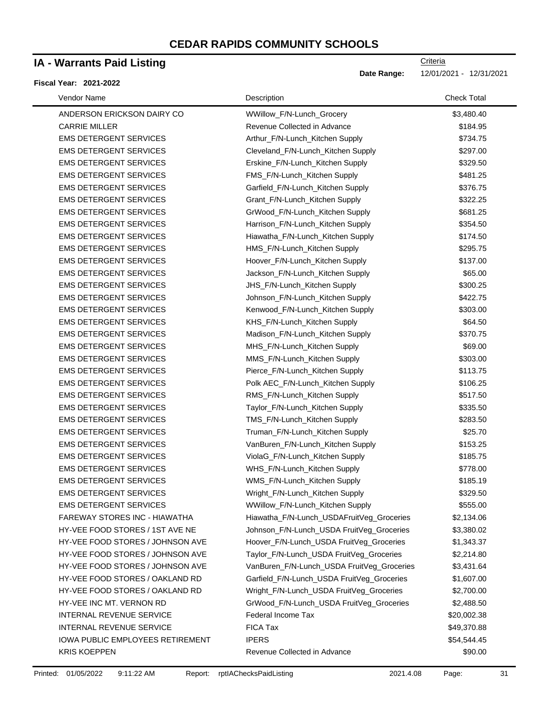### **IA - Warrants Paid Listing**

#### **Fiscal Year: 2021-2022**

| Vendor Name                             | Description                                | <b>Check Total</b> |
|-----------------------------------------|--------------------------------------------|--------------------|
| ANDERSON ERICKSON DAIRY CO              | WWillow_F/N-Lunch_Grocery                  | \$3,480.40         |
| <b>CARRIE MILLER</b>                    | Revenue Collected in Advance               | \$184.95           |
| <b>EMS DETERGENT SERVICES</b>           | Arthur_F/N-Lunch_Kitchen Supply            | \$734.75           |
| <b>EMS DETERGENT SERVICES</b>           | Cleveland_F/N-Lunch_Kitchen Supply         | \$297.00           |
| <b>EMS DETERGENT SERVICES</b>           | Erskine_F/N-Lunch_Kitchen Supply           | \$329.50           |
| <b>EMS DETERGENT SERVICES</b>           | FMS_F/N-Lunch_Kitchen Supply               | \$481.25           |
| <b>EMS DETERGENT SERVICES</b>           | Garfield_F/N-Lunch_Kitchen Supply          | \$376.75           |
| <b>EMS DETERGENT SERVICES</b>           | Grant_F/N-Lunch_Kitchen Supply             | \$322.25           |
| <b>EMS DETERGENT SERVICES</b>           | GrWood_F/N-Lunch_Kitchen Supply            | \$681.25           |
| <b>EMS DETERGENT SERVICES</b>           | Harrison_F/N-Lunch_Kitchen Supply          | \$354.50           |
| <b>EMS DETERGENT SERVICES</b>           | Hiawatha_F/N-Lunch_Kitchen Supply          | \$174.50           |
| <b>EMS DETERGENT SERVICES</b>           | HMS_F/N-Lunch_Kitchen Supply               | \$295.75           |
| <b>EMS DETERGENT SERVICES</b>           | Hoover_F/N-Lunch_Kitchen Supply            | \$137.00           |
| <b>EMS DETERGENT SERVICES</b>           | Jackson_F/N-Lunch_Kitchen Supply           | \$65.00            |
| <b>EMS DETERGENT SERVICES</b>           | JHS_F/N-Lunch_Kitchen Supply               | \$300.25           |
| <b>EMS DETERGENT SERVICES</b>           | Johnson_F/N-Lunch_Kitchen Supply           | \$422.75           |
| <b>EMS DETERGENT SERVICES</b>           | Kenwood_F/N-Lunch_Kitchen Supply           | \$303.00           |
| <b>EMS DETERGENT SERVICES</b>           | KHS_F/N-Lunch_Kitchen Supply               | \$64.50            |
| <b>EMS DETERGENT SERVICES</b>           | Madison_F/N-Lunch_Kitchen Supply           | \$370.75           |
| <b>EMS DETERGENT SERVICES</b>           | MHS_F/N-Lunch_Kitchen Supply               | \$69.00            |
| <b>EMS DETERGENT SERVICES</b>           | MMS_F/N-Lunch_Kitchen Supply               | \$303.00           |
| <b>EMS DETERGENT SERVICES</b>           | Pierce_F/N-Lunch_Kitchen Supply            | \$113.75           |
| <b>EMS DETERGENT SERVICES</b>           | Polk AEC_F/N-Lunch_Kitchen Supply          | \$106.25           |
| <b>EMS DETERGENT SERVICES</b>           | RMS_F/N-Lunch_Kitchen Supply               | \$517.50           |
| <b>EMS DETERGENT SERVICES</b>           | Taylor_F/N-Lunch_Kitchen Supply            | \$335.50           |
| <b>EMS DETERGENT SERVICES</b>           | TMS_F/N-Lunch_Kitchen Supply               | \$283.50           |
| <b>EMS DETERGENT SERVICES</b>           | Truman_F/N-Lunch_Kitchen Supply            | \$25.70            |
| <b>EMS DETERGENT SERVICES</b>           | VanBuren_F/N-Lunch_Kitchen Supply          | \$153.25           |
| <b>EMS DETERGENT SERVICES</b>           | ViolaG_F/N-Lunch_Kitchen Supply            | \$185.75           |
| <b>EMS DETERGENT SERVICES</b>           | WHS_F/N-Lunch_Kitchen Supply               | \$778.00           |
| <b>EMS DETERGENT SERVICES</b>           | WMS_F/N-Lunch_Kitchen Supply               | \$185.19           |
| <b>EMS DETERGENT SERVICES</b>           | Wright_F/N-Lunch_Kitchen Supply            | \$329.50           |
| <b>EMS DETERGENT SERVICES</b>           | WWillow_F/N-Lunch_Kitchen Supply           | \$555.00           |
| <b>FAREWAY STORES INC - HIAWATHA</b>    | Hiawatha_F/N-Lunch_USDAFruitVeg_Groceries  | \$2,134.06         |
| HY-VEE FOOD STORES / 1ST AVE NE         | Johnson_F/N-Lunch_USDA FruitVeg_Groceries  | \$3,380.02         |
| HY-VEE FOOD STORES / JOHNSON AVE        | Hoover_F/N-Lunch_USDA FruitVeg_Groceries   | \$1,343.37         |
| HY-VEE FOOD STORES / JOHNSON AVE        | Taylor_F/N-Lunch_USDA FruitVeg_Groceries   | \$2,214.80         |
| HY-VEE FOOD STORES / JOHNSON AVE        | VanBuren_F/N-Lunch_USDA FruitVeg_Groceries | \$3,431.64         |
| HY-VEE FOOD STORES / OAKLAND RD         | Garfield_F/N-Lunch_USDA FruitVeg_Groceries | \$1,607.00         |
| HY-VEE FOOD STORES / OAKLAND RD         | Wright_F/N-Lunch_USDA FruitVeg_Groceries   | \$2,700.00         |
| HY-VEE INC MT. VERNON RD                | GrWood_F/N-Lunch_USDA FruitVeg_Groceries   | \$2,488.50         |
| INTERNAL REVENUE SERVICE                | Federal Income Tax                         | \$20,002.38        |
| INTERNAL REVENUE SERVICE                | <b>FICA Tax</b>                            | \$49,370.88        |
| <b>IOWA PUBLIC EMPLOYEES RETIREMENT</b> | <b>IPERS</b>                               | \$54,544.45        |
| <b>KRIS KOEPPEN</b>                     | Revenue Collected in Advance               | \$90.00            |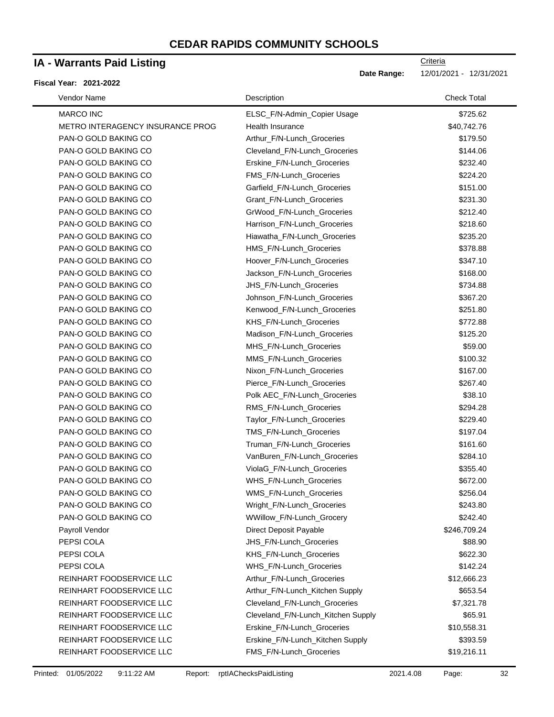### **IA - Warrants Paid Listing**

#### **Fiscal Year: 2021-2022**

| Vendor Name                      | Description                        | <b>Check Total</b> |
|----------------------------------|------------------------------------|--------------------|
| <b>MARCO INC</b>                 | ELSC F/N-Admin Copier Usage        | \$725.62           |
| METRO INTERAGENCY INSURANCE PROG | Health Insurance                   | \$40,742.76        |
| PAN-O GOLD BAKING CO             | Arthur_F/N-Lunch_Groceries         | \$179.50           |
| PAN-O GOLD BAKING CO             | Cleveland_F/N-Lunch_Groceries      | \$144.06           |
| PAN-O GOLD BAKING CO             | Erskine_F/N-Lunch_Groceries        | \$232.40           |
| PAN-O GOLD BAKING CO             | FMS_F/N-Lunch_Groceries            | \$224.20           |
| PAN-O GOLD BAKING CO             | Garfield_F/N-Lunch_Groceries       | \$151.00           |
| PAN-O GOLD BAKING CO             | Grant_F/N-Lunch_Groceries          | \$231.30           |
| PAN-O GOLD BAKING CO             | GrWood_F/N-Lunch_Groceries         | \$212.40           |
| PAN-O GOLD BAKING CO             | Harrison_F/N-Lunch_Groceries       | \$218.60           |
| PAN-O GOLD BAKING CO             | Hiawatha_F/N-Lunch_Groceries       | \$235.20           |
| PAN-O GOLD BAKING CO             | HMS_F/N-Lunch_Groceries            | \$378.88           |
| PAN-O GOLD BAKING CO             | Hoover_F/N-Lunch_Groceries         | \$347.10           |
| PAN-O GOLD BAKING CO             | Jackson_F/N-Lunch_Groceries        | \$168.00           |
| PAN-O GOLD BAKING CO             | JHS_F/N-Lunch_Groceries            | \$734.88           |
| PAN-O GOLD BAKING CO             | Johnson_F/N-Lunch_Groceries        | \$367.20           |
| PAN-O GOLD BAKING CO             | Kenwood_F/N-Lunch_Groceries        | \$251.80           |
| PAN-O GOLD BAKING CO             | KHS_F/N-Lunch_Groceries            | \$772.88           |
| PAN-O GOLD BAKING CO             | Madison_F/N-Lunch_Groceries        | \$125.20           |
| PAN-O GOLD BAKING CO             | MHS_F/N-Lunch_Groceries            | \$59.00            |
| PAN-O GOLD BAKING CO             | MMS_F/N-Lunch_Groceries            | \$100.32           |
| PAN-O GOLD BAKING CO             | Nixon_F/N-Lunch_Groceries          | \$167.00           |
| PAN-O GOLD BAKING CO             | Pierce_F/N-Lunch_Groceries         | \$267.40           |
| PAN-O GOLD BAKING CO             | Polk AEC_F/N-Lunch_Groceries       | \$38.10            |
| PAN-O GOLD BAKING CO             | RMS_F/N-Lunch_Groceries            | \$294.28           |
| PAN-O GOLD BAKING CO             | Taylor_F/N-Lunch_Groceries         | \$229.40           |
| PAN-O GOLD BAKING CO             | TMS_F/N-Lunch_Groceries            | \$197.04           |
| PAN-O GOLD BAKING CO             | Truman_F/N-Lunch_Groceries         | \$161.60           |
| PAN-O GOLD BAKING CO             | VanBuren_F/N-Lunch_Groceries       | \$284.10           |
| PAN-O GOLD BAKING CO             | ViolaG_F/N-Lunch_Groceries         | \$355.40           |
| PAN-O GOLD BAKING CO             | WHS_F/N-Lunch_Groceries            | \$672.00           |
| PAN-O GOLD BAKING CO             | WMS_F/N-Lunch_Groceries            | \$256.04           |
| PAN-O GOLD BAKING CO             | Wright_F/N-Lunch_Groceries         | \$243.80           |
| PAN-O GOLD BAKING CO             | WWillow_F/N-Lunch_Grocery          | \$242.40           |
| Payroll Vendor                   | Direct Deposit Payable             | \$246,709.24       |
| PEPSI COLA                       | JHS_F/N-Lunch_Groceries            | \$88.90            |
| PEPSI COLA                       | KHS_F/N-Lunch_Groceries            | \$622.30           |
| PEPSI COLA                       | WHS_F/N-Lunch_Groceries            | \$142.24           |
| REINHART FOODSERVICE LLC         | Arthur_F/N-Lunch_Groceries         | \$12,666.23        |
| REINHART FOODSERVICE LLC         | Arthur_F/N-Lunch_Kitchen Supply    | \$653.54           |
| REINHART FOODSERVICE LLC         | Cleveland_F/N-Lunch_Groceries      | \$7,321.78         |
| REINHART FOODSERVICE LLC         | Cleveland_F/N-Lunch_Kitchen Supply | \$65.91            |
| REINHART FOODSERVICE LLC         | Erskine_F/N-Lunch_Groceries        | \$10,558.31        |
| REINHART FOODSERVICE LLC         | Erskine_F/N-Lunch_Kitchen Supply   | \$393.59           |
| REINHART FOODSERVICE LLC         | FMS_F/N-Lunch_Groceries            | \$19,216.11        |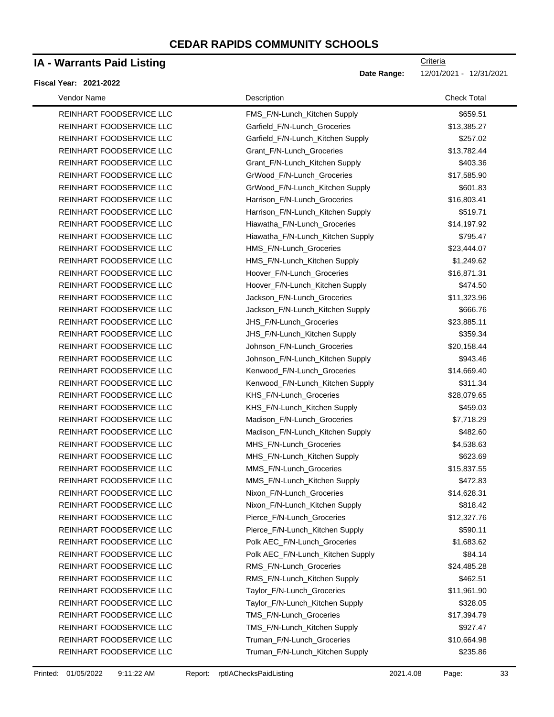### **IA - Warrants Paid Listing**

#### **Fiscal Year: 2021-2022**

Date Range: 12/01/2021 - 12/31/2021

| Vendor Name              | Description                       | <b>Check Total</b> |
|--------------------------|-----------------------------------|--------------------|
| REINHART FOODSERVICE LLC | FMS_F/N-Lunch_Kitchen Supply      | \$659.51           |
| REINHART FOODSERVICE LLC | Garfield_F/N-Lunch_Groceries      | \$13,385.27        |
| REINHART FOODSERVICE LLC | Garfield_F/N-Lunch_Kitchen Supply | \$257.02           |
| REINHART FOODSERVICE LLC | Grant_F/N-Lunch_Groceries         | \$13,782.44        |
| REINHART FOODSERVICE LLC | Grant_F/N-Lunch_Kitchen Supply    | \$403.36           |
| REINHART FOODSERVICE LLC | GrWood_F/N-Lunch_Groceries        | \$17,585.90        |
| REINHART FOODSERVICE LLC | GrWood_F/N-Lunch_Kitchen Supply   | \$601.83           |
| REINHART FOODSERVICE LLC | Harrison_F/N-Lunch_Groceries      | \$16,803.41        |
| REINHART FOODSERVICE LLC | Harrison_F/N-Lunch_Kitchen Supply | \$519.71           |
| REINHART FOODSERVICE LLC | Hiawatha_F/N-Lunch_Groceries      | \$14,197.92        |
| REINHART FOODSERVICE LLC | Hiawatha_F/N-Lunch_Kitchen Supply | \$795.47           |
| REINHART FOODSERVICE LLC | HMS_F/N-Lunch_Groceries           | \$23,444.07        |
| REINHART FOODSERVICE LLC | HMS_F/N-Lunch_Kitchen Supply      | \$1,249.62         |
| REINHART FOODSERVICE LLC | Hoover_F/N-Lunch_Groceries        | \$16,871.31        |
| REINHART FOODSERVICE LLC | Hoover_F/N-Lunch_Kitchen Supply   | \$474.50           |
| REINHART FOODSERVICE LLC | Jackson_F/N-Lunch_Groceries       | \$11,323.96        |
| REINHART FOODSERVICE LLC | Jackson_F/N-Lunch_Kitchen Supply  | \$666.76           |
| REINHART FOODSERVICE LLC | JHS_F/N-Lunch_Groceries           | \$23,885.11        |
| REINHART FOODSERVICE LLC | JHS_F/N-Lunch_Kitchen Supply      | \$359.34           |
| REINHART FOODSERVICE LLC | Johnson_F/N-Lunch_Groceries       | \$20,158.44        |
| REINHART FOODSERVICE LLC | Johnson_F/N-Lunch_Kitchen Supply  | \$943.46           |
| REINHART FOODSERVICE LLC | Kenwood_F/N-Lunch_Groceries       | \$14,669.40        |
| REINHART FOODSERVICE LLC | Kenwood_F/N-Lunch_Kitchen Supply  | \$311.34           |
| REINHART FOODSERVICE LLC | KHS_F/N-Lunch_Groceries           | \$28,079.65        |
| REINHART FOODSERVICE LLC | KHS_F/N-Lunch_Kitchen Supply      | \$459.03           |
| REINHART FOODSERVICE LLC | Madison_F/N-Lunch_Groceries       | \$7,718.29         |
| REINHART FOODSERVICE LLC | Madison_F/N-Lunch_Kitchen Supply  | \$482.60           |
| REINHART FOODSERVICE LLC | MHS_F/N-Lunch_Groceries           | \$4,538.63         |
| REINHART FOODSERVICE LLC | MHS_F/N-Lunch_Kitchen Supply      | \$623.69           |
| REINHART FOODSERVICE LLC | MMS_F/N-Lunch_Groceries           | \$15,837.55        |
| REINHART FOODSERVICE LLC | MMS_F/N-Lunch_Kitchen Supply      | \$472.83           |
| REINHART FOODSERVICE LLC | Nixon F/N-Lunch Groceries         | \$14,628.31        |
| REINHART FOODSERVICE LLC | Nixon_F/N-Lunch_Kitchen Supply    | \$818.42           |
| REINHART FOODSERVICE LLC | Pierce F/N-Lunch Groceries        | \$12,327.76        |
| REINHART FOODSERVICE LLC | Pierce_F/N-Lunch_Kitchen Supply   | \$590.11           |
| REINHART FOODSERVICE LLC | Polk AEC_F/N-Lunch_Groceries      | \$1,683.62         |
| REINHART FOODSERVICE LLC | Polk AEC_F/N-Lunch_Kitchen Supply | \$84.14            |
| REINHART FOODSERVICE LLC | RMS_F/N-Lunch_Groceries           | \$24,485.28        |
| REINHART FOODSERVICE LLC | RMS_F/N-Lunch_Kitchen Supply      | \$462.51           |
| REINHART FOODSERVICE LLC | Taylor_F/N-Lunch_Groceries        | \$11,961.90        |
| REINHART FOODSERVICE LLC | Taylor_F/N-Lunch_Kitchen Supply   | \$328.05           |
| REINHART FOODSERVICE LLC | TMS_F/N-Lunch_Groceries           | \$17,394.79        |
| REINHART FOODSERVICE LLC | TMS_F/N-Lunch_Kitchen Supply      | \$927.47           |
| REINHART FOODSERVICE LLC | Truman_F/N-Lunch_Groceries        | \$10,664.98        |
| REINHART FOODSERVICE LLC | Truman_F/N-Lunch_Kitchen Supply   | \$235.86           |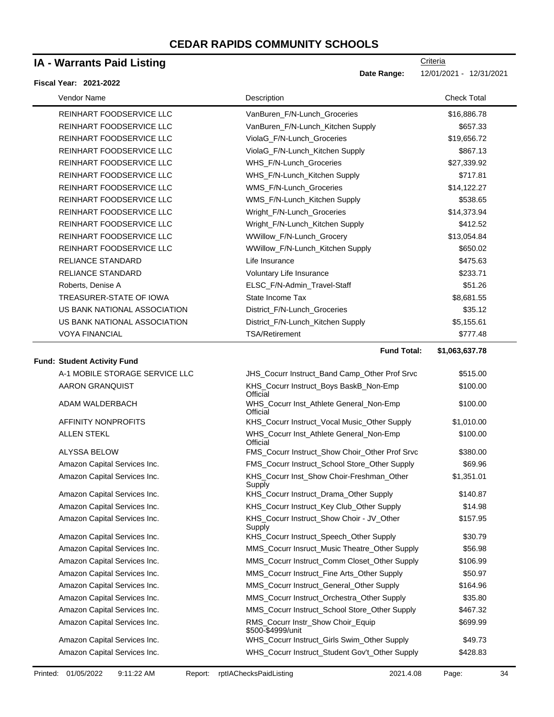### **IA - Warrants Paid Listing**

#### **Fiscal Year: 2021-2022**

| Vendor Name                        | Description                                            | <b>Check Total</b> |
|------------------------------------|--------------------------------------------------------|--------------------|
| REINHART FOODSERVICE LLC           | VanBuren_F/N-Lunch_Groceries                           | \$16,886.78        |
| REINHART FOODSERVICE LLC           | VanBuren_F/N-Lunch_Kitchen Supply                      | \$657.33           |
| REINHART FOODSERVICE LLC           | ViolaG_F/N-Lunch_Groceries                             | \$19,656.72        |
| REINHART FOODSERVICE LLC           | ViolaG_F/N-Lunch_Kitchen Supply                        | \$867.13           |
| REINHART FOODSERVICE LLC           | WHS_F/N-Lunch_Groceries                                | \$27,339.92        |
| REINHART FOODSERVICE LLC           | WHS_F/N-Lunch_Kitchen Supply                           | \$717.81           |
| REINHART FOODSERVICE LLC           | WMS_F/N-Lunch_Groceries                                | \$14,122.27        |
| REINHART FOODSERVICE LLC           | WMS_F/N-Lunch_Kitchen Supply                           | \$538.65           |
| REINHART FOODSERVICE LLC           | Wright_F/N-Lunch_Groceries                             | \$14,373.94        |
| REINHART FOODSERVICE LLC           | Wright_F/N-Lunch_Kitchen Supply                        | \$412.52           |
| REINHART FOODSERVICE LLC           | WWillow_F/N-Lunch_Grocery                              | \$13,054.84        |
| REINHART FOODSERVICE LLC           | WWillow_F/N-Lunch_Kitchen Supply                       | \$650.02           |
| RELIANCE STANDARD                  | Life Insurance                                         | \$475.63           |
| RELIANCE STANDARD                  | Voluntary Life Insurance                               | \$233.71           |
| Roberts, Denise A                  | ELSC_F/N-Admin_Travel-Staff                            | \$51.26            |
| TREASURER-STATE OF IOWA            | State Income Tax                                       | \$8,681.55         |
| US BANK NATIONAL ASSOCIATION       | District_F/N-Lunch_Groceries                           | \$35.12            |
| US BANK NATIONAL ASSOCIATION       | District_F/N-Lunch_Kitchen Supply                      | \$5,155.61         |
| <b>VOYA FINANCIAL</b>              | <b>TSA/Retirement</b>                                  | \$777.48           |
|                                    | <b>Fund Total:</b>                                     | \$1,063,637.78     |
| <b>Fund: Student Activity Fund</b> |                                                        |                    |
| A-1 MOBILE STORAGE SERVICE LLC     | JHS_Cocurr Instruct_Band Camp_Other Prof Srvc          | \$515.00           |
| AARON GRANQUIST                    | KHS_Cocurr Instruct_Boys BaskB_Non-Emp<br>Official     | \$100.00           |
| ADAM WALDERBACH                    | WHS_Cocurr Inst_Athlete General_Non-Emp<br>Official    | \$100.00           |
| AFFINITY NONPROFITS                | KHS_Cocurr Instruct_Vocal Music_Other Supply           | \$1,010.00         |
| <b>ALLEN STEKL</b>                 | WHS_Cocurr Inst_Athlete General_Non-Emp<br>Official    | \$100.00           |
| ALYSSA BELOW                       | FMS_Cocurr Instruct_Show Choir_Other Prof Srvc         | \$380.00           |
| Amazon Capital Services Inc.       | FMS_Cocurr Instruct_School Store_Other Supply          | \$69.96            |
| Amazon Capital Services Inc.       | KHS_Cocurr Inst_Show Choir-Freshman_Other<br>Supply    | \$1,351.01         |
| Amazon Capital Services Inc.       | KHS_Cocurr Instruct_Drama_Other Supply                 | \$140.87           |
| Amazon Capital Services Inc.       | KHS_Cocurr Instruct_Key Club_Other Supply              | \$14.98            |
| Amazon Capital Services Inc.       | KHS_Cocurr Instruct_Show Choir - JV_Other<br>Supply    | \$157.95           |
| Amazon Capital Services Inc.       | KHS_Cocurr Instruct_Speech_Other Supply                | \$30.79            |
| Amazon Capital Services Inc.       | MMS_Cocurr Insruct_Music Theatre_Other Supply          | \$56.98            |
| Amazon Capital Services Inc.       | MMS_Cocurr Instruct_Comm Closet_Other Supply           | \$106.99           |
| Amazon Capital Services Inc.       | MMS_Cocurr Instruct_Fine Arts_Other Supply             | \$50.97            |
| Amazon Capital Services Inc.       | MMS_Cocurr Instruct_General_Other Supply               | \$164.96           |
| Amazon Capital Services Inc.       | MMS_Cocurr Instruct_Orchestra_Other Supply             | \$35.80            |
| Amazon Capital Services Inc.       | MMS_Cocurr Instruct_School Store_Other Supply          | \$467.32           |
| Amazon Capital Services Inc.       | RMS_Cocurr Instr_Show Choir_Equip<br>\$500-\$4999/unit | \$699.99           |
| Amazon Capital Services Inc.       | WHS_Cocurr Instruct_Girls Swim_Other Supply            | \$49.73            |
| Amazon Capital Services Inc.       | WHS_Cocurr Instruct_Student Gov't_Other Supply         | \$428.83           |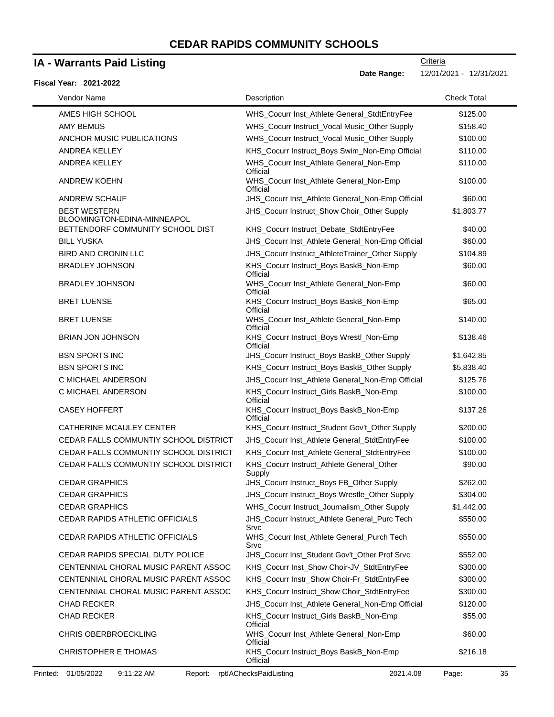### **IA - Warrants Paid Listing**

#### **Fiscal Year: 2021-2022**

**Date Range:** 12/01/2021 - 12/31/2021

| Vendor Name                                        | Description                                           | <b>Check Total</b> |
|----------------------------------------------------|-------------------------------------------------------|--------------------|
| AMES HIGH SCHOOL                                   | WHS_Cocurr Inst_Athlete General_StdtEntryFee          | \$125.00           |
| <b>AMY BEMUS</b>                                   | WHS_Cocurr Instruct_Vocal Music_Other Supply          | \$158.40           |
| ANCHOR MUSIC PUBLICATIONS                          | WHS_Cocurr Instruct_Vocal Music_Other Supply          | \$100.00           |
| ANDREA KELLEY                                      | KHS_Cocurr Instruct_Boys Swim_Non-Emp Official        | \$110.00           |
| ANDREA KELLEY                                      | WHS_Cocurr Inst_Athlete General_Non-Emp<br>Official   | \$110.00           |
| <b>ANDREW KOEHN</b>                                | WHS Cocurr Inst Athlete General Non-Emp<br>Official   | \$100.00           |
| <b>ANDREW SCHAUF</b>                               | JHS_Cocurr Inst_Athlete General_Non-Emp Official      | \$60.00            |
| <b>BEST WESTERN</b><br>BLOOMINGTON-EDINA-MINNEAPOL | JHS_Cocurr Instruct_Show Choir_Other Supply           | \$1,803.77         |
| BETTENDORF COMMUNITY SCHOOL DIST                   | KHS_Cocurr Instruct_Debate_StdtEntryFee               | \$40.00            |
| <b>BILL YUSKA</b>                                  | JHS_Cocurr Inst_Athlete General_Non-Emp Official      | \$60.00            |
| <b>BIRD AND CRONIN LLC</b>                         | JHS_Cocurr Instruct_AthleteTrainer_Other Supply       | \$104.89           |
| <b>BRADLEY JOHNSON</b>                             | KHS_Cocurr Instruct_Boys BaskB_Non-Emp<br>Official    | \$60.00            |
| <b>BRADLEY JOHNSON</b>                             | WHS_Cocurr Inst_Athlete General_Non-Emp<br>Official   | \$60.00            |
| <b>BRET LUENSE</b>                                 | KHS_Cocurr Instruct_Boys BaskB_Non-Emp<br>Official    | \$65.00            |
| <b>BRET LUENSE</b>                                 | WHS_Cocurr Inst_Athlete General_Non-Emp<br>Official   | \$140.00           |
| <b>BRIAN JON JOHNSON</b>                           | KHS_Cocurr Instruct_Boys Wrestl_Non-Emp<br>Official   | \$138.46           |
| <b>BSN SPORTS INC</b>                              | JHS_Cocurr Instruct_Boys BaskB_Other Supply           | \$1,642.85         |
| <b>BSN SPORTS INC</b>                              | KHS_Cocurr Instruct_Boys BaskB_Other Supply           | \$5,838.40         |
| C MICHAEL ANDERSON                                 | JHS_Cocurr Inst_Athlete General_Non-Emp Official      | \$125.76           |
| C MICHAEL ANDERSON                                 | KHS_Cocurr Instruct_Girls BaskB_Non-Emp<br>Official   | \$100.00           |
| <b>CASEY HOFFERT</b>                               | KHS_Cocurr Instruct_Boys BaskB_Non-Emp<br>Official    | \$137.26           |
| CATHERINE MCAULEY CENTER                           | KHS_Cocurr Instruct_Student Gov't_Other Supply        | \$200.00           |
| CEDAR FALLS COMMUNTIY SCHOOL DISTRICT              | JHS_Cocurr Inst_Athlete General_StdtEntryFee          | \$100.00           |
| CEDAR FALLS COMMUNTIY SCHOOL DISTRICT              | KHS_Cocurr Inst_Athlete General_StdtEntryFee          | \$100.00           |
| CEDAR FALLS COMMUNTIY SCHOOL DISTRICT              | KHS_Cocurr Instruct_Athlete General_Other<br>Supply   | \$90.00            |
| CEDAR GRAPHICS                                     | JHS_Cocurr Instruct_Boys FB_Other Supply              | \$262.00           |
| <b>CEDAR GRAPHICS</b>                              | JHS_Cocurr Instruct_Boys Wrestle_Other Supply         | \$304.00           |
| CEDAR GRAPHICS                                     | WHS_Cocurr Instruct_Journalism_Other Supply           | \$1,442.00         |
| CEDAR RAPIDS ATHLETIC OFFICIALS                    | JHS_Cocurr Instruct_Athlete General_Purc Tech<br>Srvc | \$550.00           |
| CEDAR RAPIDS ATHLETIC OFFICIALS                    | WHS_Cocurr Inst_Athlete General_Purch Tech<br>Srvc    | \$550.00           |
| CEDAR RAPIDS SPECIAL DUTY POLICE                   | JHS_Cocurr Inst_Student Gov't_Other Prof Srvc         | \$552.00           |
| CENTENNIAL CHORAL MUSIC PARENT ASSOC               | KHS_Cocurr Inst_Show Choir-JV_StdtEntryFee            | \$300.00           |
| CENTENNIAL CHORAL MUSIC PARENT ASSOC               | KHS_Cocurr Instr_Show Choir-Fr_StdtEntryFee           | \$300.00           |
| CENTENNIAL CHORAL MUSIC PARENT ASSOC               | KHS_Cocurr Instruct_Show Choir_StdtEntryFee           | \$300.00           |
| <b>CHAD RECKER</b>                                 | JHS_Cocurr Inst_Athlete General_Non-Emp Official      | \$120.00           |
| <b>CHAD RECKER</b>                                 | KHS_Cocurr Instruct_Girls BaskB_Non-Emp<br>Official   | \$55.00            |
| CHRIS OBERBROECKLING                               | WHS_Cocurr Inst_Athlete General_Non-Emp<br>Official   | \$60.00            |
| <b>CHRISTOPHER E THOMAS</b>                        | KHS_Cocurr Instruct_Boys BaskB_Non-Emp<br>Official    | \$216.18           |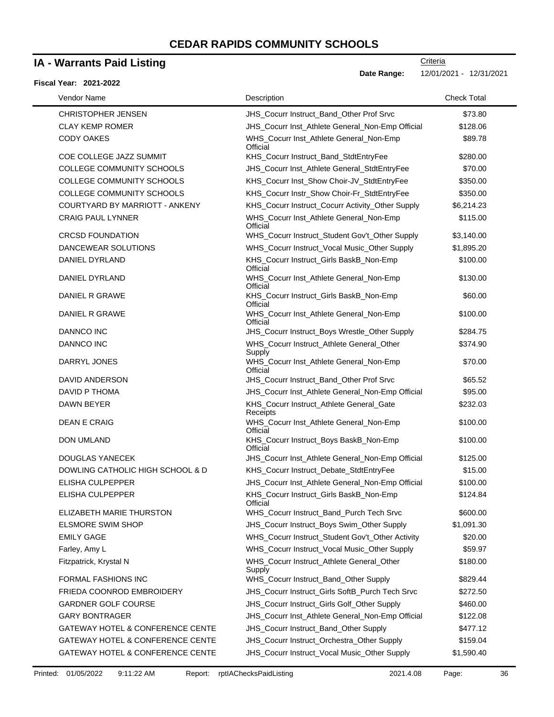### **IA - Warrants Paid Listing**

#### **Fiscal Year: 2021-2022**

| Vendor Name                      | Description                                          | <b>Check Total</b> |
|----------------------------------|------------------------------------------------------|--------------------|
| <b>CHRISTOPHER JENSEN</b>        | JHS_Cocurr Instruct_Band_Other Prof Srvc             | \$73.80            |
| <b>CLAY KEMP ROMER</b>           | JHS_Cocurr Inst_Athlete General_Non-Emp Official     | \$128.06           |
| <b>CODY OAKES</b>                | WHS_Cocurr Inst_Athlete General_Non-Emp<br>Official  | \$89.78            |
| COE COLLEGE JAZZ SUMMIT          | KHS_Cocurr Instruct_Band_StdtEntryFee                | \$280.00           |
| COLLEGE COMMUNITY SCHOOLS        | JHS_Cocurr Inst_Athlete General_StdtEntryFee         | \$70.00            |
| COLLEGE COMMUNITY SCHOOLS        | KHS_Cocurr Inst_Show Choir-JV_StdtEntryFee           | \$350.00           |
| COLLEGE COMMUNITY SCHOOLS        | KHS_Cocurr Instr_Show Choir-Fr_StdtEntryFee          | \$350.00           |
| COURTYARD BY MARRIOTT - ANKENY   | KHS_Cocurr Instruct_Cocurr Activity_Other Supply     | \$6,214.23         |
| <b>CRAIG PAUL LYNNER</b>         | WHS_Cocurr Inst_Athlete General_Non-Emp<br>Official  | \$115.00           |
| <b>CRCSD FOUNDATION</b>          | WHS_Cocurr Instruct_Student Gov't_Other Supply       | \$3,140.00         |
| DANCEWEAR SOLUTIONS              | WHS_Cocurr Instruct_Vocal Music_Other Supply         | \$1,895.20         |
| DANIEL DYRLAND                   | KHS_Cocurr Instruct_Girls BaskB_Non-Emp<br>Official  | \$100.00           |
| DANIEL DYRLAND                   | WHS_Cocurr Inst_Athlete General_Non-Emp<br>Official  | \$130.00           |
| DANIEL R GRAWE                   | KHS_Cocurr Instruct_Girls BaskB_Non-Emp<br>Official  | \$60.00            |
| DANIEL R GRAWE                   | WHS_Cocurr Inst_Athlete General_Non-Emp<br>Official  | \$100.00           |
| <b>DANNCO INC</b>                | JHS_Cocurr Instruct_Boys Wrestle_Other Supply        | \$284.75           |
| <b>DANNCO INC</b>                | WHS_Cocurr Instruct_Athlete General_Other<br>Supply  | \$374.90           |
| DARRYL JONES                     | WHS_Cocurr Inst_Athlete General_Non-Emp<br>Official  | \$70.00            |
| DAVID ANDERSON                   | JHS_Cocurr Instruct_Band_Other Prof Srvc             | \$65.52            |
| DAVID P THOMA                    | JHS_Cocurr Inst_Athlete General_Non-Emp Official     | \$95.00            |
| DAWN BEYER                       | KHS_Cocurr Instruct_Athlete General_Gate<br>Receipts | \$232.03           |
| <b>DEAN E CRAIG</b>              | WHS_Cocurr Inst_Athlete General_Non-Emp<br>Official  | \$100.00           |
| <b>DON UMLAND</b>                | KHS_Cocurr Instruct_Boys BaskB_Non-Emp<br>Official   | \$100.00           |
| DOUGLAS YANECEK                  | JHS_Cocurr Inst_Athlete General_Non-Emp Official     | \$125.00           |
| DOWLING CATHOLIC HIGH SCHOOL & D | KHS_Cocurr Instruct_Debate_StdtEntryFee              | \$15.00            |
| <b>ELISHA CULPEPPER</b>          | JHS_Cocurr Inst_Athlete General_Non-Emp Official     | \$100.00           |
| ELISHA CULPEPPER                 | KHS_Cocurr Instruct_Girls BaskB_Non-Emp<br>Official  | \$124.84           |
| ELIZABETH MARIE THURSTON         | WHS_Cocurr Instruct_Band_Purch Tech Srvc             | \$600.00           |
| <b>ELSMORE SWIM SHOP</b>         | JHS_Cocurr Instruct_Boys Swim_Other Supply           | \$1,091.30         |
| <b>EMILY GAGE</b>                | WHS_Cocurr Instruct_Student Gov't_Other Activity     | \$20.00            |
| Farley, Amy L                    | WHS_Cocurr Instruct_Vocal Music_Other Supply         | \$59.97            |
| Fitzpatrick, Krystal N           | WHS_Cocurr Instruct_Athlete General_Other<br>Supply  | \$180.00           |
| <b>FORMAL FASHIONS INC</b>       | WHS_Cocurr Instruct_Band_Other Supply                | \$829.44           |
| FRIEDA COONROD EMBROIDERY        | JHS_Cocurr Instruct_Girls SoftB_Purch Tech Srvc      | \$272.50           |
| <b>GARDNER GOLF COURSE</b>       | JHS_Cocurr Instruct_Girls Golf_Other Supply          | \$460.00           |
| <b>GARY BONTRAGER</b>            | JHS_Cocurr Inst_Athlete General_Non-Emp Official     | \$122.08           |
| GATEWAY HOTEL & CONFERENCE CENTE | JHS_Cocurr Instruct_Band_Other Supply                | \$477.12           |
| GATEWAY HOTEL & CONFERENCE CENTE | JHS_Cocurr Instruct_Orchestra_Other Supply           | \$159.04           |
| GATEWAY HOTEL & CONFERENCE CENTE | JHS_Cocurr Instruct_Vocal Music_Other Supply         | \$1,590.40         |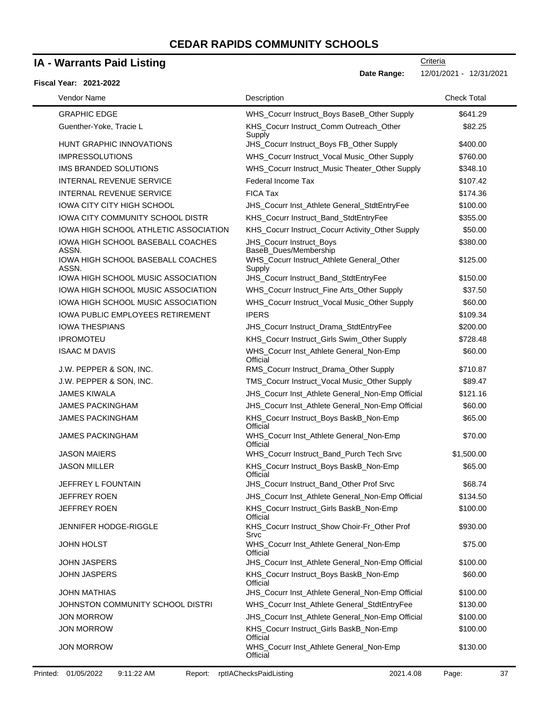### **IA - Warrants Paid Listing**

#### **Fiscal Year: 2021-2022**

 $\blacksquare$ 

**Date Range:** 12/01/2021 - 12/31/2021

| Vendor Name                                | Description                                          | <b>Check Total</b> |
|--------------------------------------------|------------------------------------------------------|--------------------|
| <b>GRAPHIC EDGE</b>                        | WHS_Cocurr Instruct_Boys BaseB_Other Supply          | \$641.29           |
| Guenther-Yoke, Tracie L                    | KHS_Cocurr Instruct_Comm Outreach_Other<br>Supply    | \$82.25            |
| HUNT GRAPHIC INNOVATIONS                   | JHS_Cocurr Instruct_Boys FB_Other Supply             | \$400.00           |
| <b>IMPRESSOLUTIONS</b>                     | WHS_Cocurr Instruct_Vocal Music_Other Supply         | \$760.00           |
| IMS BRANDED SOLUTIONS                      | WHS_Cocurr Instruct_Music Theater_Other Supply       | \$348.10           |
| <b>INTERNAL REVENUE SERVICE</b>            | Federal Income Tax                                   | \$107.42           |
| <b>INTERNAL REVENUE SERVICE</b>            | <b>FICA Tax</b>                                      | \$174.36           |
| <b>IOWA CITY CITY HIGH SCHOOL</b>          | JHS_Cocurr Inst_Athlete General_StdtEntryFee         | \$100.00           |
| <b>IOWA CITY COMMUNITY SCHOOL DISTR</b>    | KHS_Cocurr Instruct_Band_StdtEntryFee                | \$355.00           |
| IOWA HIGH SCHOOL ATHLETIC ASSOCIATION      | KHS_Cocurr Instruct_Cocurr Activity_Other Supply     | \$50.00            |
| IOWA HIGH SCHOOL BASEBALL COACHES<br>ASSN. | JHS_Cocurr Instruct_Boys<br>BaseB_Dues/Membership    | \$380.00           |
| IOWA HIGH SCHOOL BASEBALL COACHES<br>ASSN. | WHS_Cocurr Instruct_Athlete General_Other<br>Supply  | \$125.00           |
| IOWA HIGH SCHOOL MUSIC ASSOCIATION         | JHS_Cocurr Instruct_Band_StdtEntryFee                | \$150.00           |
| IOWA HIGH SCHOOL MUSIC ASSOCIATION         | WHS_Cocurr Instruct_Fine Arts_Other Supply           | \$37.50            |
| IOWA HIGH SCHOOL MUSIC ASSOCIATION         | WHS_Cocurr Instruct_Vocal Music_Other Supply         | \$60.00            |
| <b>IOWA PUBLIC EMPLOYEES RETIREMENT</b>    | <b>IPERS</b>                                         | \$109.34           |
| <b>IOWA THESPIANS</b>                      | JHS_Cocurr Instruct_Drama_StdtEntryFee               | \$200.00           |
| <b>IPROMOTEU</b>                           | KHS_Cocurr Instruct_Girls Swim_Other Supply          | \$728.48           |
| <b>ISAAC M DAVIS</b>                       | WHS_Cocurr Inst_Athlete General_Non-Emp<br>Official  | \$60.00            |
| J.W. PEPPER & SON, INC.                    | RMS_Cocurr Instruct_Drama_Other Supply               | \$710.87           |
| J.W. PEPPER & SON, INC.                    | TMS_Cocurr Instruct_Vocal Music_Other Supply         | \$89.47            |
| <b>JAMES KIWALA</b>                        | JHS_Cocurr Inst_Athlete General_Non-Emp Official     | \$121.16           |
| <b>JAMES PACKINGHAM</b>                    | JHS_Cocurr Inst_Athlete General_Non-Emp Official     | \$60.00            |
| <b>JAMES PACKINGHAM</b>                    | KHS_Cocurr Instruct_Boys BaskB_Non-Emp<br>Official   | \$65.00            |
| <b>JAMES PACKINGHAM</b>                    | WHS_Cocurr Inst_Athlete General_Non-Emp<br>Official  | \$70.00            |
| <b>JASON MAIERS</b>                        | WHS_Cocurr Instruct_Band_Purch Tech Srvc             | \$1,500.00         |
| <b>JASON MILLER</b>                        | KHS_Cocurr Instruct_Boys BaskB_Non-Emp<br>Official   | \$65.00            |
| JEFFREY L FOUNTAIN                         | JHS_Cocurr Instruct_Band_Other Prof Srvc             | \$68.74            |
| JEFFREY ROEN                               | JHS_Cocurr Inst_Athlete General_Non-Emp Official     | \$134.50           |
| <b>JEFFREY ROEN</b>                        | KHS_Cocurr Instruct_Girls BaskB_Non-Emp<br>Official  | \$100.00           |
| JENNIFER HODGE-RIGGLE                      | KHS_Cocurr Instruct_Show Choir-Fr_Other Prof<br>Srvc | \$930.00           |
| <b>JOHN HOLST</b>                          | WHS_Cocurr Inst_Athlete General_Non-Emp<br>Official  | \$75.00            |
| <b>JOHN JASPERS</b>                        | JHS_Cocurr Inst_Athlete General_Non-Emp Official     | \$100.00           |
| JOHN JASPERS                               | KHS_Cocurr Instruct_Boys BaskB_Non-Emp<br>Official   | \$60.00            |
| <b>JOHN MATHIAS</b>                        | JHS_Cocurr Inst_Athlete General_Non-Emp Official     | \$100.00           |
| JOHNSTON COMMUNITY SCHOOL DISTRI           | WHS_Cocurr Inst_Athlete General_StdtEntryFee         | \$130.00           |
| <b>JON MORROW</b>                          | JHS_Cocurr Inst_Athlete General_Non-Emp Official     | \$100.00           |
| <b>JON MORROW</b>                          | KHS_Cocurr Instruct_Girls BaskB_Non-Emp<br>Official  | \$100.00           |
| <b>JON MORROW</b>                          | WHS_Cocurr Inst_Athlete General_Non-Emp<br>Official  | \$130.00           |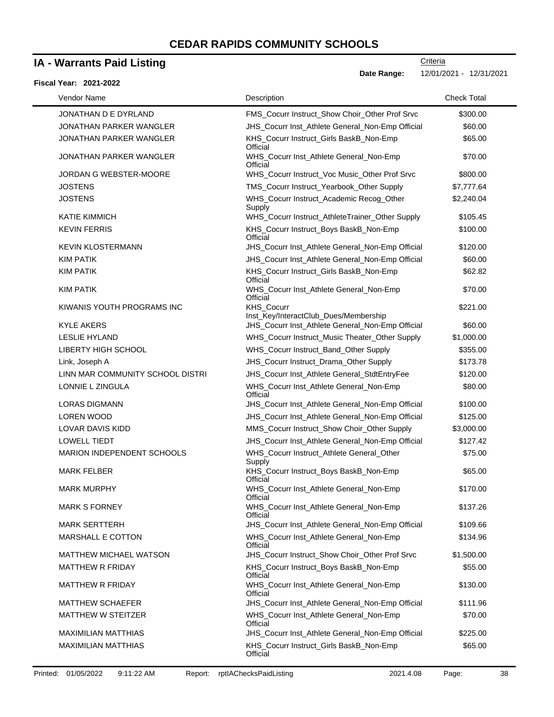### **IA - Warrants Paid Listing**

#### **Fiscal Year: 2021-2022**

**Date Range:** 12/01/2021 - 12/31/2021

| Vendor Name                      | Description                                                | <b>Check Total</b> |
|----------------------------------|------------------------------------------------------------|--------------------|
| JONATHAN D E DYRLAND             | FMS_Cocurr Instruct_Show Choir_Other Prof Srvc             | \$300.00           |
| JONATHAN PARKER WANGLER          | JHS_Cocurr Inst_Athlete General_Non-Emp Official           | \$60.00            |
| <b>JONATHAN PARKER WANGLER</b>   | KHS_Cocurr Instruct_Girls BaskB_Non-Emp<br>Official        | \$65.00            |
| <b>JONATHAN PARKER WANGLER</b>   | WHS_Cocurr Inst_Athlete General_Non-Emp<br>Official        | \$70.00            |
| JORDAN G WEBSTER-MOORE           | WHS_Cocurr Instruct_Voc Music_Other Prof Srvc              | \$800.00           |
| <b>JOSTENS</b>                   | TMS_Cocurr Instruct_Yearbook_Other Supply                  | \$7,777.64         |
| <b>JOSTENS</b>                   | WHS_Cocurr Instruct_Academic Recog_Other<br>Supply         | \$2,240.04         |
| <b>KATIE KIMMICH</b>             | WHS_Cocurr Instruct_AthleteTrainer_Other Supply            | \$105.45           |
| <b>KEVIN FERRIS</b>              | KHS_Cocurr Instruct_Boys BaskB_Non-Emp<br>Official         | \$100.00           |
| <b>KEVIN KLOSTERMANN</b>         | JHS_Cocurr Inst_Athlete General_Non-Emp Official           | \$120.00           |
| <b>KIM PATIK</b>                 | JHS_Cocurr Inst_Athlete General_Non-Emp Official           | \$60.00            |
| <b>KIM PATIK</b>                 | KHS_Cocurr Instruct_Girls BaskB_Non-Emp<br>Official        | \$62.82            |
| <b>KIM PATIK</b>                 | WHS Cocurr Inst Athlete General Non-Emp<br>Official        | \$70.00            |
| KIWANIS YOUTH PROGRAMS INC       | <b>KHS Cocurr</b><br>Inst_Key/InteractClub_Dues/Membership | \$221.00           |
| <b>KYLE AKERS</b>                | JHS_Cocurr Inst_Athlete General_Non-Emp Official           | \$60.00            |
| <b>LESLIE HYLAND</b>             | WHS_Cocurr Instruct_Music Theater_Other Supply             | \$1,000.00         |
| <b>LIBERTY HIGH SCHOOL</b>       | WHS_Cocurr Instruct_Band_Other Supply                      | \$355.00           |
| Link, Joseph A                   | JHS_Cocurr Instruct_Drama_Other Supply                     | \$173.78           |
| LINN MAR COMMUNITY SCHOOL DISTRI | JHS_Cocurr Inst_Athlete General_StdtEntryFee               | \$120.00           |
| LONNIE L ZINGULA                 | WHS_Cocurr Inst_Athlete General_Non-Emp<br>Official        | \$80.00            |
| LORAS DIGMANN                    | JHS_Cocurr Inst_Athlete General_Non-Emp Official           | \$100.00           |
| <b>LOREN WOOD</b>                | JHS_Cocurr Inst_Athlete General_Non-Emp Official           | \$125.00           |
| <b>LOVAR DAVIS KIDD</b>          | MMS_Cocurr Instruct_Show Choir_Other Supply                | \$3,000.00         |
| <b>LOWELL TIEDT</b>              | JHS_Cocurr Inst_Athlete General_Non-Emp Official           | \$127.42           |
| MARION INDEPENDENT SCHOOLS       | WHS_Cocurr Instruct_Athlete General_Other<br>Supply        | \$75.00            |
| <b>MARK FELBER</b>               | KHS_Cocurr Instruct_Boys BaskB_Non-Emp<br>Official         | \$65.00            |
| <b>MARK MURPHY</b>               | WHS_Cocurr Inst_Athlete General_Non-Emp<br>Official        | \$170.00           |
| <b>MARK S FORNEY</b>             | WHS_Cocurr Inst_Athlete General_Non-Emp<br>Official        | \$137.26           |
| <b>MARK SERTTERH</b>             | JHS_Cocurr Inst_Athlete General_Non-Emp Official           | \$109.66           |
| MARSHALL E COTTON                | WHS_Cocurr Inst_Athlete General_Non-Emp<br>Official        | \$134.96           |
| <b>MATTHEW MICHAEL WATSON</b>    | JHS_Cocurr Instruct_Show Choir_Other Prof Srvc             | \$1,500.00         |
| <b>MATTHEW R FRIDAY</b>          | KHS_Cocurr Instruct_Boys BaskB_Non-Emp<br>Official         | \$55.00            |
| <b>MATTHEW R FRIDAY</b>          | WHS_Cocurr Inst_Athlete General_Non-Emp<br>Official        | \$130.00           |
| <b>MATTHEW SCHAEFER</b>          | JHS_Cocurr Inst_Athlete General_Non-Emp Official           | \$111.96           |
| MATTHEW W STEITZER               | WHS_Cocurr Inst_Athlete General_Non-Emp<br>Official        | \$70.00            |
| <b>MAXIMILIAN MATTHIAS</b>       | JHS_Cocurr Inst_Athlete General_Non-Emp Official           | \$225.00           |
| <b>MAXIMILIAN MATTHIAS</b>       | KHS_Cocurr Instruct_Girls BaskB_Non-Emp<br>Official        | \$65.00            |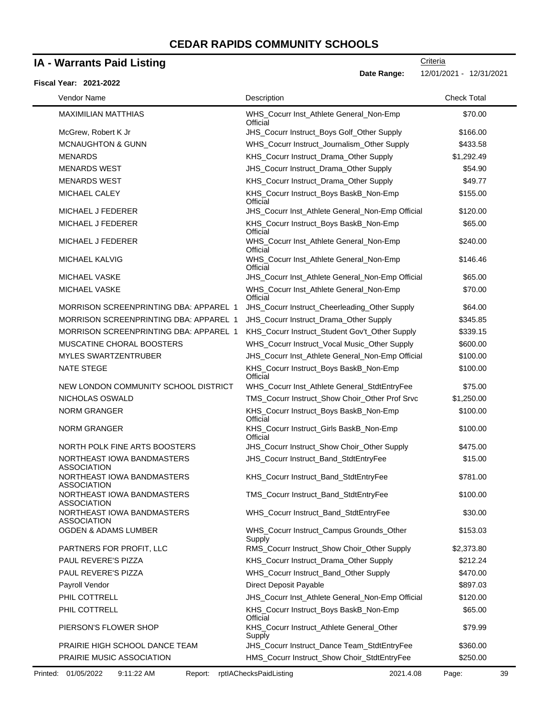### **IA - Warrants Paid Listing**

#### **Fiscal Year: 2021-2022**

**Criteria** 

**Date Range:** 12/01/2021 - 12/31/2021

| Vendor Name                                      | Description                                         | <b>Check Total</b> |
|--------------------------------------------------|-----------------------------------------------------|--------------------|
| <b>MAXIMILIAN MATTHIAS</b>                       | WHS_Cocurr Inst_Athlete General_Non-Emp<br>Official | \$70.00            |
| McGrew, Robert K Jr                              | JHS_Cocurr Instruct_Boys Golf_Other Supply          | \$166.00           |
| <b>MCNAUGHTON &amp; GUNN</b>                     | WHS_Cocurr Instruct_Journalism_Other Supply         | \$433.58           |
| <b>MENARDS</b>                                   | KHS_Cocurr Instruct_Drama_Other Supply              | \$1,292.49         |
| <b>MENARDS WEST</b>                              | JHS_Cocurr Instruct_Drama_Other Supply              | \$54.90            |
| <b>MENARDS WEST</b>                              | KHS_Cocurr Instruct_Drama_Other Supply              | \$49.77            |
| MICHAEL CALEY                                    | KHS_Cocurr Instruct_Boys BaskB_Non-Emp<br>Official  | \$155.00           |
| MICHAEL J FEDERER                                | JHS_Cocurr Inst_Athlete General_Non-Emp Official    | \$120.00           |
| MICHAEL J FEDERER                                | KHS_Cocurr Instruct_Boys BaskB_Non-Emp<br>Official  | \$65.00            |
| MICHAEL J FEDERER                                | WHS_Cocurr Inst_Athlete General_Non-Emp<br>Official | \$240.00           |
| MICHAEL KALVIG                                   | WHS_Cocurr Inst_Athlete General_Non-Emp<br>Official | \$146.46           |
| <b>MICHAEL VASKE</b>                             | JHS_Cocurr Inst_Athlete General_Non-Emp Official    | \$65.00            |
| MICHAEL VASKE                                    | WHS_Cocurr Inst_Athlete General_Non-Emp<br>Official | \$70.00            |
| <b>MORRISON SCREENPRINTING DBA: APPAREL 1</b>    | JHS_Cocurr Instruct_Cheerleading_Other Supply       | \$64.00            |
| <b>MORRISON SCREENPRINTING DBA: APPAREL 1</b>    | JHS_Cocurr Instruct_Drama_Other Supply              | \$345.85           |
| MORRISON SCREENPRINTING DBA: APPAREL 1           | KHS_Cocurr Instruct_Student Gov't_Other Supply      | \$339.15           |
| MUSCATINE CHORAL BOOSTERS                        | WHS_Cocurr Instruct_Vocal Music_Other Supply        | \$600.00           |
| <b>MYLES SWARTZENTRUBER</b>                      | JHS_Cocurr Inst_Athlete General_Non-Emp Official    | \$100.00           |
| <b>NATE STEGE</b>                                | KHS_Cocurr Instruct_Boys BaskB_Non-Emp<br>Official  | \$100.00           |
| NEW LONDON COMMUNITY SCHOOL DISTRICT             | WHS_Cocurr Inst_Athlete General_StdtEntryFee        | \$75.00            |
| NICHOLAS OSWALD                                  | TMS_Cocurr Instruct_Show Choir_Other Prof Srvc      | \$1,250.00         |
| <b>NORM GRANGER</b>                              | KHS_Cocurr Instruct_Boys BaskB_Non-Emp<br>Official  | \$100.00           |
| <b>NORM GRANGER</b>                              | KHS_Cocurr Instruct_Girls BaskB_Non-Emp<br>Official | \$100.00           |
| NORTH POLK FINE ARTS BOOSTERS                    | JHS_Cocurr Instruct_Show Choir_Other Supply         | \$475.00           |
| NORTHEAST IOWA BANDMASTERS<br><b>ASSOCIATION</b> | JHS_Cocurr Instruct_Band_StdtEntryFee               | \$15.00            |
| NORTHEAST IOWA BANDMASTERS<br><b>ASSOCIATION</b> | KHS_Cocurr Instruct_Band_StdtEntryFee               | \$781.00           |
| NORTHEAST IOWA BANDMASTERS<br><b>ASSOCIATION</b> | TMS_Cocurr Instruct_Band_StdtEntryFee               | \$100.00           |
| NORTHEAST IOWA BANDMASTERS<br><b>ASSOCIATION</b> | WHS_Cocurr Instruct_Band_StdtEntryFee               | \$30.00            |
| <b>OGDEN &amp; ADAMS LUMBER</b>                  | WHS_Cocurr Instruct_Campus Grounds_Other<br>Supply  | \$153.03           |
| PARTNERS FOR PROFIT, LLC                         | RMS_Cocurr Instruct_Show Choir_Other Supply         | \$2,373.80         |
| PAUL REVERE'S PIZZA                              | KHS_Cocurr Instruct_Drama_Other Supply              | \$212.24           |
| PAUL REVERE'S PIZZA                              | WHS_Cocurr Instruct_Band_Other Supply               | \$470.00           |
| Payroll Vendor                                   | Direct Deposit Payable                              | \$897.03           |
| PHIL COTTRELL                                    | JHS_Cocurr Inst_Athlete General_Non-Emp Official    | \$120.00           |
| PHIL COTTRELL                                    | KHS_Cocurr Instruct_Boys BaskB_Non-Emp<br>Official  | \$65.00            |
| PIERSON'S FLOWER SHOP                            | KHS_Cocurr Instruct_Athlete General_Other<br>Supply | \$79.99            |
| PRAIRIE HIGH SCHOOL DANCE TEAM                   | JHS_Cocurr Instruct_Dance Team_StdtEntryFee         | \$360.00           |
| PRAIRIE MUSIC ASSOCIATION                        | HMS_Cocurr Instruct_Show Choir_StdtEntryFee         | \$250.00           |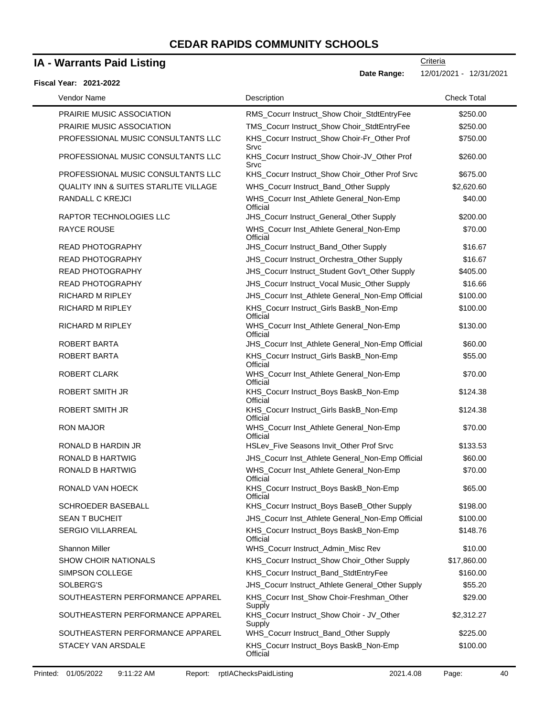### **IA - Warrants Paid Listing**

#### **Fiscal Year: 2021-2022**

**Date Range:** 12/01/2021 - 12/31/2021

| Vendor Name                                      | Description                                          | <b>Check Total</b> |
|--------------------------------------------------|------------------------------------------------------|--------------------|
| PRAIRIE MUSIC ASSOCIATION                        | RMS_Cocurr Instruct_Show Choir_StdtEntryFee          | \$250.00           |
| PRAIRIE MUSIC ASSOCIATION                        | TMS_Cocurr Instruct_Show Choir_StdtEntryFee          | \$250.00           |
| PROFESSIONAL MUSIC CONSULTANTS LLC               | KHS_Cocurr Instruct_Show Choir-Fr_Other Prof<br>Srvc | \$750.00           |
| PROFESSIONAL MUSIC CONSULTANTS LLC               | KHS_Cocurr Instruct_Show Choir-JV_Other Prof<br>Srvc | \$260.00           |
| PROFESSIONAL MUSIC CONSULTANTS LLC               | KHS_Cocurr Instruct_Show Choir_Other Prof Srvc       | \$675.00           |
| <b>QUALITY INN &amp; SUITES STARLITE VILLAGE</b> | WHS_Cocurr Instruct_Band_Other Supply                | \$2,620.60         |
| RANDALL C KREJCI                                 | WHS_Cocurr Inst_Athlete General_Non-Emp<br>Official  | \$40.00            |
| RAPTOR TECHNOLOGIES LLC                          | <b>JHS Cocurr Instruct General Other Supply</b>      | \$200.00           |
| <b>RAYCE ROUSE</b>                               | WHS_Cocurr Inst_Athlete General_Non-Emp<br>Official  | \$70.00            |
| <b>READ PHOTOGRAPHY</b>                          | JHS_Cocurr Instruct_Band_Other Supply                | \$16.67            |
| <b>READ PHOTOGRAPHY</b>                          | JHS_Cocurr Instruct_Orchestra_Other Supply           | \$16.67            |
| <b>READ PHOTOGRAPHY</b>                          | JHS_Cocurr Instruct_Student Gov't_Other Supply       | \$405.00           |
| <b>READ PHOTOGRAPHY</b>                          | JHS_Cocurr Instruct_Vocal Music_Other Supply         | \$16.66            |
| RICHARD M RIPLEY                                 | JHS_Cocurr Inst_Athlete General_Non-Emp Official     | \$100.00           |
| <b>RICHARD M RIPLEY</b>                          | KHS_Cocurr Instruct_Girls BaskB_Non-Emp<br>Official  | \$100.00           |
| <b>RICHARD M RIPLEY</b>                          | WHS_Cocurr Inst_Athlete General_Non-Emp<br>Official  | \$130.00           |
| ROBERT BARTA                                     | JHS_Cocurr Inst_Athlete General_Non-Emp Official     | \$60.00            |
| ROBERT BARTA                                     | KHS_Cocurr Instruct_Girls BaskB_Non-Emp<br>Official  | \$55.00            |
| <b>ROBERT CLARK</b>                              | WHS_Cocurr Inst_Athlete General_Non-Emp<br>Official  | \$70.00            |
| <b>ROBERT SMITH JR</b>                           | KHS_Cocurr Instruct_Boys BaskB_Non-Emp<br>Official   | \$124.38           |
| ROBERT SMITH JR                                  | KHS_Cocurr Instruct_Girls BaskB_Non-Emp<br>Official  | \$124.38           |
| <b>RON MAJOR</b>                                 | WHS_Cocurr Inst_Athlete General_Non-Emp<br>Official  | \$70.00            |
| RONALD B HARDIN JR                               | HSLev_Five Seasons Invit_Other Prof Srvc             | \$133.53           |
| <b>RONALD B HARTWIG</b>                          | JHS_Cocurr Inst_Athlete General_Non-Emp Official     | \$60.00            |
| <b>RONALD B HARTWIG</b>                          | WHS_Cocurr Inst_Athlete General_Non-Emp<br>Official  | \$70.00            |
| RONALD VAN HOECK                                 | KHS_Cocurr Instruct_Boys BaskB_Non-Emp<br>Official   | \$65.00            |
| SCHROEDER BASEBALL                               | KHS_Cocurr Instruct_Boys BaseB_Other Supply          | \$198.00           |
| <b>SEAN T BUCHEIT</b>                            | JHS_Cocurr Inst_Athlete General_Non-Emp Official     | \$100.00           |
| <b>SERGIO VILLARREAL</b>                         | KHS_Cocurr Instruct_Boys BaskB_Non-Emp<br>Official   | \$148.76           |
| Shannon Miller                                   | WHS_Cocurr Instruct_Admin_Misc Rev                   | \$10.00            |
| <b>SHOW CHOIR NATIONALS</b>                      | KHS_Cocurr Instruct_Show Choir_Other Supply          | \$17,860.00        |
| <b>SIMPSON COLLEGE</b>                           | KHS_Cocurr Instruct_Band_StdtEntryFee                | \$160.00           |
| SOLBERG'S                                        | JHS_Cocurr Instruct_Athlete General_Other Supply     | \$55.20            |
| SOUTHEASTERN PERFORMANCE APPAREL                 | KHS_Cocurr Inst_Show Choir-Freshman_Other<br>Supply  | \$29.00            |
| SOUTHEASTERN PERFORMANCE APPAREL                 | KHS_Cocurr Instruct_Show Choir - JV_Other<br>Supply  | \$2,312.27         |
| SOUTHEASTERN PERFORMANCE APPAREL                 | WHS_Cocurr Instruct_Band_Other Supply                | \$225.00           |
| STACEY VAN ARSDALE                               | KHS_Cocurr Instruct_Boys BaskB_Non-Emp<br>Official   | \$100.00           |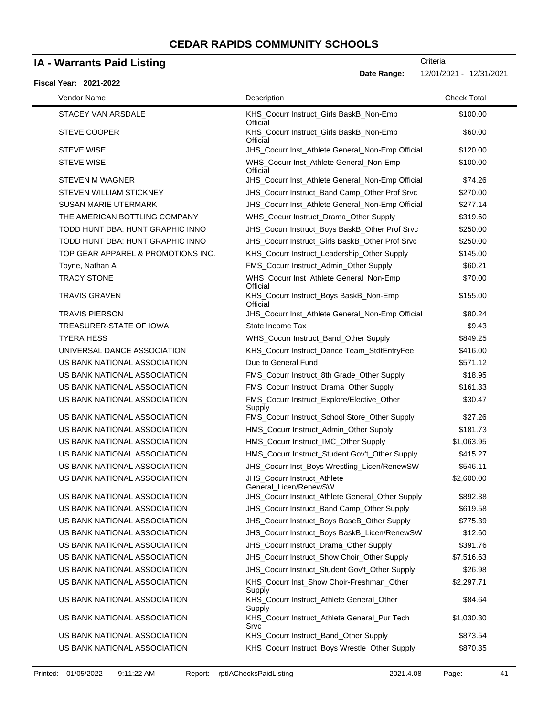### **IA - Warrants Paid Listing**

#### **Fiscal Year: 2021-2022**

**Criteria** 

**Date Range:** 12/01/2021 - 12/31/2021

| Vendor Name                        | Description                                          | <b>Check Total</b> |
|------------------------------------|------------------------------------------------------|--------------------|
| STACEY VAN ARSDALE                 | KHS_Cocurr Instruct_Girls BaskB_Non-Emp<br>Official  | \$100.00           |
| <b>STEVE COOPER</b>                | KHS_Cocurr Instruct_Girls BaskB_Non-Emp<br>Official  | \$60.00            |
| <b>STEVE WISE</b>                  | JHS_Cocurr Inst_Athlete General_Non-Emp Official     | \$120.00           |
| <b>STEVE WISE</b>                  | WHS_Cocurr Inst_Athlete General_Non-Emp<br>Official  | \$100.00           |
| <b>STEVEN M WAGNER</b>             | JHS_Cocurr Inst_Athlete General_Non-Emp Official     | \$74.26            |
| STEVEN WILLIAM STICKNEY            | JHS Cocurr Instruct Band Camp Other Prof Srvc        | \$270.00           |
| <b>SUSAN MARIE UTERMARK</b>        | JHS_Cocurr Inst_Athlete General_Non-Emp Official     | \$277.14           |
| THE AMERICAN BOTTLING COMPANY      | WHS_Cocurr Instruct_Drama_Other Supply               | \$319.60           |
| TODD HUNT DBA: HUNT GRAPHIC INNO   | JHS_Cocurr Instruct_Boys BaskB_Other Prof Srvc       | \$250.00           |
| TODD HUNT DBA: HUNT GRAPHIC INNO   | JHS_Cocurr Instruct_Girls BaskB_Other Prof Srvc      | \$250.00           |
| TOP GEAR APPAREL & PROMOTIONS INC. | KHS_Cocurr Instruct_Leadership_Other Supply          | \$145.00           |
| Toyne, Nathan A                    | FMS_Cocurr Instruct_Admin_Other Supply               | \$60.21            |
| <b>TRACY STONE</b>                 | WHS_Cocurr Inst_Athlete General_Non-Emp<br>Official  | \$70.00            |
| TRAVIS GRAVEN                      | KHS_Cocurr Instruct_Boys BaskB_Non-Emp<br>Official   | \$155.00           |
| <b>TRAVIS PIERSON</b>              | JHS_Cocurr Inst_Athlete General_Non-Emp Official     | \$80.24            |
| <b>TREASURER-STATE OF IOWA</b>     | State Income Tax                                     | \$9.43             |
| <b>TYERA HESS</b>                  | WHS_Cocurr Instruct_Band_Other Supply                | \$849.25           |
| UNIVERSAL DANCE ASSOCIATION        | KHS_Cocurr Instruct_Dance Team_StdtEntryFee          | \$416.00           |
| US BANK NATIONAL ASSOCIATION       | Due to General Fund                                  | \$571.12           |
| US BANK NATIONAL ASSOCIATION       | FMS_Cocurr Instruct_8th Grade_Other Supply           | \$18.95            |
| US BANK NATIONAL ASSOCIATION       | FMS_Cocurr Instruct_Drama_Other Supply               | \$161.33           |
| US BANK NATIONAL ASSOCIATION       | FMS_Cocurr Instruct_Explore/Elective_Other<br>Supply | \$30.47            |
| US BANK NATIONAL ASSOCIATION       | FMS_Cocurr Instruct_School Store_Other Supply        | \$27.26            |
| US BANK NATIONAL ASSOCIATION       | HMS_Cocurr Instruct_Admin_Other Supply               | \$181.73           |
| US BANK NATIONAL ASSOCIATION       | HMS_Cocurr Instruct_IMC_Other Supply                 | \$1,063.95         |
| US BANK NATIONAL ASSOCIATION       | HMS_Cocurr Instruct_Student Gov't_Other Supply       | \$415.27           |
| US BANK NATIONAL ASSOCIATION       | JHS_Cocurr Inst_Boys Wrestling_Licen/RenewSW         | \$546.11           |
| US BANK NATIONAL ASSOCIATION       | JHS_Cocurr Instruct_Athlete<br>General_Licen/RenewSW | \$2,600.00         |
| US BANK NATIONAL ASSOCIATION       | JHS_Cocurr Instruct_Athlete General_Other Supply     | \$892.38           |
| US BANK NATIONAL ASSOCIATION       | JHS_Cocurr Instruct_Band Camp_Other Supply           | \$619.58           |
| US BANK NATIONAL ASSOCIATION       | JHS_Cocurr Instruct_Boys BaseB_Other Supply          | \$775.39           |
| US BANK NATIONAL ASSOCIATION       | JHS_Cocurr Instruct_Boys BaskB_Licen/RenewSW         | \$12.60            |
| US BANK NATIONAL ASSOCIATION       | JHS_Cocurr Instruct_Drama_Other Supply               | \$391.76           |
| US BANK NATIONAL ASSOCIATION       | JHS_Cocurr Instruct_Show Choir_Other Supply          | \$7,516.63         |
| US BANK NATIONAL ASSOCIATION       | JHS_Cocurr Instruct_Student Gov't_Other Supply       | \$26.98            |
| US BANK NATIONAL ASSOCIATION       | KHS_Cocurr Inst_Show Choir-Freshman_Other<br>Supply  | \$2,297.71         |
| US BANK NATIONAL ASSOCIATION       | KHS_Cocurr Instruct_Athlete General_Other<br>Supply  | \$84.64            |
| US BANK NATIONAL ASSOCIATION       | KHS_Cocurr Instruct_Athlete General_Pur Tech<br>Srvc | \$1,030.30         |
| US BANK NATIONAL ASSOCIATION       | KHS_Cocurr Instruct_Band_Other Supply                | \$873.54           |
| US BANK NATIONAL ASSOCIATION       | KHS_Cocurr Instruct_Boys Wrestle_Other Supply        | \$870.35           |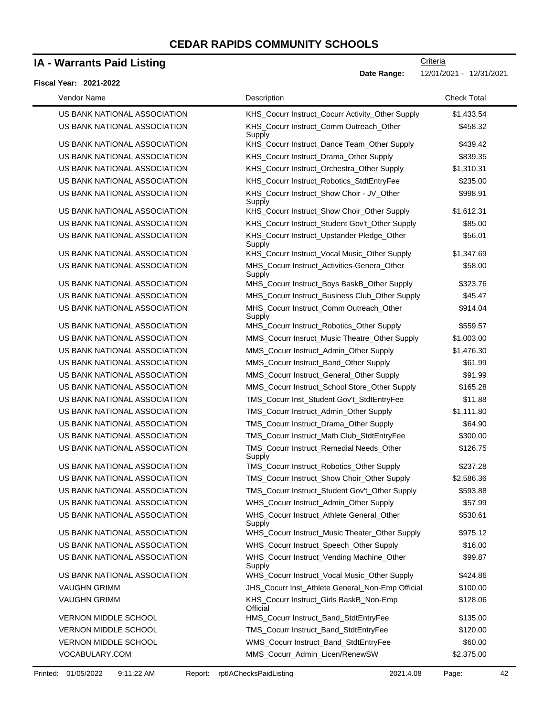### **IA - Warrants Paid Listing**

#### **Fiscal Year: 2021-2022**

**Criteria** 

**Date Range:** 12/01/2021 - 12/31/2021

| Vendor Name                  | Description                                           | <b>Check Total</b> |
|------------------------------|-------------------------------------------------------|--------------------|
| US BANK NATIONAL ASSOCIATION | KHS_Cocurr Instruct_Cocurr Activity_Other Supply      | \$1,433.54         |
| US BANK NATIONAL ASSOCIATION | KHS_Cocurr Instruct_Comm Outreach_Other<br>Supply     | \$458.32           |
| US BANK NATIONAL ASSOCIATION | KHS_Cocurr Instruct_Dance Team_Other Supply           | \$439.42           |
| US BANK NATIONAL ASSOCIATION | KHS_Cocurr Instruct_Drama_Other Supply                | \$839.35           |
| US BANK NATIONAL ASSOCIATION | KHS_Cocurr Instruct_Orchestra_Other Supply            | \$1,310.31         |
| US BANK NATIONAL ASSOCIATION | KHS_Cocurr Instruct_Robotics_StdtEntryFee             | \$235.00           |
| US BANK NATIONAL ASSOCIATION | KHS_Cocurr Instruct_Show Choir - JV_Other<br>Supply   | \$998.91           |
| US BANK NATIONAL ASSOCIATION | KHS_Cocurr Instruct_Show Choir_Other Supply           | \$1,612.31         |
| US BANK NATIONAL ASSOCIATION | KHS_Cocurr Instruct_Student Gov't_Other Supply        | \$85.00            |
| US BANK NATIONAL ASSOCIATION | KHS_Cocurr Instruct_Upstander Pledge_Other<br>Supply  | \$56.01            |
| US BANK NATIONAL ASSOCIATION | KHS_Cocurr Instruct_Vocal Music_Other Supply          | \$1,347.69         |
| US BANK NATIONAL ASSOCIATION | MHS_Cocurr Instruct_Activities-Genera_Other<br>Supply | \$58.00            |
| US BANK NATIONAL ASSOCIATION | MHS_Cocurr Instruct_Boys BaskB_Other Supply           | \$323.76           |
| US BANK NATIONAL ASSOCIATION | MHS_Cocurr Instruct_Business Club_Other Supply        | \$45.47            |
| US BANK NATIONAL ASSOCIATION | MHS_Cocurr Instruct_Comm Outreach_Other<br>Supply     | \$914.04           |
| US BANK NATIONAL ASSOCIATION | MHS Cocurr Instruct Robotics Other Supply             | \$559.57           |
| US BANK NATIONAL ASSOCIATION | MMS_Cocurr Insruct_Music Theatre_Other Supply         | \$1,003.00         |
| US BANK NATIONAL ASSOCIATION | MMS_Cocurr Instruct_Admin_Other Supply                | \$1,476.30         |
| US BANK NATIONAL ASSOCIATION | MMS_Cocurr Instruct_Band_Other Supply                 | \$61.99            |
| US BANK NATIONAL ASSOCIATION | MMS_Cocurr Instruct_General_Other Supply              | \$91.99            |
| US BANK NATIONAL ASSOCIATION | MMS_Cocurr Instruct_School Store_Other Supply         | \$165.28           |
| US BANK NATIONAL ASSOCIATION | TMS_Cocurr Inst_Student Gov't_StdtEntryFee            | \$11.88            |
| US BANK NATIONAL ASSOCIATION | TMS_Cocurr Instruct_Admin_Other Supply                | \$1,111.80         |
| US BANK NATIONAL ASSOCIATION | TMS_Cocurr Instruct_Drama_Other Supply                | \$64.90            |
| US BANK NATIONAL ASSOCIATION | TMS_Cocurr Instruct_Math Club_StdtEntryFee            | \$300.00           |
| US BANK NATIONAL ASSOCIATION | TMS_Cocurr Instruct_Remedial Needs_Other<br>Supply    | \$126.75           |
| US BANK NATIONAL ASSOCIATION | TMS_Cocurr Instruct_Robotics_Other Supply             | \$237.28           |
| US BANK NATIONAL ASSOCIATION | TMS_Cocurr Instruct_Show Choir_Other Supply           | \$2,586.36         |
| US BANK NATIONAL ASSOCIATION | TMS_Cocurr Instruct_Student Gov't_Other Supply        | \$593.88           |
| US BANK NATIONAL ASSOCIATION | WHS_Cocurr Instruct_Admin_Other Supply                | \$57.99            |
| US BANK NATIONAL ASSOCIATION | WHS_Cocurr Instruct_Athlete General_Other<br>Supply   | \$530.61           |
| US BANK NATIONAL ASSOCIATION | WHS_Cocurr Instruct_Music Theater_Other Supply        | \$975.12           |
| US BANK NATIONAL ASSOCIATION | WHS_Cocurr Instruct_Speech_Other Supply               | \$16.00            |
| US BANK NATIONAL ASSOCIATION | WHS_Cocurr Instruct_Vending Machine_Other<br>Supply   | \$99.87            |
| US BANK NATIONAL ASSOCIATION | WHS_Cocurr Instruct_Vocal Music_Other Supply          | \$424.86           |
| <b>VAUGHN GRIMM</b>          | JHS_Cocurr Inst_Athlete General_Non-Emp Official      | \$100.00           |
| <b>VAUGHN GRIMM</b>          | KHS_Cocurr Instruct_Girls BaskB_Non-Emp<br>Official   | \$128.06           |
| VERNON MIDDLE SCHOOL         | HMS_Cocurr Instruct_Band_StdtEntryFee                 | \$135.00           |
| VERNON MIDDLE SCHOOL         | TMS_Cocurr Instruct_Band_StdtEntryFee                 | \$120.00           |
| VERNON MIDDLE SCHOOL         | WMS_Cocurr Instruct_Band_StdtEntryFee                 | \$60.00            |
| VOCABULARY.COM               | MMS_Cocurr_Admin_Licen/RenewSW                        | \$2,375.00         |